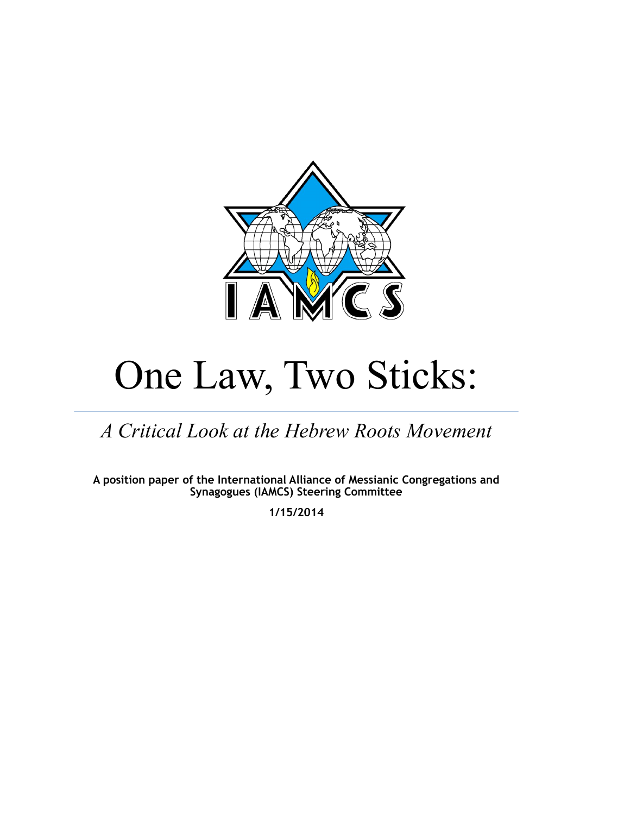

# One Law, Two Sticks:

*A Critical Look at the Hebrew Roots Movement*

**A position paper of the International Alliance of Messianic Congregations and Synagogues (IAMCS) Steering Committee**

**1/15/2014**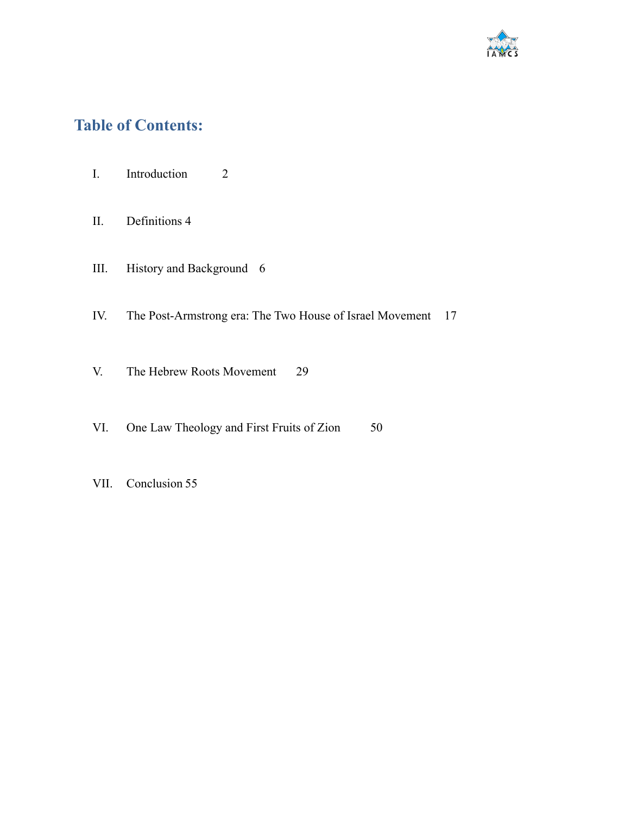

## **Table of Contents:**

- I. Introduction 2
- II. Definitions 4
- III. History and Background 6
- IV. The Post-Armstrong era: The Two House of Israel Movement 17
- V. The Hebrew Roots Movement 29
- VI. One Law Theology and First Fruits of Zion 50
- VII. Conclusion 55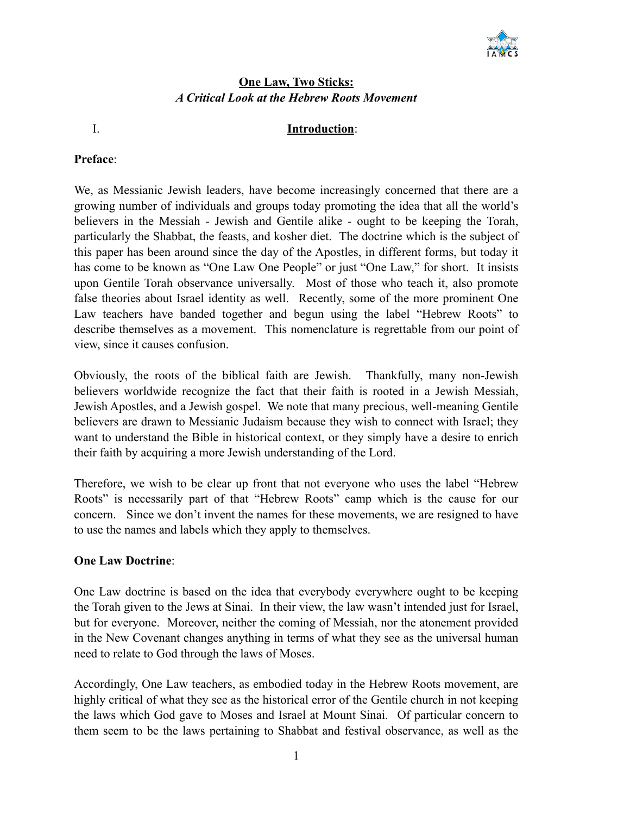

#### **One Law, Two Sticks:** *A Critical Look at the Hebrew Roots Movement*

#### I. **Introduction**:

#### **Preface**:

We, as Messianic Jewish leaders, have become increasingly concerned that there are a growing number of individuals and groups today promoting the idea that all the world's believers in the Messiah - Jewish and Gentile alike - ought to be keeping the Torah, particularly the Shabbat, the feasts, and kosher diet. The doctrine which is the subject of this paper has been around since the day of the Apostles, in different forms, but today it has come to be known as "One Law One People" or just "One Law," for short. It insists upon Gentile Torah observance universally. Most of those who teach it, also promote false theories about Israel identity as well. Recently, some of the more prominent One Law teachers have banded together and begun using the label "Hebrew Roots" to describe themselves as a movement. This nomenclature is regrettable from our point of view, since it causes confusion.

Obviously, the roots of the biblical faith are Jewish. Thankfully, many non-Jewish believers worldwide recognize the fact that their faith is rooted in a Jewish Messiah, Jewish Apostles, and a Jewish gospel. We note that many precious, well-meaning Gentile believers are drawn to Messianic Judaism because they wish to connect with Israel; they want to understand the Bible in historical context, or they simply have a desire to enrich their faith by acquiring a more Jewish understanding of the Lord.

Therefore, we wish to be clear up front that not everyone who uses the label "Hebrew Roots" is necessarily part of that "Hebrew Roots" camp which is the cause for our concern. Since we don't invent the names for these movements, we are resigned to have to use the names and labels which they apply to themselves.

#### **One Law Doctrine**:

One Law doctrine is based on the idea that everybody everywhere ought to be keeping the Torah given to the Jews at Sinai. In their view, the law wasn't intended just for Israel, but for everyone. Moreover, neither the coming of Messiah, nor the atonement provided in the New Covenant changes anything in terms of what they see as the universal human need to relate to God through the laws of Moses.

Accordingly, One Law teachers, as embodied today in the Hebrew Roots movement, are highly critical of what they see as the historical error of the Gentile church in not keeping the laws which God gave to Moses and Israel at Mount Sinai. Of particular concern to them seem to be the laws pertaining to Shabbat and festival observance, as well as the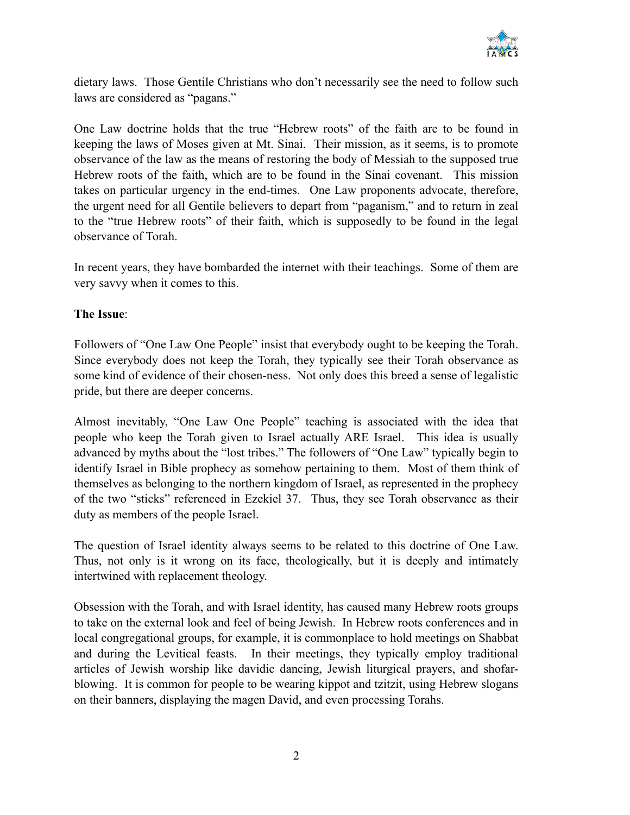

dietary laws. Those Gentile Christians who don't necessarily see the need to follow such laws are considered as "pagans."

One Law doctrine holds that the true "Hebrew roots" of the faith are to be found in keeping the laws of Moses given at Mt. Sinai. Their mission, as it seems, is to promote observance of the law as the means of restoring the body of Messiah to the supposed true Hebrew roots of the faith, which are to be found in the Sinai covenant. This mission takes on particular urgency in the end-times. One Law proponents advocate, therefore, the urgent need for all Gentile believers to depart from "paganism," and to return in zeal to the "true Hebrew roots" of their faith, which is supposedly to be found in the legal observance of Torah.

In recent years, they have bombarded the internet with their teachings. Some of them are very savvy when it comes to this.

#### **The Issue**:

Followers of "One Law One People" insist that everybody ought to be keeping the Torah. Since everybody does not keep the Torah, they typically see their Torah observance as some kind of evidence of their chosen-ness. Not only does this breed a sense of legalistic pride, but there are deeper concerns.

Almost inevitably, "One Law One People" teaching is associated with the idea that people who keep the Torah given to Israel actually ARE Israel. This idea is usually advanced by myths about the "lost tribes." The followers of "One Law" typically begin to identify Israel in Bible prophecy as somehow pertaining to them. Most of them think of themselves as belonging to the northern kingdom of Israel, as represented in the prophecy of the two "sticks" referenced in Ezekiel 37. Thus, they see Torah observance as their duty as members of the people Israel.

The question of Israel identity always seems to be related to this doctrine of One Law. Thus, not only is it wrong on its face, theologically, but it is deeply and intimately intertwined with replacement theology.

Obsession with the Torah, and with Israel identity, has caused many Hebrew roots groups to take on the external look and feel of being Jewish. In Hebrew roots conferences and in local congregational groups, for example, it is commonplace to hold meetings on Shabbat and during the Levitical feasts. In their meetings, they typically employ traditional articles of Jewish worship like davidic dancing, Jewish liturgical prayers, and shofarblowing. It is common for people to be wearing kippot and tzitzit, using Hebrew slogans on their banners, displaying the magen David, and even processing Torahs.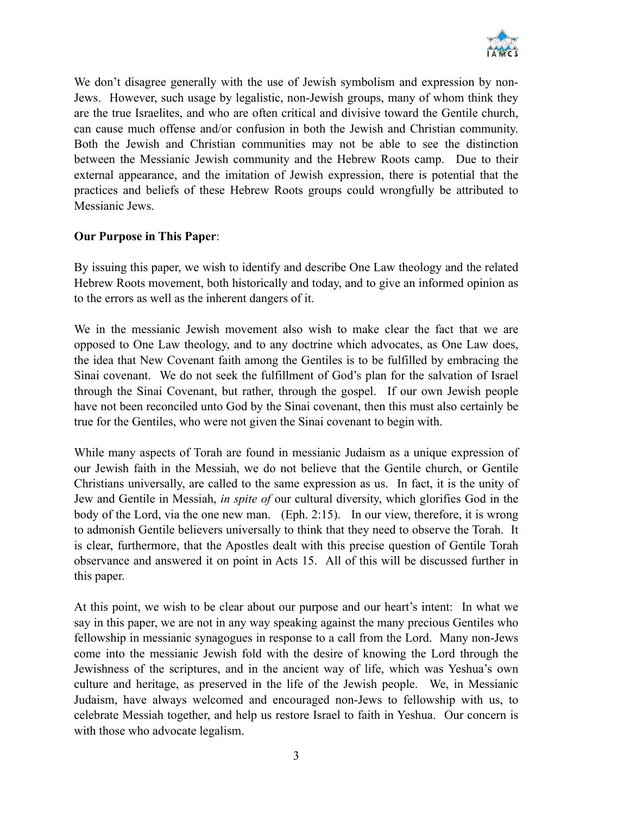

We don't disagree generally with the use of Jewish symbolism and expression by non-Jews. However, such usage by legalistic, non-Jewish groups, many of whom think they are the true Israelites, and who are often critical and divisive toward the Gentile church, can cause much offense and/or confusion in both the Jewish and Christian community. Both the Jewish and Christian communities may not be able to see the distinction between the Messianic Jewish community and the Hebrew Roots camp. Due to their external appearance, and the imitation of Jewish expression, there is potential that the practices and beliefs of these Hebrew Roots groups could wrongfully be attributed to Messianic Jews.

#### **Our Purpose in This Paper**:

By issuing this paper, we wish to identify and describe One Law theology and the related Hebrew Roots movement, both historically and today, and to give an informed opinion as to the errors as well as the inherent dangers of it.

We in the messianic Jewish movement also wish to make clear the fact that we are opposed to One Law theology, and to any doctrine which advocates, as One Law does, the idea that New Covenant faith among the Gentiles is to be fulfilled by embracing the Sinai covenant. We do not seek the fulfillment of God's plan for the salvation of Israel through the Sinai Covenant, but rather, through the gospel. If our own Jewish people have not been reconciled unto God by the Sinai covenant, then this must also certainly be true for the Gentiles, who were not given the Sinai covenant to begin with.

While many aspects of Torah are found in messianic Judaism as a unique expression of our Jewish faith in the Messiah, we do not believe that the Gentile church, or Gentile Christians universally, are called to the same expression as us. In fact, it is the unity of Jew and Gentile in Messiah, *in spite of* our cultural diversity, which glorifies God in the body of the Lord, via the one new man. (Eph. 2:15). In our view, therefore, it is wrong to admonish Gentile believers universally to think that they need to observe the Torah. It is clear, furthermore, that the Apostles dealt with this precise question of Gentile Torah observance and answered it on point in Acts 15. All of this will be discussed further in this paper.

At this point, we wish to be clear about our purpose and our heart's intent: In what we say in this paper, we are not in any way speaking against the many precious Gentiles who fellowship in messianic synagogues in response to a call from the Lord. Many non-Jews come into the messianic Jewish fold with the desire of knowing the Lord through the Jewishness of the scriptures, and in the ancient way of life, which was Yeshua's own culture and heritage, as preserved in the life of the Jewish people. We, in Messianic Judaism, have always welcomed and encouraged non-Jews to fellowship with us, to celebrate Messiah together, and help us restore Israel to faith in Yeshua. Our concern is with those who advocate legalism.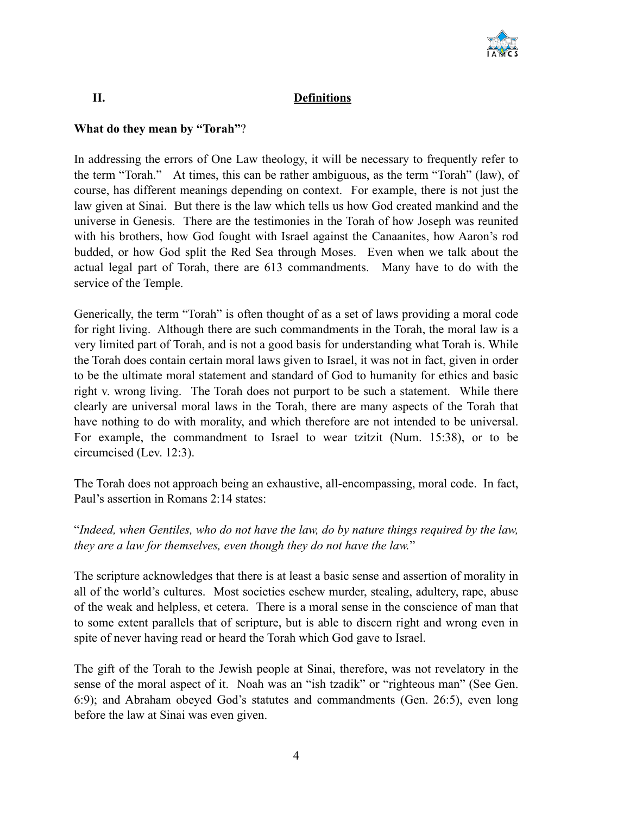

#### **II. Definitions**

#### **What do they mean by "Torah"**?

In addressing the errors of One Law theology, it will be necessary to frequently refer to the term "Torah." At times, this can be rather ambiguous, as the term "Torah" (law), of course, has different meanings depending on context. For example, there is not just the law given at Sinai. But there is the law which tells us how God created mankind and the universe in Genesis. There are the testimonies in the Torah of how Joseph was reunited with his brothers, how God fought with Israel against the Canaanites, how Aaron's rod budded, or how God split the Red Sea through Moses. Even when we talk about the actual legal part of Torah, there are 613 commandments. Many have to do with the service of the Temple.

Generically, the term "Torah" is often thought of as a set of laws providing a moral code for right living. Although there are such commandments in the Torah, the moral law is a very limited part of Torah, and is not a good basis for understanding what Torah is. While the Torah does contain certain moral laws given to Israel, it was not in fact, given in order to be the ultimate moral statement and standard of God to humanity for ethics and basic right v. wrong living. The Torah does not purport to be such a statement. While there clearly are universal moral laws in the Torah, there are many aspects of the Torah that have nothing to do with morality, and which therefore are not intended to be universal. For example, the commandment to Israel to wear tzitzit (Num. 15:38), or to be circumcised (Lev. 12:3).

The Torah does not approach being an exhaustive, all-encompassing, moral code. In fact, Paul's assertion in Romans 2:14 states:

#### "*Indeed, when Gentiles, who do not have the law, do by nature things required by the law, they are a law for themselves, even though they do not have the law.*"

The scripture acknowledges that there is at least a basic sense and assertion of morality in all of the world's cultures. Most societies eschew murder, stealing, adultery, rape, abuse of the weak and helpless, et cetera. There is a moral sense in the conscience of man that to some extent parallels that of scripture, but is able to discern right and wrong even in spite of never having read or heard the Torah which God gave to Israel.

The gift of the Torah to the Jewish people at Sinai, therefore, was not revelatory in the sense of the moral aspect of it. Noah was an "ish tzadik" or "righteous man" (See Gen. 6:9); and Abraham obeyed God's statutes and commandments (Gen. 26:5), even long before the law at Sinai was even given.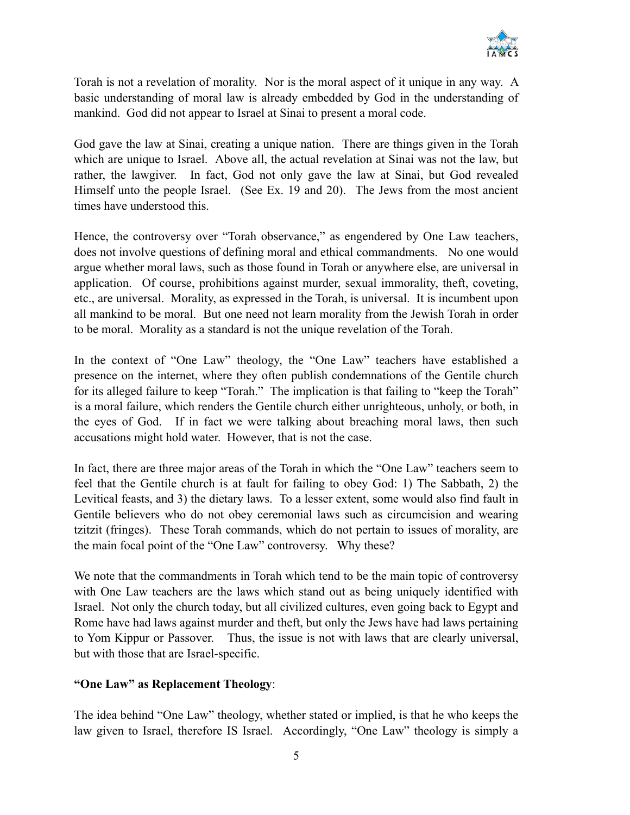

Torah is not a revelation of morality. Nor is the moral aspect of it unique in any way. A basic understanding of moral law is already embedded by God in the understanding of mankind. God did not appear to Israel at Sinai to present a moral code.

God gave the law at Sinai, creating a unique nation. There are things given in the Torah which are unique to Israel. Above all, the actual revelation at Sinai was not the law, but rather, the lawgiver. In fact, God not only gave the law at Sinai, but God revealed Himself unto the people Israel. (See Ex. 19 and 20). The Jews from the most ancient times have understood this.

Hence, the controversy over "Torah observance," as engendered by One Law teachers, does not involve questions of defining moral and ethical commandments. No one would argue whether moral laws, such as those found in Torah or anywhere else, are universal in application. Of course, prohibitions against murder, sexual immorality, theft, coveting, etc., are universal. Morality, as expressed in the Torah, is universal. It is incumbent upon all mankind to be moral. But one need not learn morality from the Jewish Torah in order to be moral. Morality as a standard is not the unique revelation of the Torah.

In the context of "One Law" theology, the "One Law" teachers have established a presence on the internet, where they often publish condemnations of the Gentile church for its alleged failure to keep "Torah." The implication is that failing to "keep the Torah" is a moral failure, which renders the Gentile church either unrighteous, unholy, or both, in the eyes of God. If in fact we were talking about breaching moral laws, then such accusations might hold water. However, that is not the case.

In fact, there are three major areas of the Torah in which the "One Law" teachers seem to feel that the Gentile church is at fault for failing to obey God: 1) The Sabbath, 2) the Levitical feasts, and 3) the dietary laws. To a lesser extent, some would also find fault in Gentile believers who do not obey ceremonial laws such as circumcision and wearing tzitzit (fringes). These Torah commands, which do not pertain to issues of morality, are the main focal point of the "One Law" controversy. Why these?

We note that the commandments in Torah which tend to be the main topic of controversy with One Law teachers are the laws which stand out as being uniquely identified with Israel. Not only the church today, but all civilized cultures, even going back to Egypt and Rome have had laws against murder and theft, but only the Jews have had laws pertaining to Yom Kippur or Passover. Thus, the issue is not with laws that are clearly universal, but with those that are Israel-specific.

#### **"One Law" as Replacement Theology**:

The idea behind "One Law" theology, whether stated or implied, is that he who keeps the law given to Israel, therefore IS Israel. Accordingly, "One Law" theology is simply a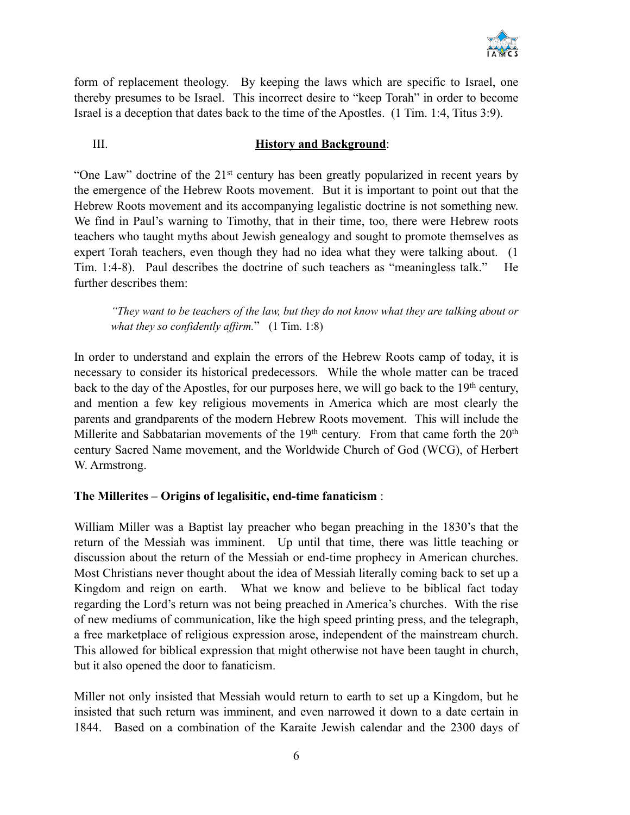

form of replacement theology. By keeping the laws which are specific to Israel, one thereby presumes to be Israel. This incorrect desire to "keep Torah" in order to become Israel is a deception that dates back to the time of the Apostles. (1 Tim. 1:4, Titus 3:9).

#### III. **History and Background**:

"One Law" doctrine of the 21st century has been greatly popularized in recent years by the emergence of the Hebrew Roots movement. But it is important to point out that the Hebrew Roots movement and its accompanying legalistic doctrine is not something new. We find in Paul's warning to Timothy, that in their time, too, there were Hebrew roots teachers who taught myths about Jewish genealogy and sought to promote themselves as expert Torah teachers, even though they had no idea what they were talking about. (1 Tim. 1:4-8). Paul describes the doctrine of such teachers as "meaningless talk." He further describes them:

*"They want to be teachers of the law, but they do not know what they are talking about or what they so confidently affirm.*" (1 Tim. 1:8)

In order to understand and explain the errors of the Hebrew Roots camp of today, it is necessary to consider its historical predecessors. While the whole matter can be traced back to the day of the Apostles, for our purposes here, we will go back to the  $19<sup>th</sup>$  century, and mention a few key religious movements in America which are most clearly the parents and grandparents of the modern Hebrew Roots movement. This will include the Millerite and Sabbatarian movements of the  $19<sup>th</sup>$  century. From that came forth the  $20<sup>th</sup>$ century Sacred Name movement, and the Worldwide Church of God (WCG), of Herbert W. Armstrong.

#### **The Millerites – Origins of legalisitic, end-time fanaticism** :

William Miller was a Baptist lay preacher who began preaching in the 1830's that the return of the Messiah was imminent. Up until that time, there was little teaching or discussion about the return of the Messiah or end-time prophecy in American churches. Most Christians never thought about the idea of Messiah literally coming back to set up a Kingdom and reign on earth. What we know and believe to be biblical fact today regarding the Lord's return was not being preached in America's churches. With the rise of new mediums of communication, like the high speed printing press, and the telegraph, a free marketplace of religious expression arose, independent of the mainstream church. This allowed for biblical expression that might otherwise not have been taught in church, but it also opened the door to fanaticism.

Miller not only insisted that Messiah would return to earth to set up a Kingdom, but he insisted that such return was imminent, and even narrowed it down to a date certain in 1844. Based on a combination of the Karaite Jewish calendar and the 2300 days of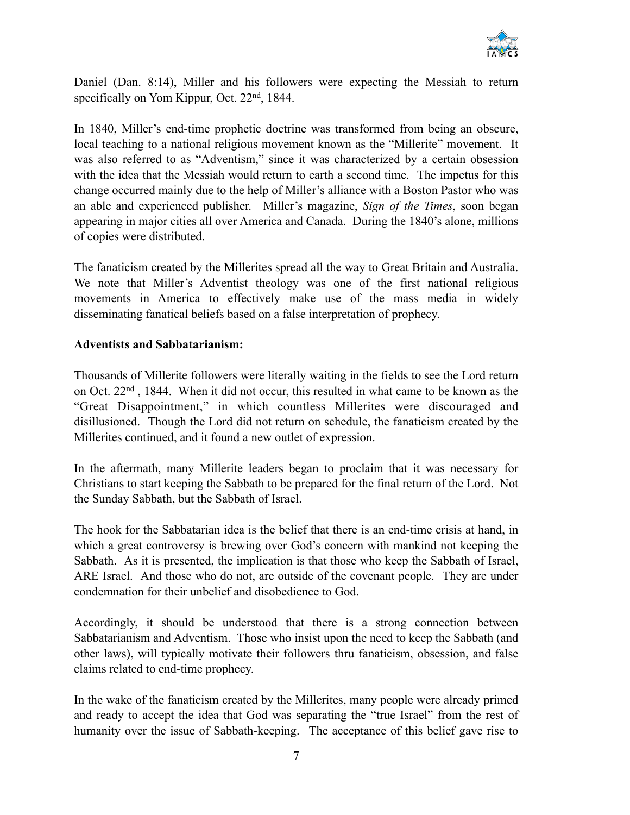

Daniel (Dan. 8:14), Miller and his followers were expecting the Messiah to return specifically on Yom Kippur, Oct. 22<sup>nd</sup>, 1844.

In 1840, Miller's end-time prophetic doctrine was transformed from being an obscure, local teaching to a national religious movement known as the "Millerite" movement. It was also referred to as "Adventism," since it was characterized by a certain obsession with the idea that the Messiah would return to earth a second time. The impetus for this change occurred mainly due to the help of Miller's alliance with a Boston Pastor who was an able and experienced publisher. Miller's magazine, *Sign of the Times*, soon began appearing in major cities all over America and Canada. During the 1840's alone, millions of copies were distributed.

The fanaticism created by the Millerites spread all the way to Great Britain and Australia. We note that Miller's Adventist theology was one of the first national religious movements in America to effectively make use of the mass media in widely disseminating fanatical beliefs based on a false interpretation of prophecy.

#### **Adventists and Sabbatarianism:**

Thousands of Millerite followers were literally waiting in the fields to see the Lord return on Oct. 22nd , 1844. When it did not occur, this resulted in what came to be known as the "Great Disappointment," in which countless Millerites were discouraged and disillusioned. Though the Lord did not return on schedule, the fanaticism created by the Millerites continued, and it found a new outlet of expression.

In the aftermath, many Millerite leaders began to proclaim that it was necessary for Christians to start keeping the Sabbath to be prepared for the final return of the Lord. Not the Sunday Sabbath, but the Sabbath of Israel.

The hook for the Sabbatarian idea is the belief that there is an end-time crisis at hand, in which a great controversy is brewing over God's concern with mankind not keeping the Sabbath. As it is presented, the implication is that those who keep the Sabbath of Israel, ARE Israel. And those who do not, are outside of the covenant people. They are under condemnation for their unbelief and disobedience to God.

Accordingly, it should be understood that there is a strong connection between Sabbatarianism and Adventism. Those who insist upon the need to keep the Sabbath (and other laws), will typically motivate their followers thru fanaticism, obsession, and false claims related to end-time prophecy.

In the wake of the fanaticism created by the Millerites, many people were already primed and ready to accept the idea that God was separating the "true Israel" from the rest of humanity over the issue of Sabbath-keeping. The acceptance of this belief gave rise to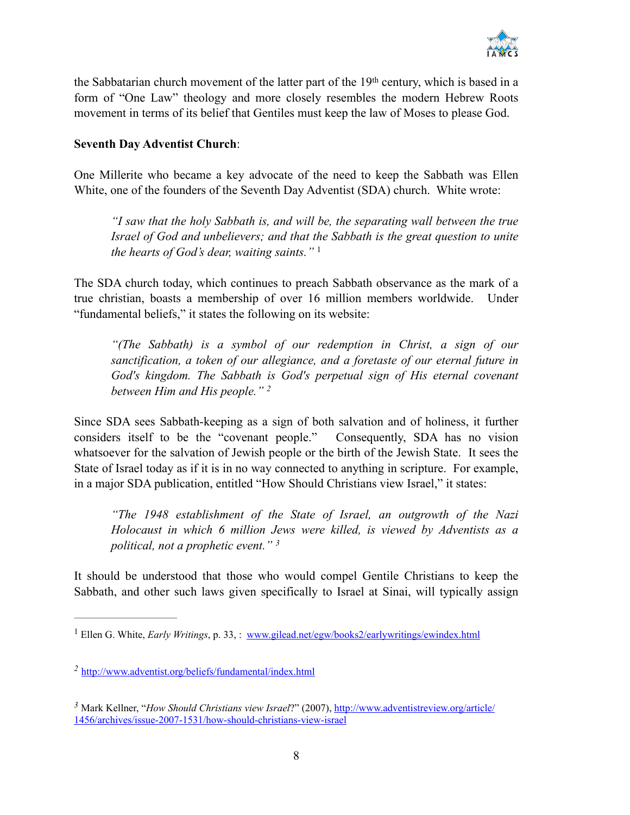

the Sabbatarian church movement of the latter part of the 19th century, which is based in a form of "One Law" theology and more closely resembles the modern Hebrew Roots movement in terms of its belief that Gentiles must keep the law of Moses to please God.

#### **Seventh Day Adventist Church**:

One Millerite who became a key advocate of the need to keep the Sabbath was Ellen White, one of the founders of the Seventh Day Adventist (SDA) church. White wrote:

*"I saw that the holy Sabbath is, and will be, the separating wall between the true Israel of God and unbelievers; and that the Sabbath is the great question to unite the hearts of God's dear, waiting saints."* <sup>1</sup>

The SDA church today, which continues to preach Sabbath observance as the mark of a true christian, boasts a membership of over 16 million members worldwide. Under "fundamental beliefs," it states the following on its website:

*"(The Sabbath) is a symbol of our redemption in Christ, a sign of our sanctification, a token of our allegiance, and a foretaste of our eternal future in*  God's kingdom. The Sabbath is God's perpetual sign of His eternal covenant *between Him and His people." 2*

Since SDA sees Sabbath-keeping as a sign of both salvation and of holiness, it further considers itself to be the "covenant people." Consequently, SDA has no vision whatsoever for the salvation of Jewish people or the birth of the Jewish State. It sees the State of Israel today as if it is in no way connected to anything in scripture. For example, in a major SDA publication, entitled "How Should Christians view Israel," it states:

*"The 1948 establishment of the State of Israel, an outgrowth of the Nazi Holocaust in which 6 million Jews were killed, is viewed by Adventists as a political, not a prophetic event." 3*

It should be understood that those who would compel Gentile Christians to keep the Sabbath, and other such laws given specifically to Israel at Sinai, will typically assign

<sup>&</sup>lt;sup>1</sup> Ellen G. White, *Early Writings*, p. 33, : [www.gilead.net/egw/books2/earlywritings/ewindex.html](http://www.gilead.net/egw/books2/earlywritings/ewindex.html)

<http://www.adventist.org/beliefs/fundamental/index.html> *<sup>2</sup>*

<sup>&</sup>lt;sup>3</sup> Mark Kellner, "*How Should Christians view Israel*?" (2007), http://www.adventistreview.org/article/ [1456/archives/issue-2007-1531/how-should-christians-view-israel](http://www.adventistreview.org/article/1456/archives/issue-2007-1531/how-should-christians-view-israel)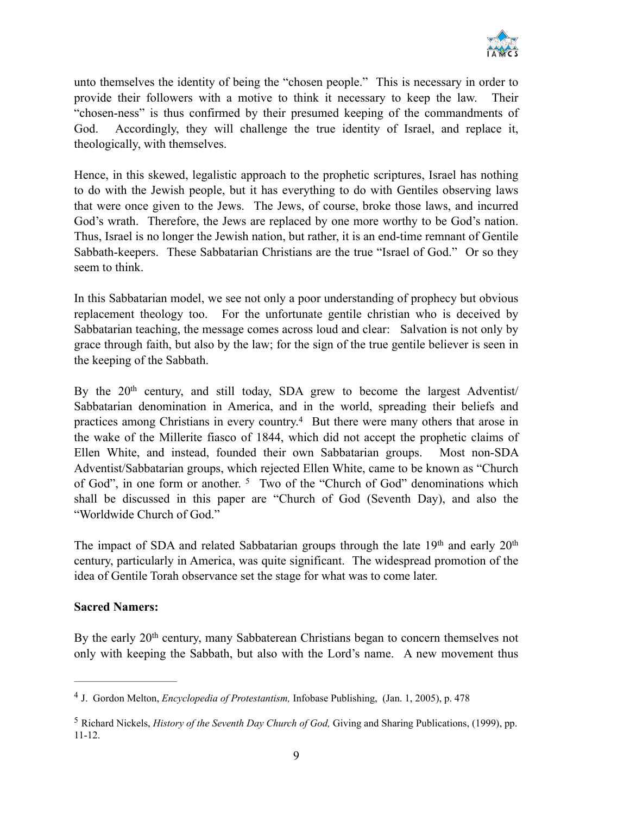

unto themselves the identity of being the "chosen people." This is necessary in order to provide their followers with a motive to think it necessary to keep the law. Their "chosen-ness" is thus confirmed by their presumed keeping of the commandments of God. Accordingly, they will challenge the true identity of Israel, and replace it, theologically, with themselves.

Hence, in this skewed, legalistic approach to the prophetic scriptures, Israel has nothing to do with the Jewish people, but it has everything to do with Gentiles observing laws that were once given to the Jews. The Jews, of course, broke those laws, and incurred God's wrath. Therefore, the Jews are replaced by one more worthy to be God's nation. Thus, Israel is no longer the Jewish nation, but rather, it is an end-time remnant of Gentile Sabbath-keepers. These Sabbatarian Christians are the true "Israel of God." Or so they seem to think.

In this Sabbatarian model, we see not only a poor understanding of prophecy but obvious replacement theology too. For the unfortunate gentile christian who is deceived by Sabbatarian teaching, the message comes across loud and clear: Salvation is not only by grace through faith, but also by the law; for the sign of the true gentile believer is seen in the keeping of the Sabbath.

By the  $20<sup>th</sup>$  century, and still today, SDA grew to become the largest Adventist/ Sabbatarian denomination in America, and in the world, spreading their beliefs and practices among Christians in every country.<sup>4</sup> But there were many others that arose in the wake of the Millerite fiasco of 1844, which did not accept the prophetic claims of Ellen White, and instead, founded their own Sabbatarian groups. Most non-SDA Adventist/Sabbatarian groups, which rejected Ellen White, came to be known as "Church of God", in one form or another.  $5$  Two of the "Church of God" denominations which shall be discussed in this paper are "Church of God (Seventh Day), and also the "Worldwide Church of God."

The impact of SDA and related Sabbatarian groups through the late  $19<sup>th</sup>$  and early  $20<sup>th</sup>$ century, particularly in America, was quite significant. The widespread promotion of the idea of Gentile Torah observance set the stage for what was to come later.

#### **Sacred Namers:**

By the early 20<sup>th</sup> century, many Sabbaterean Christians began to concern themselves not only with keeping the Sabbath, but also with the Lord's name. A new movement thus

<sup>&</sup>lt;sup>4</sup> J. Gordon Melton, *Encyclopedia of Protestantism*, Infobase Publishing, (Jan. 1, 2005), p. 478

<sup>&</sup>lt;sup>5</sup> Richard Nickels, *History of the Seventh Day Church of God*, Giving and Sharing Publications, (1999), pp. 11-12.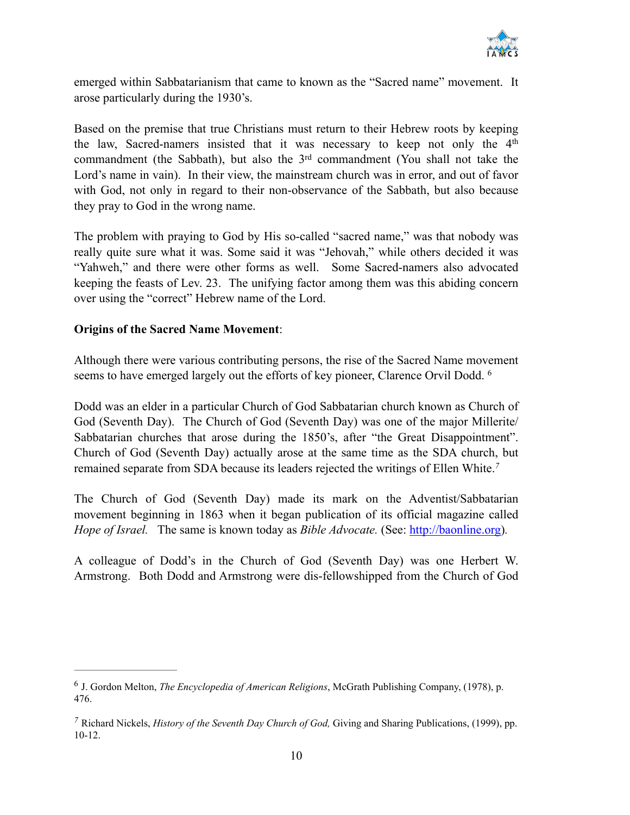

emerged within Sabbatarianism that came to known as the "Sacred name" movement. It arose particularly during the 1930's.

Based on the premise that true Christians must return to their Hebrew roots by keeping the law, Sacred-namers insisted that it was necessary to keep not only the 4<sup>th</sup> commandment (the Sabbath), but also the  $3<sup>rd</sup>$  commandment (You shall not take the Lord's name in vain). In their view, the mainstream church was in error, and out of favor with God, not only in regard to their non-observance of the Sabbath, but also because they pray to God in the wrong name.

The problem with praying to God by His so-called "sacred name," was that nobody was really quite sure what it was. Some said it was "Jehovah," while others decided it was "Yahweh," and there were other forms as well. Some Sacred-namers also advocated keeping the feasts of Lev. 23. The unifying factor among them was this abiding concern over using the "correct" Hebrew name of the Lord.

#### **Origins of the Sacred Name Movement**:

Although there were various contributing persons, the rise of the Sacred Name movement seems to have emerged largely out the efforts of key pioneer, Clarence Orvil Dodd. <sup>6</sup>

Dodd was an elder in a particular Church of God Sabbatarian church known as Church of God (Seventh Day). The Church of God (Seventh Day) was one of the major Millerite/ Sabbatarian churches that arose during the 1850's, after "the Great Disappointment". Church of God (Seventh Day) actually arose at the same time as the SDA church, but remained separate from SDA because its leaders rejected the writings of Ellen White.*<sup>7</sup>*

The Church of God (Seventh Day) made its mark on the Adventist/Sabbatarian movement beginning in 1863 when it began publication of its official magazine called *Hope of Israel.* The same is known today as *Bible Advocate.* (See: [http://baonline.org\)](http://baonline.org).

A colleague of Dodd's in the Church of God (Seventh Day) was one Herbert W. Armstrong. Both Dodd and Armstrong were dis-fellowshipped from the Church of God

J. Gordon Melton, *The Encyclopedia of American Religions*, McGrath Publishing Company, (1978), p. <sup>6</sup> 476.

Richard Nickels, *History of the Seventh Day Church of God,* Giving and Sharing Publications, (1999), pp. *<sup>7</sup>* 10-12.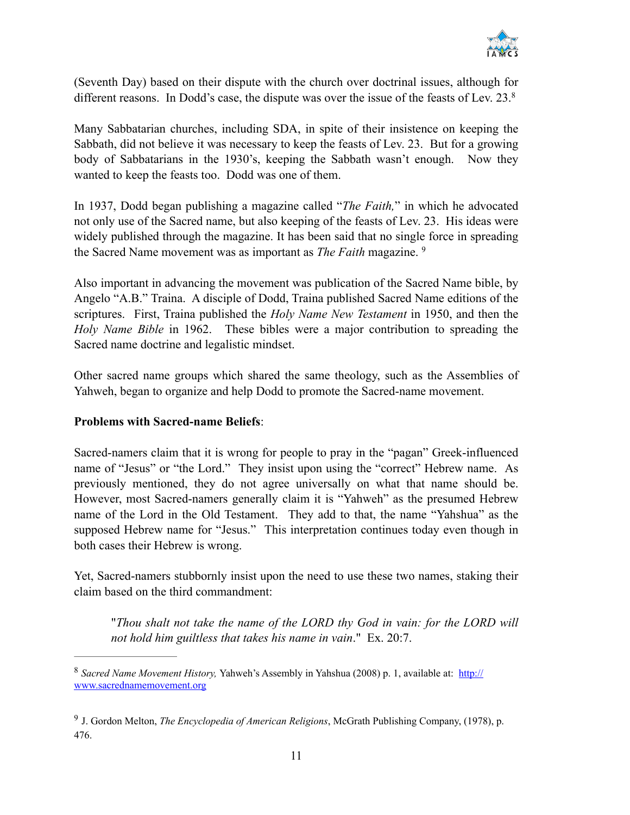

(Seventh Day) based on their dispute with the church over doctrinal issues, although for different reasons. In Dodd's case, the dispute was over the issue of the feasts of Lev. 23.<sup>8</sup>

Many Sabbatarian churches, including SDA, in spite of their insistence on keeping the Sabbath, did not believe it was necessary to keep the feasts of Lev. 23. But for a growing body of Sabbatarians in the 1930's, keeping the Sabbath wasn't enough. Now they wanted to keep the feasts too. Dodd was one of them.

In 1937, Dodd began publishing a magazine called "*The Faith,*" in which he advocated not only use of the Sacred name, but also keeping of the feasts of Lev. 23. His ideas were widely published through the magazine. It has been said that no single force in spreading the Sacred Name movement was as important as *The Faith* magazine. 9

Also important in advancing the movement was publication of the Sacred Name bible, by Angelo "A.B." Traina. A disciple of Dodd, Traina published Sacred Name editions of the scriptures. First, Traina published the *Holy Name New Testament* in 1950, and then the *Holy Name Bible* in 1962. These bibles were a major contribution to spreading the Sacred name doctrine and legalistic mindset.

Other sacred name groups which shared the same theology, such as the Assemblies of Yahweh, began to organize and help Dodd to promote the Sacred-name movement.

#### **Problems with Sacred-name Beliefs**:

Sacred-namers claim that it is wrong for people to pray in the "pagan" Greek-influenced name of "Jesus" or "the Lord." They insist upon using the "correct" Hebrew name. As previously mentioned, they do not agree universally on what that name should be. However, most Sacred-namers generally claim it is "Yahweh" as the presumed Hebrew name of the Lord in the Old Testament. They add to that, the name "Yahshua" as the supposed Hebrew name for "Jesus." This interpretation continues today even though in both cases their Hebrew is wrong.

Yet, Sacred-namers stubbornly insist upon the need to use these two names, staking their claim based on the third commandment:

"*Thou shalt not take the name of the LORD thy God in vain: for the LORD will not hold him guiltless that takes his name in vain*." Ex. 20:7.

*Sacred Name Movement History,* [Yahweh's Assembly in Yahshua \(2008\) p. 1, available at: http://](http://www.sacrednamemovement.org) <sup>8</sup> www.sacrednamemovement.org

<sup>&</sup>lt;sup>9</sup> J. Gordon Melton, *The Encyclopedia of American Religions*, McGrath Publishing Company, (1978), p. 476.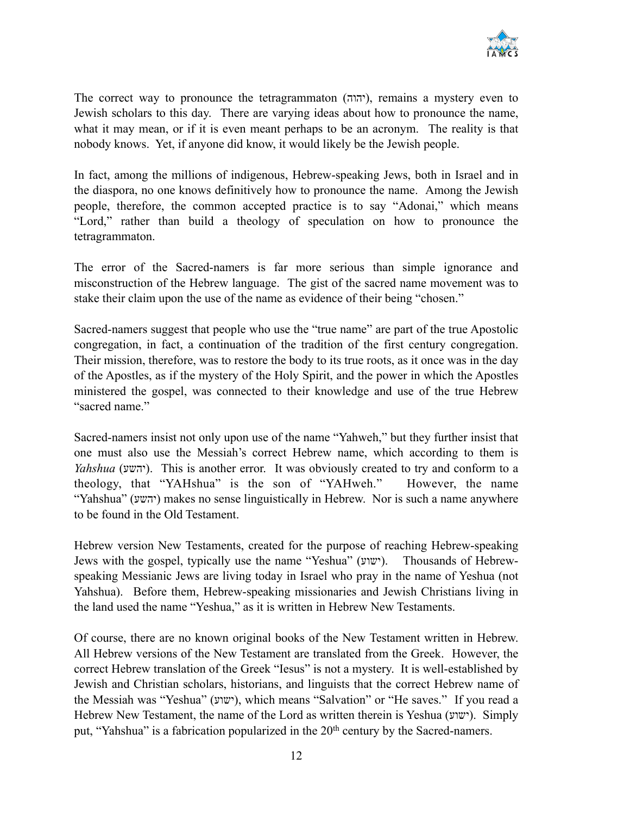

The correct way to pronounce the tetragrammaton ([יהוה](http://en.wiktionary.org/wiki/%25D7%2599%25D7%2594%25D7%2595%25D7%2594#Hebrew)), remains a mystery even to Jewish scholars to this day. There are varying ideas about how to pronounce the name, what it may mean, or if it is even meant perhaps to be an acronym. The reality is that nobody knows. Yet, if anyone did know, it would likely be the Jewish people.

In fact, among the millions of indigenous, Hebrew-speaking Jews, both in Israel and in the diaspora, no one knows definitively how to pronounce the name. Among the Jewish people, therefore, the common accepted practice is to say "Adonai," which means "Lord," rather than build a theology of speculation on how to pronounce the tetragrammaton.

The error of the Sacred-namers is far more serious than simple ignorance and misconstruction of the Hebrew language. The gist of the sacred name movement was to stake their claim upon the use of the name as evidence of their being "chosen."

Sacred-namers suggest that people who use the "true name" are part of the true Apostolic congregation, in fact, a continuation of the tradition of the first century congregation. Their mission, therefore, was to restore the body to its true roots, as it once was in the day of the Apostles, as if the mystery of the Holy Spirit, and the power in which the Apostles ministered the gospel, was connected to their knowledge and use of the true Hebrew "sacred name."

Sacred-namers insist not only upon use of the name "Yahweh," but they further insist that one must also use the Messiah's correct Hebrew name, which according to them is *Yahshua* (יהשע). This is another error. It was obviously created to try and conform to a theology, that "YAHshua" is the son of "YAHweh." However, the name "Yahshua" (יהשע) makes no sense linguistically in Hebrew. Nor is such a name anywhere to be found in the Old Testament.

Hebrew version New Testaments, created for the purpose of reaching Hebrew-speaking Jews with the gospel, typically use the name "Yeshua" (ישוע(. Thousands of Hebrewspeaking Messianic Jews are living today in Israel who pray in the name of Yeshua (not Yahshua). Before them, Hebrew-speaking missionaries and Jewish Christians living in the land used the name "Yeshua," as it is written in Hebrew New Testaments.

Of course, there are no known original books of the New Testament written in Hebrew. All Hebrew versions of the New Testament are translated from the Greek. However, the correct Hebrew translation of the Greek "Iesus" is not a mystery. It is well-established by Jewish and Christian scholars, historians, and linguists that the correct Hebrew name of the Messiah was "Yeshua" (ישוע), which means "Salvation" or "He saves." If you read a Hebrew New Testament, the name of the Lord as written therein is Yeshua (ישוע). Simply put, "Yahshua" is a fabrication popularized in the 20<sup>th</sup> century by the Sacred-namers.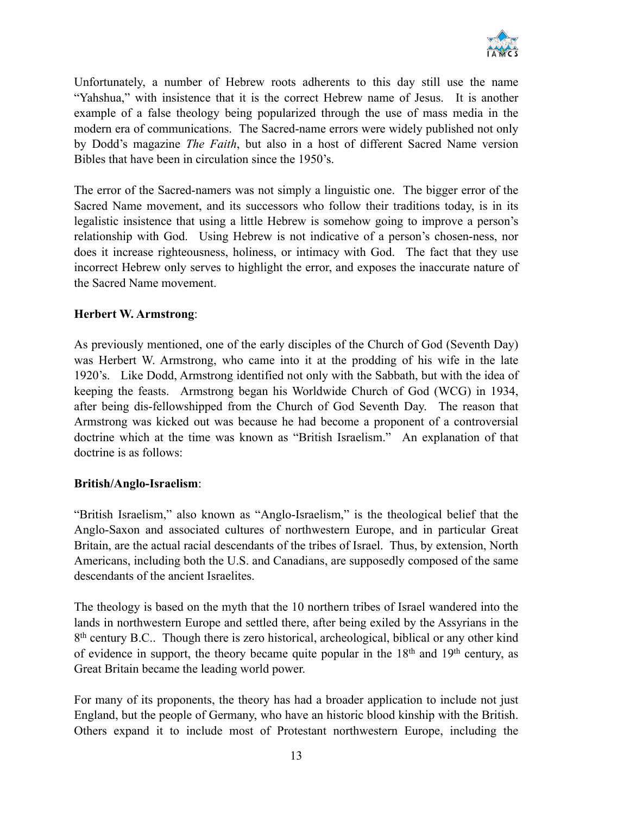

Unfortunately, a number of Hebrew roots adherents to this day still use the name "Yahshua," with insistence that it is the correct Hebrew name of Jesus. It is another example of a false theology being popularized through the use of mass media in the modern era of communications. The Sacred-name errors were widely published not only by Dodd's magazine *The Faith*, but also in a host of different Sacred Name version Bibles that have been in circulation since the 1950's.

The error of the Sacred-namers was not simply a linguistic one. The bigger error of the Sacred Name movement, and its successors who follow their traditions today, is in its legalistic insistence that using a little Hebrew is somehow going to improve a person's relationship with God. Using Hebrew is not indicative of a person's chosen-ness, nor does it increase righteousness, holiness, or intimacy with God. The fact that they use incorrect Hebrew only serves to highlight the error, and exposes the inaccurate nature of the Sacred Name movement.

#### **Herbert W. Armstrong**:

As previously mentioned, one of the early disciples of the Church of God (Seventh Day) was Herbert W. Armstrong, who came into it at the prodding of his wife in the late 1920's. Like Dodd, Armstrong identified not only with the Sabbath, but with the idea of keeping the feasts. Armstrong began his Worldwide Church of God (WCG) in 1934, after being dis-fellowshipped from the Church of God Seventh Day. The reason that Armstrong was kicked out was because he had become a proponent of a controversial doctrine which at the time was known as "British Israelism." An explanation of that doctrine is as follows:

#### **British/Anglo-Israelism**:

"British Israelism," also known as "Anglo-Israelism," is the theological belief that the Anglo-Saxon and associated cultures of northwestern Europe, and in particular Great Britain, are the actual racial descendants of the tribes of Israel. Thus, by extension, North Americans, including both the U.S. and Canadians, are supposedly composed of the same descendants of the ancient Israelites.

The theology is based on the myth that the 10 northern tribes of Israel wandered into the lands in northwestern Europe and settled there, after being exiled by the Assyrians in the 8<sup>th</sup> century B.C.. Though there is zero historical, archeological, biblical or any other kind of evidence in support, the theory became quite popular in the  $18<sup>th</sup>$  and  $19<sup>th</sup>$  century, as Great Britain became the leading world power.

For many of its proponents, the theory has had a broader application to include not just England, but the people of Germany, who have an historic blood kinship with the British. Others expand it to include most of Protestant northwestern Europe, including the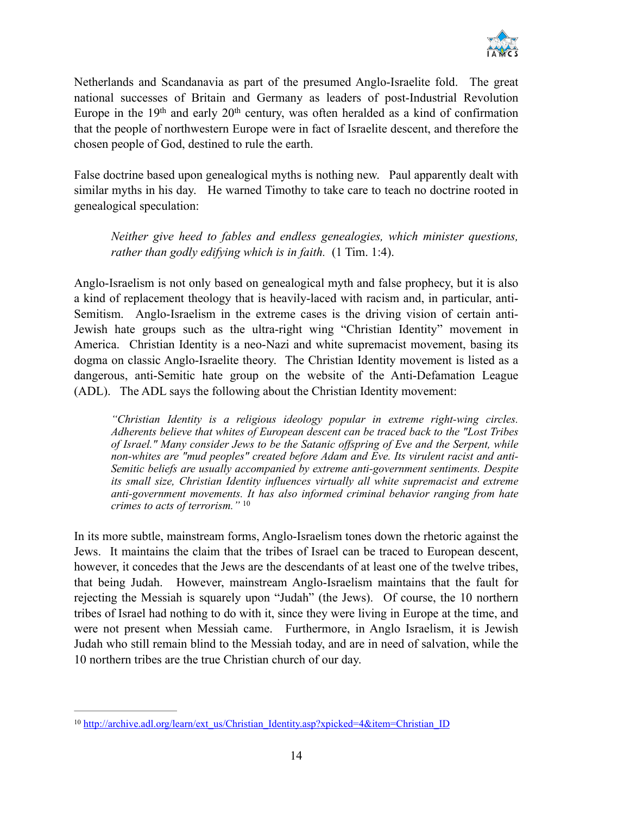

Netherlands and Scandanavia as part of the presumed Anglo-Israelite fold. The great national successes of Britain and Germany as leaders of post-Industrial Revolution Europe in the  $19<sup>th</sup>$  and early  $20<sup>th</sup>$  century, was often heralded as a kind of confirmation that the people of northwestern Europe were in fact of Israelite descent, and therefore the chosen people of God, destined to rule the earth.

False doctrine based upon genealogical myths is nothing new. Paul apparently dealt with similar myths in his day. He warned Timothy to take care to teach no doctrine rooted in genealogical speculation:

*Neither give heed to fables and endless genealogies, which minister questions, rather than godly edifying which is in faith.* (1 Tim. 1:4).

Anglo-Israelism is not only based on genealogical myth and false prophecy, but it is also a kind of replacement theology that is heavily-laced with racism and, in particular, anti-Semitism. Anglo-Israelism in the extreme cases is the driving vision of certain anti-Jewish hate groups such as the ultra-right wing "Christian Identity" movement in America. Christian Identity is a neo-Nazi and white supremacist movement, basing its dogma on classic Anglo-Israelite theory. The Christian Identity movement is listed as a dangerous, anti-Semitic hate group on the website of the Anti-Defamation League (ADL). The ADL says the following about the Christian Identity movement:

*"Christian Identity is a religious ideology popular in extreme right-wing circles. Adherents believe that whites of European descent can be traced back to the "Lost Tribes of Israel." Many consider Jews to be the Satanic offspring of Eve and the Serpent, while non-whites are "mud peoples" created before Adam and Eve. Its virulent racist and anti-Semitic beliefs are usually accompanied by extreme anti-government sentiments. Despite*  its small size, Christian Identity influences virtually all white supremacist and extreme *anti-government movements. It has also informed criminal behavior ranging from hate crimes to acts of terrorism."* <sup>10</sup>

In its more subtle, mainstream forms, Anglo-Israelism tones down the rhetoric against the Jews. It maintains the claim that the tribes of Israel can be traced to European descent, however, it concedes that the Jews are the descendants of at least one of the twelve tribes, that being Judah. However, mainstream Anglo-Israelism maintains that the fault for rejecting the Messiah is squarely upon "Judah" (the Jews). Of course, the 10 northern tribes of Israel had nothing to do with it, since they were living in Europe at the time, and were not present when Messiah came. Furthermore, in Anglo Israelism, it is Jewish Judah who still remain blind to the Messiah today, and are in need of salvation, while the 10 northern tribes are the true Christian church of our day.

<sup>&</sup>lt;sup>10</sup> [http://archive.adl.org/learn/ext\\_us/Christian\\_Identity.asp?xpicked=4&item=Christian\\_ID](http://archive.adl.org/learn/ext_us/Christian_Identity.asp?xpicked=4&item=Christian_ID)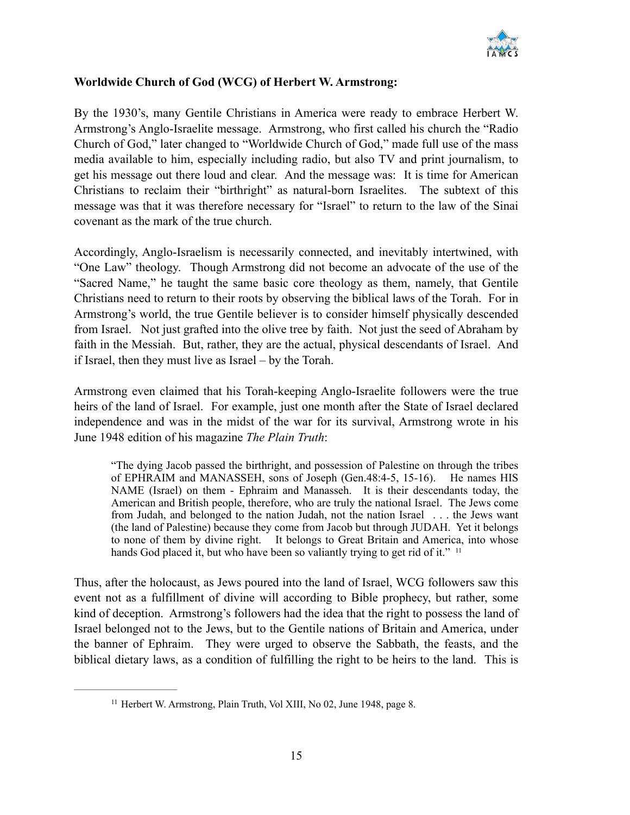

#### **Worldwide Church of God (WCG) of Herbert W. Armstrong:**

By the 1930's, many Gentile Christians in America were ready to embrace Herbert W. Armstrong's Anglo-Israelite message. Armstrong, who first called his church the "Radio Church of God," later changed to "Worldwide Church of God," made full use of the mass media available to him, especially including radio, but also TV and print journalism, to get his message out there loud and clear. And the message was: It is time for American Christians to reclaim their "birthright" as natural-born Israelites. The subtext of this message was that it was therefore necessary for "Israel" to return to the law of the Sinai covenant as the mark of the true church.

Accordingly, Anglo-Israelism is necessarily connected, and inevitably intertwined, with "One Law" theology. Though Armstrong did not become an advocate of the use of the "Sacred Name," he taught the same basic core theology as them, namely, that Gentile Christians need to return to their roots by observing the biblical laws of the Torah. For in Armstrong's world, the true Gentile believer is to consider himself physically descended from Israel. Not just grafted into the olive tree by faith. Not just the seed of Abraham by faith in the Messiah. But, rather, they are the actual, physical descendants of Israel. And if Israel, then they must live as Israel – by the Torah.

Armstrong even claimed that his Torah-keeping Anglo-Israelite followers were the true heirs of the land of Israel. For example, just one month after the State of Israel declared independence and was in the midst of the war for its survival, Armstrong wrote in his June 1948 edition of his magazine *The Plain Truth*:

"The dying Jacob passed the birthright, and possession of Palestine on through the tribes of EPHRAIM and MANASSEH, sons of Joseph (Gen.48:4-5, 15-16). He names HIS NAME (Israel) on them - Ephraim and Manasseh. It is their descendants today, the American and British people, therefore, who are truly the national Israel. The Jews come from Judah, and belonged to the nation Judah, not the nation Israel . . . the Jews want (the land of Palestine) because they come from Jacob but through JUDAH. Yet it belongs to none of them by divine right. It belongs to Great Britain and America, into whose hands God placed it, but who have been so valiantly trying to get rid of it." <sup>11</sup>

Thus, after the holocaust, as Jews poured into the land of Israel, WCG followers saw this event not as a fulfillment of divine will according to Bible prophecy, but rather, some kind of deception. Armstrong's followers had the idea that the right to possess the land of Israel belonged not to the Jews, but to the Gentile nations of Britain and America, under the banner of Ephraim. They were urged to observe the Sabbath, the feasts, and the biblical dietary laws, as a condition of fulfilling the right to be heirs to the land. This is

 $11$  Herbert W. Armstrong, Plain Truth, Vol XIII, No 02, June 1948, page 8.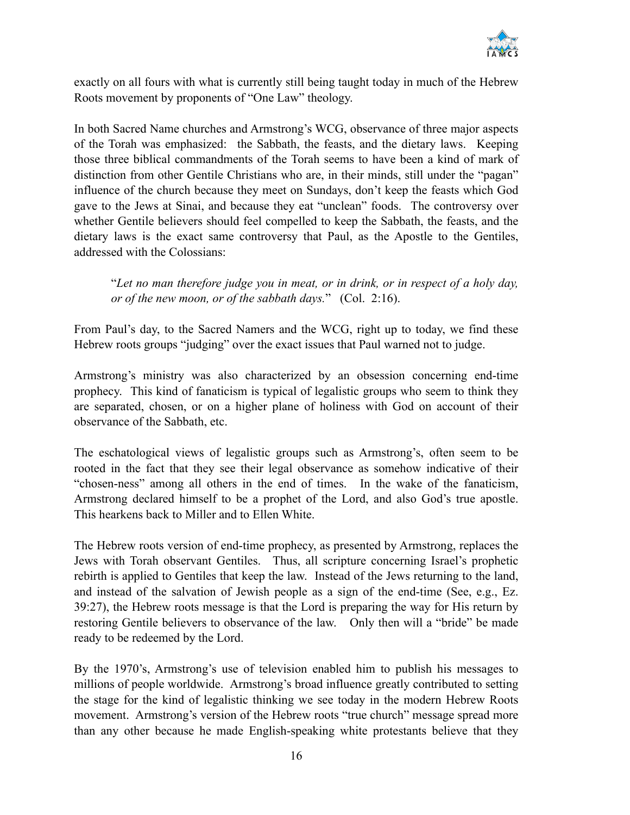

exactly on all fours with what is currently still being taught today in much of the Hebrew Roots movement by proponents of "One Law" theology.

In both Sacred Name churches and Armstrong's WCG, observance of three major aspects of the Torah was emphasized: the Sabbath, the feasts, and the dietary laws. Keeping those three biblical commandments of the Torah seems to have been a kind of mark of distinction from other Gentile Christians who are, in their minds, still under the "pagan" influence of the church because they meet on Sundays, don't keep the feasts which God gave to the Jews at Sinai, and because they eat "unclean" foods. The controversy over whether Gentile believers should feel compelled to keep the Sabbath, the feasts, and the dietary laws is the exact same controversy that Paul, as the Apostle to the Gentiles, addressed with the Colossians:

"*Let no man therefore judge you in meat, or in drink, or in respect of a holy day, or of the new moon, or of the sabbath days.*" (Col. 2:16).

From Paul's day, to the Sacred Namers and the WCG, right up to today, we find these Hebrew roots groups "judging" over the exact issues that Paul warned not to judge.

Armstrong's ministry was also characterized by an obsession concerning end-time prophecy. This kind of fanaticism is typical of legalistic groups who seem to think they are separated, chosen, or on a higher plane of holiness with God on account of their observance of the Sabbath, etc.

The eschatological views of legalistic groups such as Armstrong's, often seem to be rooted in the fact that they see their legal observance as somehow indicative of their "chosen-ness" among all others in the end of times. In the wake of the fanaticism, Armstrong declared himself to be a prophet of the Lord, and also God's true apostle. This hearkens back to Miller and to Ellen White.

The Hebrew roots version of end-time prophecy, as presented by Armstrong, replaces the Jews with Torah observant Gentiles. Thus, all scripture concerning Israel's prophetic rebirth is applied to Gentiles that keep the law. Instead of the Jews returning to the land, and instead of the salvation of Jewish people as a sign of the end-time (See, e.g., Ez. 39:27), the Hebrew roots message is that the Lord is preparing the way for His return by restoring Gentile believers to observance of the law. Only then will a "bride" be made ready to be redeemed by the Lord.

By the 1970's, Armstrong's use of television enabled him to publish his messages to millions of people worldwide. Armstrong's broad influence greatly contributed to setting the stage for the kind of legalistic thinking we see today in the modern Hebrew Roots movement. Armstrong's version of the Hebrew roots "true church" message spread more than any other because he made English-speaking white protestants believe that they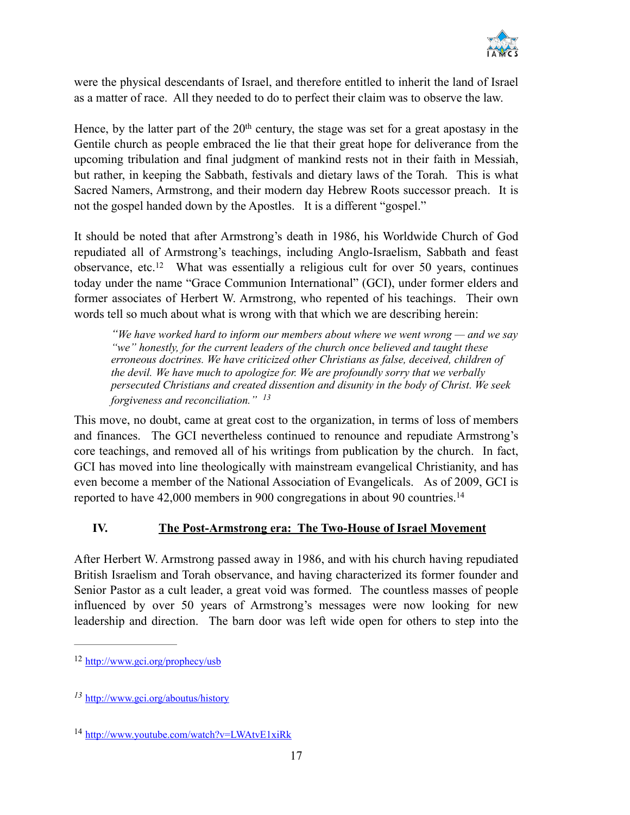

were the physical descendants of Israel, and therefore entitled to inherit the land of Israel as a matter of race. All they needed to do to perfect their claim was to observe the law.

Hence, by the latter part of the  $20<sup>th</sup>$  century, the stage was set for a great apostasy in the Gentile church as people embraced the lie that their great hope for deliverance from the upcoming tribulation and final judgment of mankind rests not in their faith in Messiah, but rather, in keeping the Sabbath, festivals and dietary laws of the Torah. This is what Sacred Namers, Armstrong, and their modern day Hebrew Roots successor preach. It is not the gospel handed down by the Apostles. It is a different "gospel."

It should be noted that after Armstrong's death in 1986, his Worldwide Church of God repudiated all of Armstrong's teachings, including Anglo-Israelism, Sabbath and feast observance, etc.<sup>12</sup> What was essentially a religious cult for over 50 years, continues today under the name "Grace Communion International" (GCI), under former elders and former associates of Herbert W. Armstrong, who repented of his teachings. Their own words tell so much about what is wrong with that which we are describing herein:

*"We have worked hard to inform our members about where we went wrong — and we say "we" honestly, for the current leaders of the church once believed and taught these erroneous doctrines. We have criticized other Christians as false, deceived, children of the devil. We have much to apologize for. We are profoundly sorry that we verbally persecuted Christians and created dissention and disunity in the body of Christ. We seek forgiveness and reconciliation." <sup>13</sup>*

This move, no doubt, came at great cost to the organization, in terms of loss of members and finances. The GCI nevertheless continued to renounce and repudiate Armstrong's core teachings, and removed all of his writings from publication by the church. In fact, GCI has moved into line theologically with mainstream evangelical Christianity, and has even become a member of the National Association of Evangelicals. As of 2009, GCI is reported to have 42,000 members in 900 congregations in about 90 countries.14

#### **IV. The Post-Armstrong era: The Two-House of Israel Movement**

After Herbert W. Armstrong passed away in 1986, and with his church having repudiated British Israelism and Torah observance, and having characterized its former founder and Senior Pastor as a cult leader, a great void was formed. The countless masses of people influenced by over 50 years of Armstrong's messages were now looking for new leadership and direction. The barn door was left wide open for others to step into the

 $12$  <http://www.gci.org/prophecy/usb>

<http://www.gci.org/aboutus/history> *<sup>13</sup>*

<sup>&</sup>lt;sup>14</sup> <http://www.youtube.com/watch?v=LWAtvE1xiRk>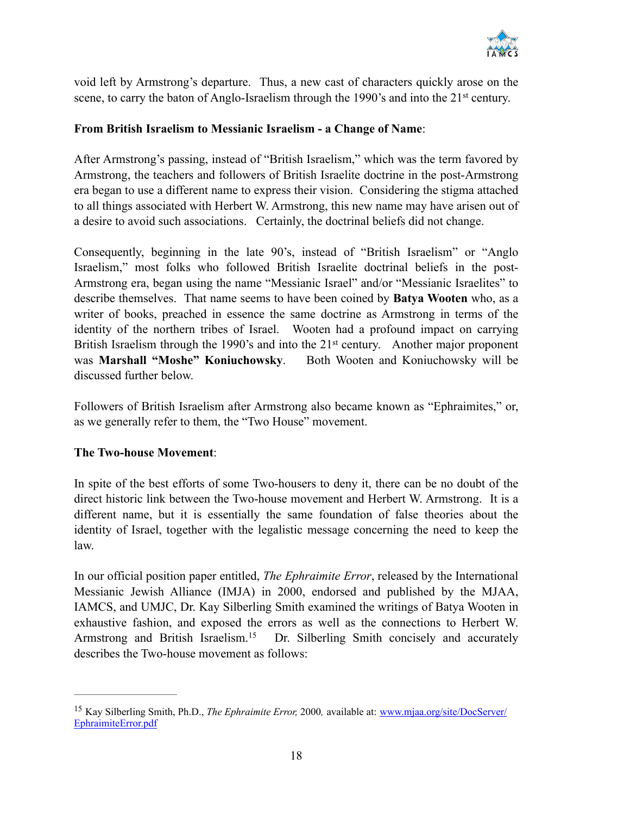

void left by Armstrong's departure. Thus, a new cast of characters quickly arose on the scene, to carry the baton of Anglo-Israelism through the 1990's and into the 21<sup>st</sup> century.

#### **From British Israelism to Messianic Israelism - a Change of Name**:

After Armstrong's passing, instead of "British Israelism," which was the term favored by Armstrong, the teachers and followers of British Israelite doctrine in the post-Armstrong era began to use a different name to express their vision. Considering the stigma attached to all things associated with Herbert W. Armstrong, this new name may have arisen out of a desire to avoid such associations. Certainly, the doctrinal beliefs did not change.

Consequently, beginning in the late 90's, instead of "British Israelism" or "Anglo Israelism," most folks who followed British Israelite doctrinal beliefs in the post-Armstrong era, began using the name "Messianic Israel" and/or "Messianic Israelites" to describe themselves. That name seems to have been coined by **Batya Wooten** who, as a writer of books, preached in essence the same doctrine as Armstrong in terms of the identity of the northern tribes of Israel. Wooten had a profound impact on carrying British Israelism through the 1990's and into the 21<sup>st</sup> century. Another major proponent was **Marshall "Moshe" Koniuchowsky**. Both Wooten and Koniuchowsky will be discussed further below.

Followers of British Israelism after Armstrong also became known as "Ephraimites," or, as we generally refer to them, the "Two House" movement.

#### **The Two-house Movement**:

In spite of the best efforts of some Two-housers to deny it, there can be no doubt of the direct historic link between the Two-house movement and Herbert W. Armstrong. It is a different name, but it is essentially the same foundation of false theories about the identity of Israel, together with the legalistic message concerning the need to keep the law.

In our official position paper entitled, *The Ephraimite Error*, released by the International Messianic Jewish Alliance (IMJA) in 2000, endorsed and published by the MJAA, IAMCS, and UMJC, Dr. Kay Silberling Smith examined the writings of Batya Wooten in exhaustive fashion, and exposed the errors as well as the connections to Herbert W. Armstrong and British Israelism.<sup>15</sup> Dr. Silberling Smith concisely and accurately describes the Two-house movement as follows:

<sup>&</sup>lt;sup>15</sup> Kay Silberling Smith, Ph.D., *The Ephraimite Error*, 2000, available at: [www.mjaa.org/site/DocServer/](http://www.mjaa.org/site/DocServer/EphraimiteError.pdf) EphraimiteError.pdf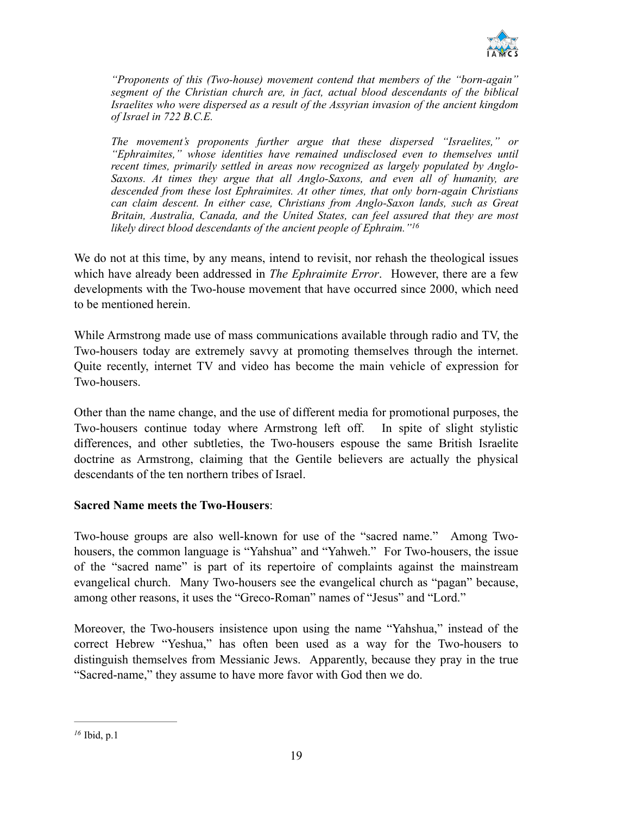

*"Proponents of this (Two-house) movement contend that members of the "born-again" segment of the Christian church are, in fact, actual blood descendants of the biblical Israelites who were dispersed as a result of the Assyrian invasion of the ancient kingdom of Israel in 722 B.C.E.*

*The movement's proponents further argue that these dispersed "Israelites," or "Ephraimites," whose identities have remained undisclosed even to themselves until recent times, primarily settled in areas now recognized as largely populated by Anglo-Saxons. At times they argue that all Anglo-Saxons, and even all of humanity, are descended from these lost Ephraimites. At other times, that only born-again Christians can claim descent. In either case, Christians from Anglo-Saxon lands, such as Great Britain, Australia, Canada, and the United States, can feel assured that they are most likely direct blood descendants of the ancient people of Ephraim."16*

We do not at this time, by any means, intend to revisit, nor rehash the theological issues which have already been addressed in *The Ephraimite Error*. However, there are a few developments with the Two-house movement that have occurred since 2000, which need to be mentioned herein.

While Armstrong made use of mass communications available through radio and TV, the Two-housers today are extremely savvy at promoting themselves through the internet. Quite recently, internet TV and video has become the main vehicle of expression for Two-housers.

Other than the name change, and the use of different media for promotional purposes, the Two-housers continue today where Armstrong left off. In spite of slight stylistic differences, and other subtleties, the Two-housers espouse the same British Israelite doctrine as Armstrong, claiming that the Gentile believers are actually the physical descendants of the ten northern tribes of Israel.

#### **Sacred Name meets the Two-Housers**:

Two-house groups are also well-known for use of the "sacred name." Among Twohousers, the common language is "Yahshua" and "Yahweh." For Two-housers, the issue of the "sacred name" is part of its repertoire of complaints against the mainstream evangelical church. Many Two-housers see the evangelical church as "pagan" because, among other reasons, it uses the "Greco-Roman" names of "Jesus" and "Lord."

Moreover, the Two-housers insistence upon using the name "Yahshua," instead of the correct Hebrew "Yeshua," has often been used as a way for the Two-housers to distinguish themselves from Messianic Jews. Apparently, because they pray in the true "Sacred-name," they assume to have more favor with God then we do.

Ibid, p.1 *16*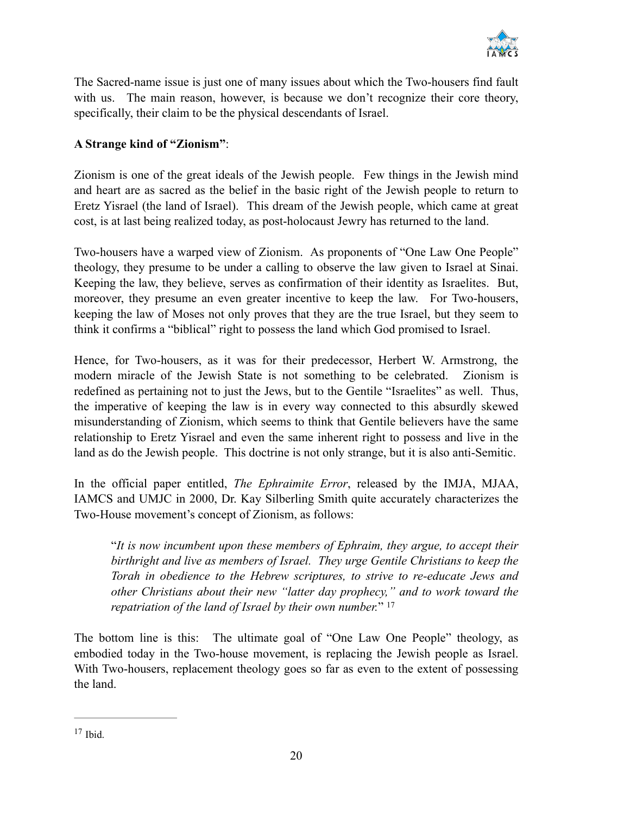

The Sacred-name issue is just one of many issues about which the Two-housers find fault with us. The main reason, however, is because we don't recognize their core theory, specifically, their claim to be the physical descendants of Israel.

#### **A Strange kind of "Zionism"**:

Zionism is one of the great ideals of the Jewish people. Few things in the Jewish mind and heart are as sacred as the belief in the basic right of the Jewish people to return to Eretz Yisrael (the land of Israel). This dream of the Jewish people, which came at great cost, is at last being realized today, as post-holocaust Jewry has returned to the land.

Two-housers have a warped view of Zionism. As proponents of "One Law One People" theology, they presume to be under a calling to observe the law given to Israel at Sinai. Keeping the law, they believe, serves as confirmation of their identity as Israelites. But, moreover, they presume an even greater incentive to keep the law. For Two-housers, keeping the law of Moses not only proves that they are the true Israel, but they seem to think it confirms a "biblical" right to possess the land which God promised to Israel.

Hence, for Two-housers, as it was for their predecessor, Herbert W. Armstrong, the modern miracle of the Jewish State is not something to be celebrated. Zionism is redefined as pertaining not to just the Jews, but to the Gentile "Israelites" as well. Thus, the imperative of keeping the law is in every way connected to this absurdly skewed misunderstanding of Zionism, which seems to think that Gentile believers have the same relationship to Eretz Yisrael and even the same inherent right to possess and live in the land as do the Jewish people. This doctrine is not only strange, but it is also anti-Semitic.

In the official paper entitled, *The Ephraimite Error*, released by the IMJA, MJAA, IAMCS and UMJC in 2000, Dr. Kay Silberling Smith quite accurately characterizes the Two-House movement's concept of Zionism, as follows:

"*It is now incumbent upon these members of Ephraim, they argue, to accept their birthright and live as members of Israel. They urge Gentile Christians to keep the Torah in obedience to the Hebrew scriptures, to strive to re-educate Jews and other Christians about their new "latter day prophecy," and to work toward the repatriation of the land of Israel by their own number.*" 17

The bottom line is this: The ultimate goal of "One Law One People" theology, as embodied today in the Two-house movement, is replacing the Jewish people as Israel. With Two-housers, replacement theology goes so far as even to the extent of possessing the land.

 $17$  Ibid.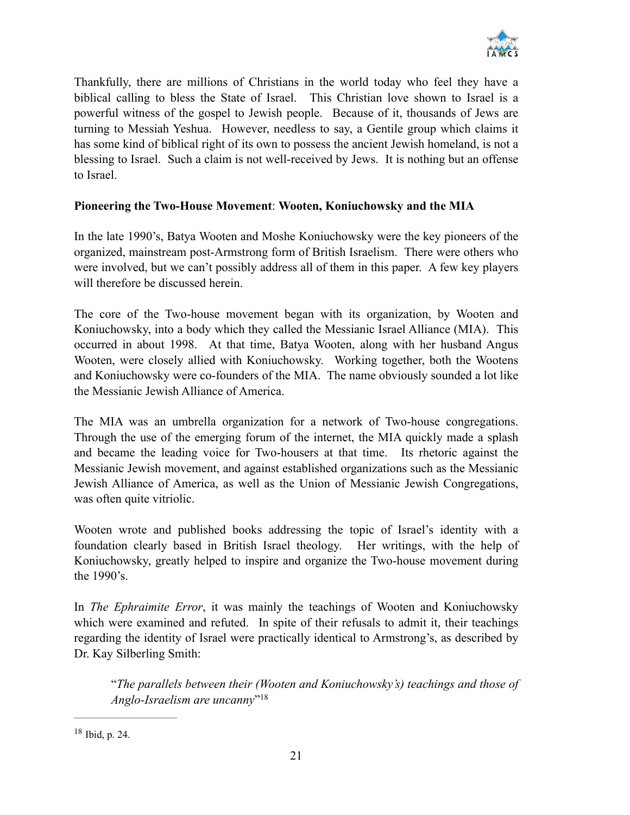

Thankfully, there are millions of Christians in the world today who feel they have a biblical calling to bless the State of Israel. This Christian love shown to Israel is a powerful witness of the gospel to Jewish people. Because of it, thousands of Jews are turning to Messiah Yeshua. However, needless to say, a Gentile group which claims it has some kind of biblical right of its own to possess the ancient Jewish homeland, is not a blessing to Israel. Such a claim is not well-received by Jews. It is nothing but an offense to Israel.

#### **Pioneering the Two-House Movement**: **Wooten, Koniuchowsky and the MIA**

In the late 1990's, Batya Wooten and Moshe Koniuchowsky were the key pioneers of the organized, mainstream post-Armstrong form of British Israelism. There were others who were involved, but we can't possibly address all of them in this paper. A few key players will therefore be discussed herein.

The core of the Two-house movement began with its organization, by Wooten and Koniuchowsky, into a body which they called the Messianic Israel Alliance (MIA). This occurred in about 1998. At that time, Batya Wooten, along with her husband Angus Wooten, were closely allied with Koniuchowsky. Working together, both the Wootens and Koniuchowsky were co-founders of the MIA. The name obviously sounded a lot like the Messianic Jewish Alliance of America.

The MIA was an umbrella organization for a network of Two-house congregations. Through the use of the emerging forum of the internet, the MIA quickly made a splash and became the leading voice for Two-housers at that time. Its rhetoric against the Messianic Jewish movement, and against established organizations such as the Messianic Jewish Alliance of America, as well as the Union of Messianic Jewish Congregations, was often quite vitriolic.

Wooten wrote and published books addressing the topic of Israel's identity with a foundation clearly based in British Israel theology. Her writings, with the help of Koniuchowsky, greatly helped to inspire and organize the Two-house movement during the 1990's.

In *The Ephraimite Error*, it was mainly the teachings of Wooten and Koniuchowsky which were examined and refuted. In spite of their refusals to admit it, their teachings regarding the identity of Israel were practically identical to Armstrong's, as described by Dr. Kay Silberling Smith:

"*The parallels between their (Wooten and Koniuchowsky's) teachings and those of Anglo-Israelism are uncanny*"18

 $18$  Ibid, p. 24.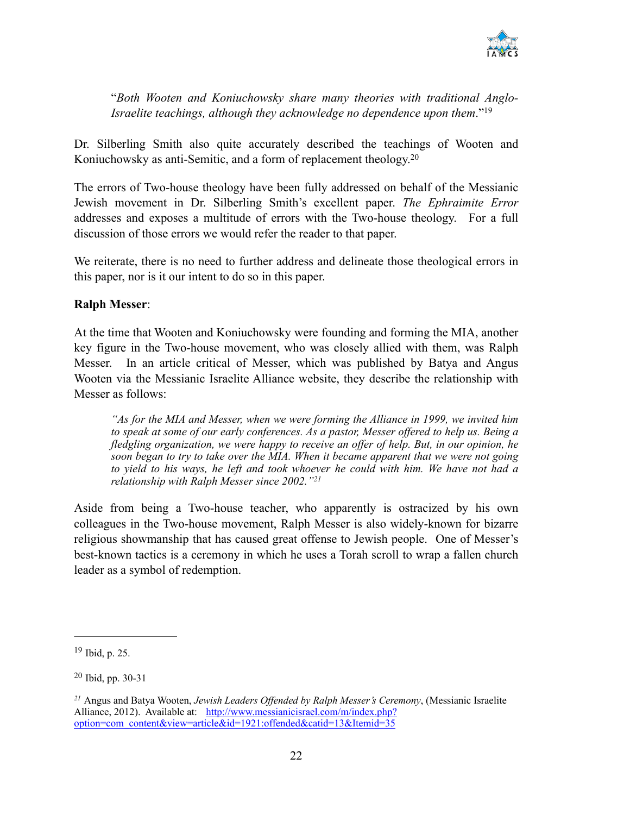

"*Both Wooten and Koniuchowsky share many theories with traditional Anglo-Israelite teachings, although they acknowledge no dependence upon them*."19

Dr. Silberling Smith also quite accurately described the teachings of Wooten and Koniuchowsky as anti-Semitic, and a form of replacement theology.<sup>20</sup>

The errors of Two-house theology have been fully addressed on behalf of the Messianic Jewish movement in Dr. Silberling Smith's excellent paper. *The Ephraimite Error* addresses and exposes a multitude of errors with the Two-house theology. For a full discussion of those errors we would refer the reader to that paper.

We reiterate, there is no need to further address and delineate those theological errors in this paper, nor is it our intent to do so in this paper.

#### **Ralph Messer**:

At the time that Wooten and Koniuchowsky were founding and forming the MIA, another key figure in the Two-house movement, who was closely allied with them, was Ralph Messer. In an article critical of Messer, which was published by Batya and Angus Wooten via the Messianic Israelite Alliance website, they describe the relationship with Messer as follows:

*"As for the MIA and Messer, when we were forming the Alliance in 1999, we invited him to speak at some of our early conferences. As a pastor, Messer offered to help us. Being a fledgling organization, we were happy to receive an offer of help. But, in our opinion, he soon began to try to take over the MIA. When it became apparent that we were not going to yield to his ways, he left and took whoever he could with him. We have not had a relationship with Ralph Messer since 2002."21*

Aside from being a Two-house teacher, who apparently is ostracized by his own colleagues in the Two-house movement, Ralph Messer is also widely-known for bizarre religious showmanship that has caused great offense to Jewish people. One of Messer's best-known tactics is a ceremony in which he uses a Torah scroll to wrap a fallen church leader as a symbol of redemption.

 $19$  Ibid, p. 25.

 $20$  Ibid, pp. 30-31

Angus and Batya Wooten, *Jewish Leaders Offended by Ralph Messer's Ceremony*, (Messianic Israelite *<sup>21</sup>* [Alliance, 2012\). Available at: http://www.messianicisrael.com/m/index.php?](http://www.messianicisrael.com/m/index.php?option=com_content&view=article&id=1921:offended&catid=13&Itemid=35) option=com\_content&view=article&id=1921:offended&catid=13&Itemid=35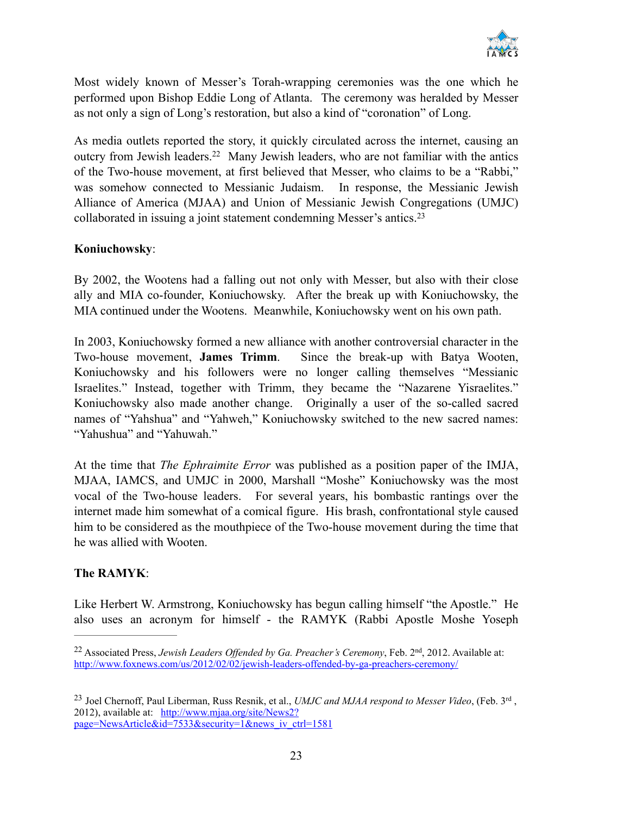

Most widely known of Messer's Torah-wrapping ceremonies was the one which he performed upon Bishop Eddie Long of Atlanta. The ceremony was heralded by Messer as not only a sign of Long's restoration, but also a kind of "coronation" of Long.

As media outlets reported the story, it quickly circulated across the internet, causing an outcry from Jewish leaders.<sup>22</sup> Many Jewish leaders, who are not familiar with the antics of the Two-house movement, at first believed that Messer, who claims to be a "Rabbi," was somehow connected to Messianic Judaism. In response, the Messianic Jewish Alliance of America (MJAA) and Union of Messianic Jewish Congregations (UMJC) collaborated in issuing a joint statement condemning Messer's antics. 23

#### **Koniuchowsky**:

By 2002, the Wootens had a falling out not only with Messer, but also with their close ally and MIA co-founder, Koniuchowsky. After the break up with Koniuchowsky, the MIA continued under the Wootens. Meanwhile, Koniuchowsky went on his own path.

In 2003, Koniuchowsky formed a new alliance with another controversial character in the Two-house movement, **James Trimm**. Since the break-up with Batya Wooten, Koniuchowsky and his followers were no longer calling themselves "Messianic Israelites." Instead, together with Trimm, they became the "Nazarene Yisraelites." Koniuchowsky also made another change. Originally a user of the so-called sacred names of "Yahshua" and "Yahweh," Koniuchowsky switched to the new sacred names: "Yahushua" and "Yahuwah."

At the time that *The Ephraimite Error* was published as a position paper of the IMJA, MJAA, IAMCS, and UMJC in 2000, Marshall "Moshe" Koniuchowsky was the most vocal of the Two-house leaders. For several years, his bombastic rantings over the internet made him somewhat of a comical figure. His brash, confrontational style caused him to be considered as the mouthpiece of the Two-house movement during the time that he was allied with Wooten.

#### **The RAMYK**:

Like Herbert W. Armstrong, Koniuchowsky has begun calling himself "the Apostle." He also uses an acronym for himself - the RAMYK (Rabbi Apostle Moshe Yoseph

<sup>&</sup>lt;sup>22</sup> Associated Press, *Jewish Leaders Offended by Ga. Preacher's Ceremony*, Feb. 2<sup>nd</sup>, 2012. Available at: <http://www.foxnews.com/us/2012/02/02/jewish-leaders-offended-by-ga-preachers-ceremony/>

<sup>&</sup>lt;sup>23</sup> Joel Chernoff, Paul Liberman, Russ Resnik, et al., *UMJC and MJAA respond to Messer Video*, (Feb. 3<sup>rd</sup>, 2012), available at: http://www.mjaa.org/site/News2? [page=NewsArticle&id=7533&security=1&news\\_iv\\_ctrl=1581](http://www.mjaa.org/site/News2?page=NewsArticle&id=7533&security=1&news_iv_ctrl=1581)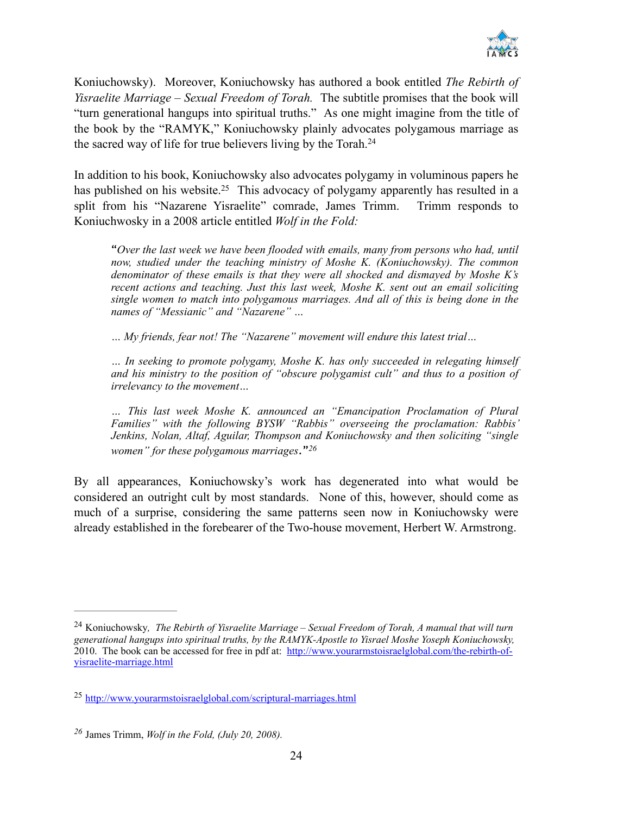

Koniuchowsky). Moreover, Koniuchowsky has authored a book entitled *The Rebirth of Yisraelite Marriage – Sexual Freedom of Torah.* The subtitle promises that the book will "turn generational hangups into spiritual truths." As one might imagine from the title of the book by the "RAMYK," Koniuchowsky plainly advocates polygamous marriage as the sacred way of life for true believers living by the Torah.24

In addition to his book, Koniuchowsky also advocates polygamy in voluminous papers he has published on his website.<sup>25</sup> This advocacy of polygamy apparently has resulted in a split from his "Nazarene Yisraelite" comrade, James Trimm. Trimm responds to Koniuchwosky in a 2008 article entitled *Wolf in the Fold:*

"*Over the last week we have been flooded with emails, many from persons who had, until now, studied under the teaching ministry of Moshe K. (Koniuchowsky). The common denominator of these emails is that they were all shocked and dismayed by Moshe K's recent actions and teaching. Just this last week, Moshe K. sent out an email soliciting single women to match into polygamous marriages. And all of this is being done in the names of "Messianic" and "Nazarene" …*

*… My friends, fear not! The "Nazarene" movement will endure this latest trial…* 

*… In seeking to promote polygamy, Moshe K. has only succeeded in relegating himself and his ministry to the position of "obscure polygamist cult" and thus to a position of irrelevancy to the movement…*

*… This last week Moshe K. announced an "Emancipation Proclamation of Plural Families" with the following BYSW "Rabbis" overseeing the proclamation: Rabbis' Jenkins, Nolan, Altaf, Aguilar, Thompson and Koniuchowsky and then soliciting "single women" for these polygamous marriages*."*<sup>26</sup>*

By all appearances, Koniuchowsky's work has degenerated into what would be considered an outright cult by most standards. None of this, however, should come as much of a surprise, considering the same patterns seen now in Koniuchowsky were already established in the forebearer of the Two-house movement, Herbert W. Armstrong.

Koniuchowsky*, The Rebirth of Yisraelite Marriage – Sexual Freedom of Torah, A manual that will turn* <sup>24</sup> *generational hangups into spiritual truths, by the RAMYK-Apostle to Yisrael Moshe Yoseph Koniuchowsky,*  [2010. The book can be accessed for free in pdf at: http://www.yourarmstoisraelglobal.com/the-rebirth-of](http://www.yourarmstoisraelglobal.com/the-rebirth-of-yisraelite-marriage.html)yisraelite-marriage.html

<http://www.yourarmstoisraelglobal.com/scriptural-marriages.html> <sup>25</sup>

James Trimm, *Wolf in the Fold, (July 20, 2008). <sup>26</sup>*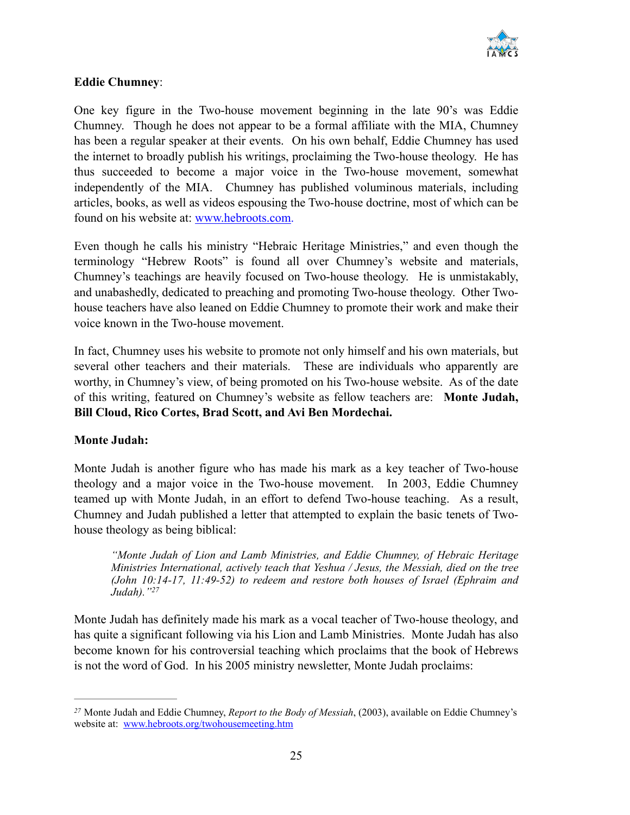

#### **Eddie Chumney**:

One key figure in the Two-house movement beginning in the late 90's was Eddie Chumney. Though he does not appear to be a formal affiliate with the MIA, Chumney has been a regular speaker at their events. On his own behalf, Eddie Chumney has used the internet to broadly publish his writings, proclaiming the Two-house theology. He has thus succeeded to become a major voice in the Two-house movement, somewhat independently of the MIA. Chumney has published voluminous materials, including articles, books, as well as videos espousing the Two-house doctrine, most of which can be found on his website at: [www.hebroots.com.](http://www.hebroots.com)

Even though he calls his ministry "Hebraic Heritage Ministries," and even though the terminology "Hebrew Roots" is found all over Chumney's website and materials, Chumney's teachings are heavily focused on Two-house theology. He is unmistakably, and unabashedly, dedicated to preaching and promoting Two-house theology. Other Twohouse teachers have also leaned on Eddie Chumney to promote their work and make their voice known in the Two-house movement.

In fact, Chumney uses his website to promote not only himself and his own materials, but several other teachers and their materials. These are individuals who apparently are worthy, in Chumney's view, of being promoted on his Two-house website. As of the date of this writing, featured on Chumney's website as fellow teachers are: **Monte Judah, Bill Cloud, Rico Cortes, Brad Scott, and Avi Ben Mordechai.**

#### **Monte Judah:**

Monte Judah is another figure who has made his mark as a key teacher of Two-house theology and a major voice in the Two-house movement. In 2003, Eddie Chumney teamed up with Monte Judah, in an effort to defend Two-house teaching. As a result, Chumney and Judah published a letter that attempted to explain the basic tenets of Twohouse theology as being biblical:

*"Monte Judah of Lion and Lamb Ministries, and Eddie Chumney, of Hebraic Heritage Ministries International, actively teach that Yeshua / Jesus, the Messiah, died on the tree (John 10:14-17, 11:49-52) to redeem and restore both houses of Israel (Ephraim and Judah)."27*

Monte Judah has definitely made his mark as a vocal teacher of Two-house theology, and has quite a significant following via his Lion and Lamb Ministries. Monte Judah has also become known for his controversial teaching which proclaims that the book of Hebrews is not the word of God. In his 2005 ministry newsletter, Monte Judah proclaims:

Monte Judah and Eddie Chumney, *Report to the Body of Messiah*, (2003), available on Eddie Chumney's *<sup>27</sup>* website at: [www.hebroots.org/twohousemeeting.htm](http://www.hebroots.org/twohousemeeting.htm)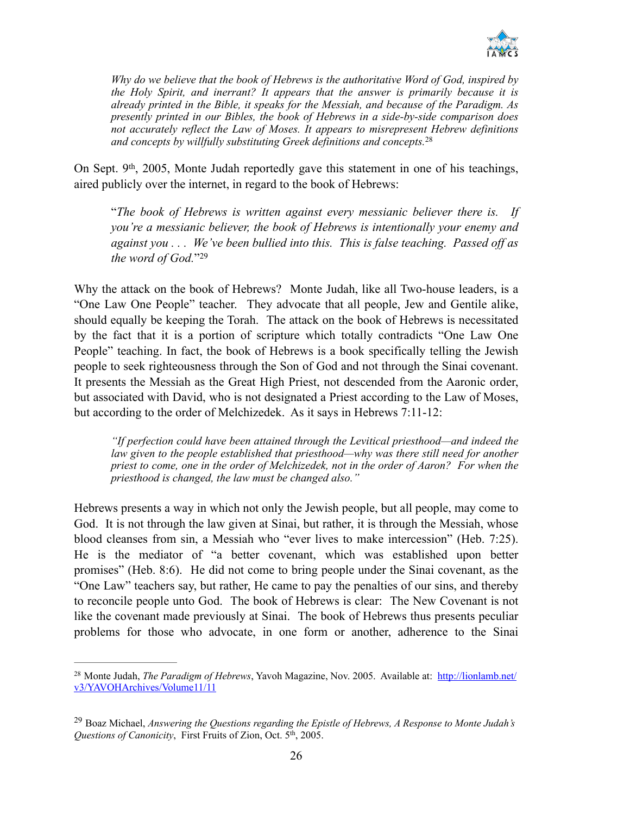

*Why do we believe that the book of Hebrews is the authoritative Word of God, inspired by the Holy Spirit, and inerrant? It appears that the answer is primarily because it is already printed in the Bible, it speaks for the Messiah, and because of the Paradigm. As presently printed in our Bibles, the book of Hebrews in a side-by-side comparison does not accurately reflect the Law of Moses. It appears to misrepresent Hebrew definitions and concepts by willfully substituting Greek definitions and concepts.* 28

On Sept.  $9<sup>th</sup>$ , 2005, Monte Judah reportedly gave this statement in one of his teachings, aired publicly over the internet, in regard to the book of Hebrews:

"*The book of Hebrews is written against every messianic believer there is. If you're a messianic believer, the book of Hebrews is intentionally your enemy and against you . . . We've been bullied into this. This is false teaching. Passed off as the word of God.*"29

Why the attack on the book of Hebrews? Monte Judah, like all Two-house leaders, is a "One Law One People" teacher. They advocate that all people, Jew and Gentile alike, should equally be keeping the Torah. The attack on the book of Hebrews is necessitated by the fact that it is a portion of scripture which totally contradicts "One Law One People" teaching. In fact, the book of Hebrews is a book specifically telling the Jewish people to seek righteousness through the Son of God and not through the Sinai covenant. It presents the Messiah as the Great High Priest, not descended from the Aaronic order, but associated with David, who is not designated a Priest according to the Law of Moses, but according to the order of Melchizedek. As it says in Hebrews 7:11-12:

*"If perfection could have been attained through the Levitical priesthood—and indeed the law given to the people established that priesthood—why was there still need for another priest to come, one in the order of Melchizedek, not in the order of Aaron? For when the priesthood is changed, the law must be changed also."*

Hebrews presents a way in which not only the Jewish people, but all people, may come to God. It is not through the law given at Sinai, but rather, it is through the Messiah, whose blood cleanses from sin, a Messiah who "ever lives to make intercession" (Heb. 7:25). He is the mediator of "a better covenant, which was established upon better promises" (Heb. 8:6). He did not come to bring people under the Sinai covenant, as the "One Law" teachers say, but rather, He came to pay the penalties of our sins, and thereby to reconcile people unto God. The book of Hebrews is clear: The New Covenant is not like the covenant made previously at Sinai. The book of Hebrews thus presents peculiar problems for those who advocate, in one form or another, adherence to the Sinai

<sup>&</sup>lt;sup>28</sup> Monte Judah, *The Paradigm of Hebrews*[, Yavoh Magazine, Nov. 2005. Available at: http://lionlamb.net/](http://lionlamb.net/v3/YAVOHArchives/Volume11/11) v3/YAVOHArchives/Volume11/11

Boaz Michael, *Answering the Questions regarding the Epistle of Hebrews, A Response to Monte Judah's* <sup>29</sup> *Questions of Canonicity*, First Fruits of Zion, Oct. 5<sup>th</sup>, 2005.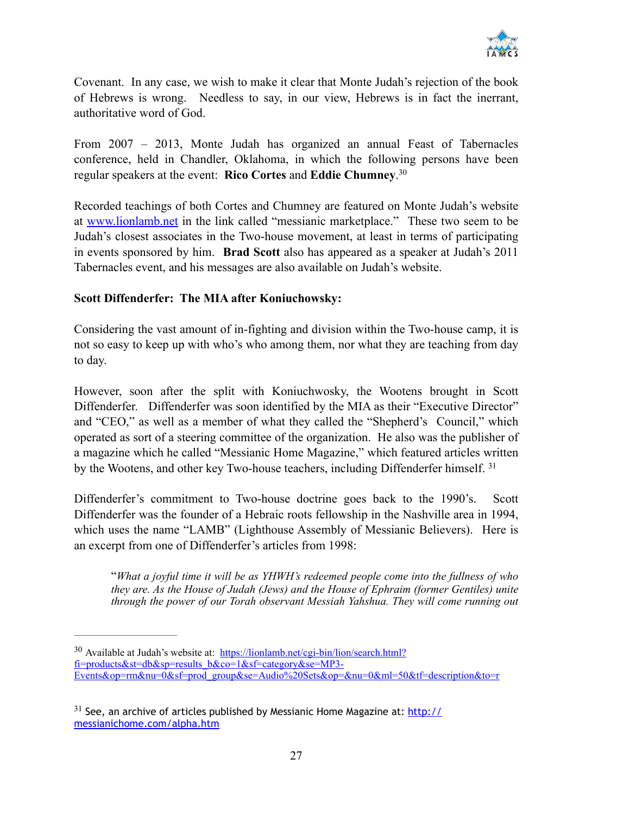

Covenant. In any case, we wish to make it clear that Monte Judah's rejection of the book of Hebrews is wrong. Needless to say, in our view, Hebrews is in fact the inerrant, authoritative word of God.

From 2007 – 2013, Monte Judah has organized an annual Feast of Tabernacles conference, held in Chandler, Oklahoma, in which the following persons have been regular speakers at the event: **Rico Cortes** and **Eddie Chumney**. 30

Recorded teachings of both Cortes and Chumney are featured on Monte Judah's website at [www.lionlamb.net](http://www.lionlamb.net) in the link called "messianic marketplace." These two seem to be Judah's closest associates in the Two-house movement, at least in terms of participating in events sponsored by him. **Brad Scott** also has appeared as a speaker at Judah's 2011 Tabernacles event, and his messages are also available on Judah's website.

#### **Scott Diffenderfer: The MIA after Koniuchowsky:**

Considering the vast amount of in-fighting and division within the Two-house camp, it is not so easy to keep up with who's who among them, nor what they are teaching from day to day.

However, soon after the split with Koniuchwosky, the Wootens brought in Scott Diffenderfer. Diffenderfer was soon identified by the MIA as their "Executive Director" and "CEO," as well as a member of what they called the "Shepherd's Council," which operated as sort of a steering committee of the organization. He also was the publisher of a magazine which he called "Messianic Home Magazine," which featured articles written by the Wootens, and other key Two-house teachers, including Diffenderfer himself. 31

Diffenderfer's commitment to Two-house doctrine goes back to the 1990's. Scott Diffenderfer was the founder of a Hebraic roots fellowship in the Nashville area in 1994, which uses the name "LAMB" (Lighthouse Assembly of Messianic Believers). Here is an excerpt from one of Diffenderfer's articles from 1998:

"*What a joyful time it will be as YHWH's redeemed people come into the fullness of who they are. As the House of Judah (Jews) and the House of Ephraim (former Gentiles) unite through the power of our Torah observant Messiah Yahshua. They will come running out* 

<sup>&</sup>lt;sup>30</sup> Available at Judah's website at: https://lionlamb.net/cgi-bin/lion/search.html? fi=products&st=db&sp=results\_b&co=1&sf=category&se=MP3- [Events&op=rm&nu=0&sf=prod\\_group&se=Audio%20Sets&op=&nu=0&ml=50&tf=description&to=r](https://lionlamb.net/cgi-bin/lion/search.html?fi=products&st=db&sp=results_b&co=1&sf=category&se=MP3-Events&op=rm&nu=0&sf=prod_group&se=Audio%2520Sets&op=&nu=0&ml=50&tf=description&to=r)

 $31$  [See, an archive of articles published by Messianic Home Magazine at: http://](http://messianichome.com/alpha.htm) messianichome.com/alpha.htm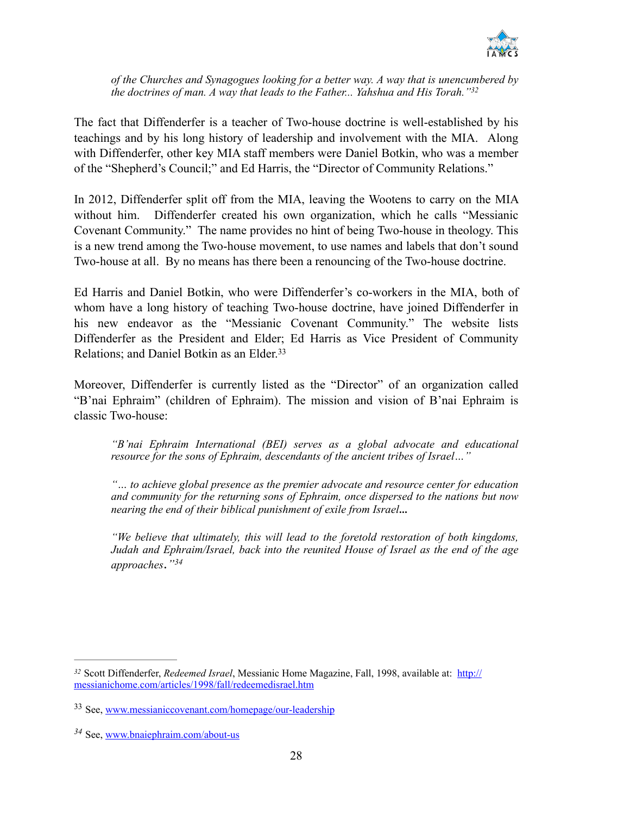

*of the Churches and Synagogues looking for a better way. A way that is unencumbered by the doctrines of man. A way that leads to the Father... Yahshua and His Torah."32*

The fact that Diffenderfer is a teacher of Two-house doctrine is well-established by his teachings and by his long history of leadership and involvement with the MIA. Along with Diffenderfer, other key MIA staff members were Daniel Botkin, who was a member of the "Shepherd's Council;" and Ed Harris, the "Director of Community Relations."

In 2012, Diffenderfer split off from the MIA, leaving the Wootens to carry on the MIA without him. Diffenderfer created his own organization, which he calls "Messianic Covenant Community." The name provides no hint of being Two-house in theology. This is a new trend among the Two-house movement, to use names and labels that don't sound Two-house at all. By no means has there been a renouncing of the Two-house doctrine.

Ed Harris and Daniel Botkin, who were Diffenderfer's co-workers in the MIA, both of whom have a long history of teaching Two-house doctrine, have joined Diffenderfer in his new endeavor as the "Messianic Covenant Community." The website lists Diffenderfer as the President and Elder; Ed Harris as Vice President of Community Relations; and Daniel Botkin as an Elder.<sup>33</sup>

Moreover, Diffenderfer is currently listed as the "Director" of an organization called "B'nai Ephraim" (children of Ephraim). The mission and vision of B'nai Ephraim is classic Two-house:

*"B'nai Ephraim International (BEI) serves as a global advocate and educational resource for the sons of Ephraim, descendants of the ancient tribes of Israel…"*

*"… to achieve global presence as the premier advocate and resource center for education and community for the returning sons of Ephraim, once dispersed to the nations but now nearing the end of their biblical punishment of exile from Israel*…

*"We believe that ultimately, this will lead to the foretold restoration of both kingdoms, Judah and Ephraim/Israel, back into the reunited House of Israel as the end of the age approaches*.*"34*

Scott Diffenderfer, *Redeemed Israel*[, Messianic Home Magazine, Fall, 1998, available at: http://](http://messianichome.com/articles/1998/fall/redeemedisrael.htm) *<sup>32</sup>* messianichome.com/articles/1998/fall/redeemedisrael.htm

See, [www.messianiccovenant.com/homepage/our-leadership](http://www.messianiccovenant.com/homepage/our-leadership) <sup>33</sup>

See, [www.bnaiephraim.com/about-us](http://www.bnaiephraim.com/about-us) *<sup>34</sup>*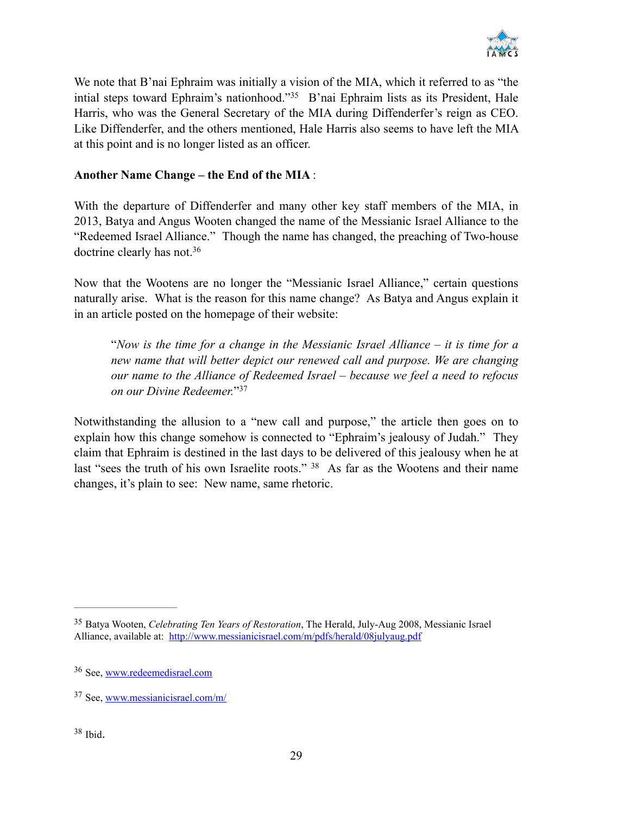

We note that B'nai Ephraim was initially a vision of the MIA, which it referred to as "the intial steps toward Ephraim's nationhood."<sup>35</sup> B'nai Ephraim lists as its President, Hale Harris, who was the General Secretary of the MIA during Diffenderfer's reign as CEO. Like Diffenderfer, and the others mentioned, Hale Harris also seems to have left the MIA at this point and is no longer listed as an officer.

#### **Another Name Change – the End of the MIA** :

With the departure of Diffenderfer and many other key staff members of the MIA, in 2013, Batya and Angus Wooten changed the name of the Messianic Israel Alliance to the "Redeemed Israel Alliance." Though the name has changed, the preaching of Two-house doctrine clearly has not. 36

Now that the Wootens are no longer the "Messianic Israel Alliance," certain questions naturally arise. What is the reason for this name change? As Batya and Angus explain it in an article posted on the homepage of their website:

"*Now is the time for a change in the Messianic Israel Alliance – it is time for a new name that will better depict our renewed call and purpose. We are changing our name to the Alliance of Redeemed Israel – because we feel a need to refocus*  on our Divine Redeemer."<sup>37</sup>

Notwithstanding the allusion to a "new call and purpose," the article then goes on to explain how this change somehow is connected to "Ephraim's jealousy of Judah." They claim that Ephraim is destined in the last days to be delivered of this jealousy when he at last "sees the truth of his own Israelite roots." <sup>38</sup> As far as the Wootens and their name changes, it's plain to see: New name, same rhetoric.

Batya Wooten, *Celebrating Ten Years of Restoration*, The Herald, July-Aug 2008, Messianic Israel 35 Alliance, available at: <http://www.messianicisrael.com/m/pdfs/herald/08julyaug.pdf>

<sup>36</sup> See, [www.redeemedisrael.com](http://www.redeemedisrael.com)

<sup>&</sup>lt;sup>37</sup> See, [www.messianicisrael.com/m/](http://www.messianicisrael.com/m/)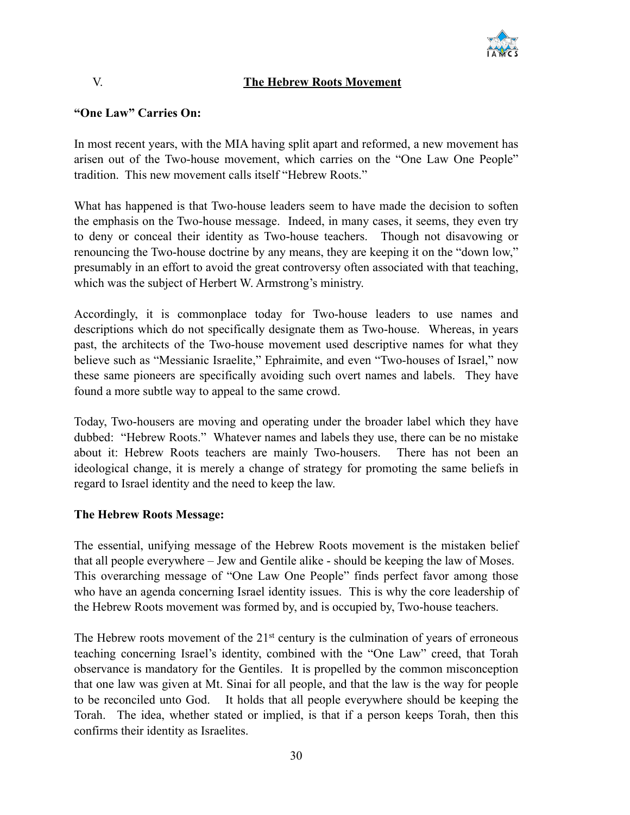

#### V. **The Hebrew Roots Movement**

### **"One Law" Carries On:**

In most recent years, with the MIA having split apart and reformed, a new movement has arisen out of the Two-house movement, which carries on the "One Law One People" tradition. This new movement calls itself "Hebrew Roots."

What has happened is that Two-house leaders seem to have made the decision to soften the emphasis on the Two-house message. Indeed, in many cases, it seems, they even try to deny or conceal their identity as Two-house teachers. Though not disavowing or renouncing the Two-house doctrine by any means, they are keeping it on the "down low," presumably in an effort to avoid the great controversy often associated with that teaching, which was the subject of Herbert W. Armstrong's ministry.

Accordingly, it is commonplace today for Two-house leaders to use names and descriptions which do not specifically designate them as Two-house. Whereas, in years past, the architects of the Two-house movement used descriptive names for what they believe such as "Messianic Israelite," Ephraimite, and even "Two-houses of Israel," now these same pioneers are specifically avoiding such overt names and labels. They have found a more subtle way to appeal to the same crowd.

Today, Two-housers are moving and operating under the broader label which they have dubbed: "Hebrew Roots." Whatever names and labels they use, there can be no mistake about it: Hebrew Roots teachers are mainly Two-housers. There has not been an ideological change, it is merely a change of strategy for promoting the same beliefs in regard to Israel identity and the need to keep the law.

#### **The Hebrew Roots Message:**

The essential, unifying message of the Hebrew Roots movement is the mistaken belief that all people everywhere – Jew and Gentile alike - should be keeping the law of Moses. This overarching message of "One Law One People" finds perfect favor among those who have an agenda concerning Israel identity issues. This is why the core leadership of the Hebrew Roots movement was formed by, and is occupied by, Two-house teachers.

The Hebrew roots movement of the  $21<sup>st</sup>$  century is the culmination of years of erroneous teaching concerning Israel's identity, combined with the "One Law" creed, that Torah observance is mandatory for the Gentiles. It is propelled by the common misconception that one law was given at Mt. Sinai for all people, and that the law is the way for people to be reconciled unto God. It holds that all people everywhere should be keeping the Torah. The idea, whether stated or implied, is that if a person keeps Torah, then this confirms their identity as Israelites.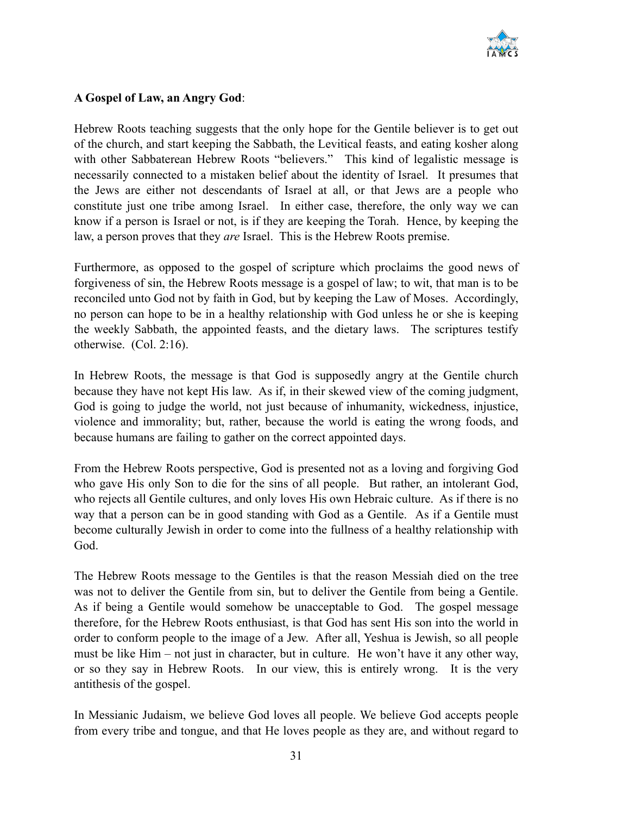

#### **A Gospel of Law, an Angry God**:

Hebrew Roots teaching suggests that the only hope for the Gentile believer is to get out of the church, and start keeping the Sabbath, the Levitical feasts, and eating kosher along with other Sabbaterean Hebrew Roots "believers." This kind of legalistic message is necessarily connected to a mistaken belief about the identity of Israel. It presumes that the Jews are either not descendants of Israel at all, or that Jews are a people who constitute just one tribe among Israel. In either case, therefore, the only way we can know if a person is Israel or not, is if they are keeping the Torah. Hence, by keeping the law, a person proves that they *are* Israel. This is the Hebrew Roots premise.

Furthermore, as opposed to the gospel of scripture which proclaims the good news of forgiveness of sin, the Hebrew Roots message is a gospel of law; to wit, that man is to be reconciled unto God not by faith in God, but by keeping the Law of Moses. Accordingly, no person can hope to be in a healthy relationship with God unless he or she is keeping the weekly Sabbath, the appointed feasts, and the dietary laws. The scriptures testify otherwise. (Col. 2:16).

In Hebrew Roots, the message is that God is supposedly angry at the Gentile church because they have not kept His law. As if, in their skewed view of the coming judgment, God is going to judge the world, not just because of inhumanity, wickedness, injustice, violence and immorality; but, rather, because the world is eating the wrong foods, and because humans are failing to gather on the correct appointed days.

From the Hebrew Roots perspective, God is presented not as a loving and forgiving God who gave His only Son to die for the sins of all people. But rather, an intolerant God, who rejects all Gentile cultures, and only loves His own Hebraic culture. As if there is no way that a person can be in good standing with God as a Gentile. As if a Gentile must become culturally Jewish in order to come into the fullness of a healthy relationship with God.

The Hebrew Roots message to the Gentiles is that the reason Messiah died on the tree was not to deliver the Gentile from sin, but to deliver the Gentile from being a Gentile. As if being a Gentile would somehow be unacceptable to God. The gospel message therefore, for the Hebrew Roots enthusiast, is that God has sent His son into the world in order to conform people to the image of a Jew. After all, Yeshua is Jewish, so all people must be like Him – not just in character, but in culture. He won't have it any other way, or so they say in Hebrew Roots. In our view, this is entirely wrong. It is the very antithesis of the gospel.

In Messianic Judaism, we believe God loves all people. We believe God accepts people from every tribe and tongue, and that He loves people as they are, and without regard to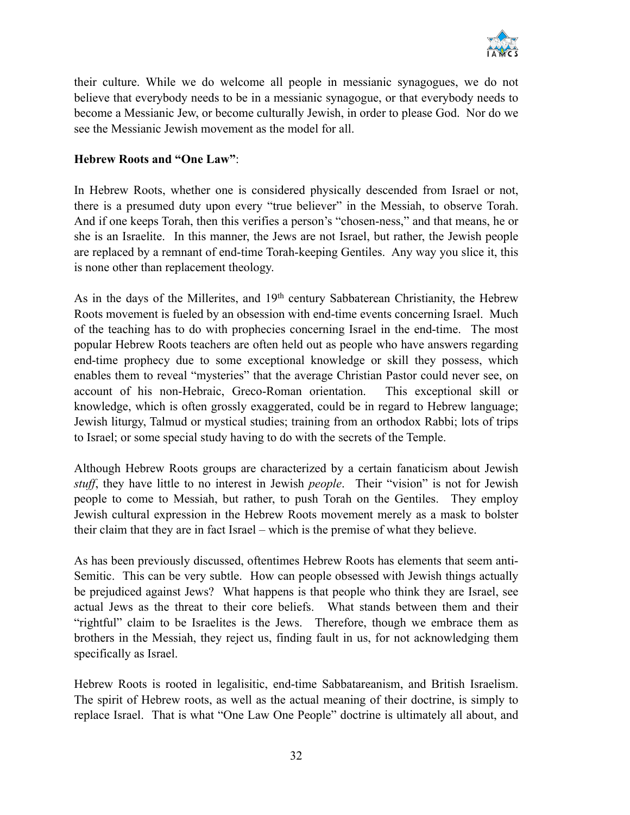

their culture. While we do welcome all people in messianic synagogues, we do not believe that everybody needs to be in a messianic synagogue, or that everybody needs to become a Messianic Jew, or become culturally Jewish, in order to please God. Nor do we see the Messianic Jewish movement as the model for all.

#### **Hebrew Roots and "One Law"**:

In Hebrew Roots, whether one is considered physically descended from Israel or not, there is a presumed duty upon every "true believer" in the Messiah, to observe Torah. And if one keeps Torah, then this verifies a person's "chosen-ness," and that means, he or she is an Israelite. In this manner, the Jews are not Israel, but rather, the Jewish people are replaced by a remnant of end-time Torah-keeping Gentiles. Any way you slice it, this is none other than replacement theology.

As in the days of the Millerites, and 19<sup>th</sup> century Sabbaterean Christianity, the Hebrew Roots movement is fueled by an obsession with end-time events concerning Israel. Much of the teaching has to do with prophecies concerning Israel in the end-time. The most popular Hebrew Roots teachers are often held out as people who have answers regarding end-time prophecy due to some exceptional knowledge or skill they possess, which enables them to reveal "mysteries" that the average Christian Pastor could never see, on account of his non-Hebraic, Greco-Roman orientation. This exceptional skill or knowledge, which is often grossly exaggerated, could be in regard to Hebrew language; Jewish liturgy, Talmud or mystical studies; training from an orthodox Rabbi; lots of trips to Israel; or some special study having to do with the secrets of the Temple.

Although Hebrew Roots groups are characterized by a certain fanaticism about Jewish *stuff*, they have little to no interest in Jewish *people*. Their "vision" is not for Jewish people to come to Messiah, but rather, to push Torah on the Gentiles. They employ Jewish cultural expression in the Hebrew Roots movement merely as a mask to bolster their claim that they are in fact Israel – which is the premise of what they believe.

As has been previously discussed, oftentimes Hebrew Roots has elements that seem anti-Semitic. This can be very subtle. How can people obsessed with Jewish things actually be prejudiced against Jews? What happens is that people who think they are Israel, see actual Jews as the threat to their core beliefs. What stands between them and their "rightful" claim to be Israelites is the Jews. Therefore, though we embrace them as brothers in the Messiah, they reject us, finding fault in us, for not acknowledging them specifically as Israel.

Hebrew Roots is rooted in legalisitic, end-time Sabbatareanism, and British Israelism. The spirit of Hebrew roots, as well as the actual meaning of their doctrine, is simply to replace Israel. That is what "One Law One People" doctrine is ultimately all about, and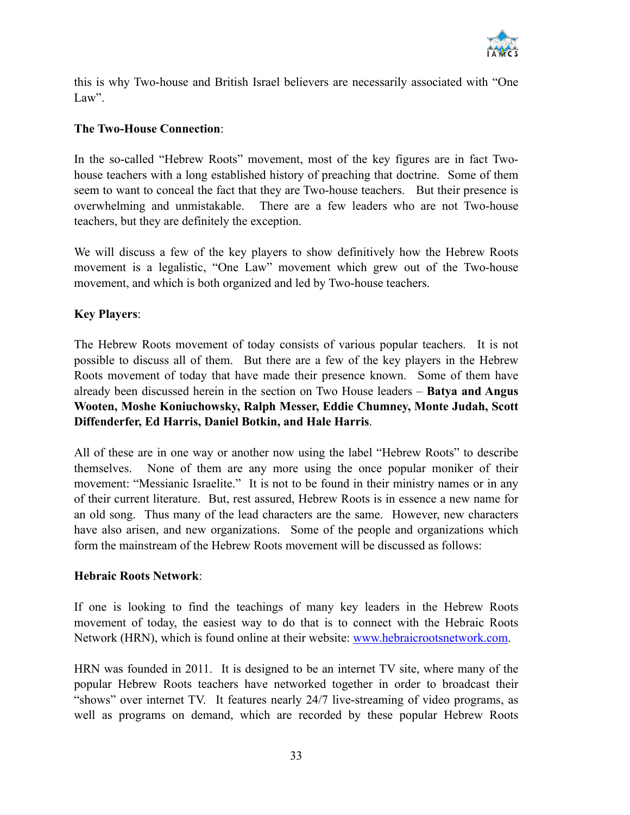

this is why Two-house and British Israel believers are necessarily associated with "One Law".

#### **The Two-House Connection**:

In the so-called "Hebrew Roots" movement, most of the key figures are in fact Twohouse teachers with a long established history of preaching that doctrine. Some of them seem to want to conceal the fact that they are Two-house teachers. But their presence is overwhelming and unmistakable. There are a few leaders who are not Two-house teachers, but they are definitely the exception.

We will discuss a few of the key players to show definitively how the Hebrew Roots movement is a legalistic, "One Law" movement which grew out of the Two-house movement, and which is both organized and led by Two-house teachers.

#### **Key Players**:

The Hebrew Roots movement of today consists of various popular teachers. It is not possible to discuss all of them. But there are a few of the key players in the Hebrew Roots movement of today that have made their presence known. Some of them have already been discussed herein in the section on Two House leaders – **Batya and Angus Wooten, Moshe Koniuchowsky, Ralph Messer, Eddie Chumney, Monte Judah, Scott Diffenderfer, Ed Harris, Daniel Botkin, and Hale Harris**.

All of these are in one way or another now using the label "Hebrew Roots" to describe themselves. None of them are any more using the once popular moniker of their movement: "Messianic Israelite." It is not to be found in their ministry names or in any of their current literature. But, rest assured, Hebrew Roots is in essence a new name for an old song. Thus many of the lead characters are the same. However, new characters have also arisen, and new organizations. Some of the people and organizations which form the mainstream of the Hebrew Roots movement will be discussed as follows:

#### **Hebraic Roots Network**:

If one is looking to find the teachings of many key leaders in the Hebrew Roots movement of today, the easiest way to do that is to connect with the Hebraic Roots Network (HRN), which is found online at their website: [www.hebraicrootsnetwork.com.](http://www.hebraicrootsnetwork.com)

HRN was founded in 2011. It is designed to be an internet TV site, where many of the popular Hebrew Roots teachers have networked together in order to broadcast their "shows" over internet TV. It features nearly 24/7 live-streaming of video programs, as well as programs on demand, which are recorded by these popular Hebrew Roots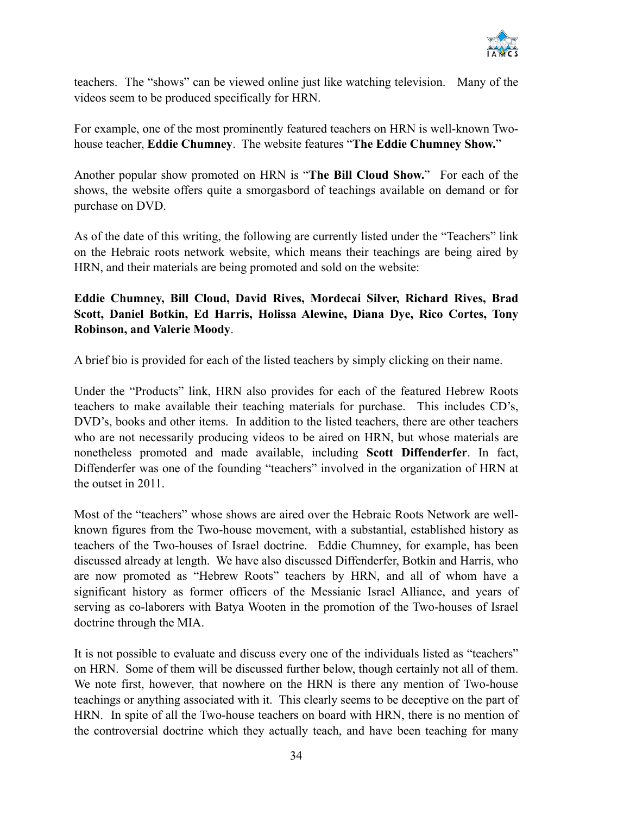

teachers. The "shows" can be viewed online just like watching television. Many of the videos seem to be produced specifically for HRN.

For example, one of the most prominently featured teachers on HRN is well-known Twohouse teacher, **Eddie Chumney**. The website features "**The Eddie Chumney Show.**"

Another popular show promoted on HRN is "**The Bill Cloud Show.**" For each of the shows, the website offers quite a smorgasbord of teachings available on demand or for purchase on DVD.

As of the date of this writing, the following are currently listed under the "Teachers" link on the Hebraic roots network website, which means their teachings are being aired by HRN, and their materials are being promoted and sold on the website:

#### **Eddie Chumney, Bill Cloud, David Rives, Mordecai Silver, Richard Rives, Brad Scott, Daniel Botkin, Ed Harris, Holissa Alewine, Diana Dye, Rico Cortes, Tony Robinson, and Valerie Moody**.

A brief bio is provided for each of the listed teachers by simply clicking on their name.

Under the "Products" link, HRN also provides for each of the featured Hebrew Roots teachers to make available their teaching materials for purchase. This includes CD's, DVD's, books and other items. In addition to the listed teachers, there are other teachers who are not necessarily producing videos to be aired on HRN, but whose materials are nonetheless promoted and made available, including **Scott Diffenderfer**. In fact, Diffenderfer was one of the founding "teachers" involved in the organization of HRN at the outset in 2011.

Most of the "teachers" whose shows are aired over the Hebraic Roots Network are wellknown figures from the Two-house movement, with a substantial, established history as teachers of the Two-houses of Israel doctrine. Eddie Chumney, for example, has been discussed already at length. We have also discussed Diffenderfer, Botkin and Harris, who are now promoted as "Hebrew Roots" teachers by HRN, and all of whom have a significant history as former officers of the Messianic Israel Alliance, and years of serving as co-laborers with Batya Wooten in the promotion of the Two-houses of Israel doctrine through the MIA.

It is not possible to evaluate and discuss every one of the individuals listed as "teachers" on HRN. Some of them will be discussed further below, though certainly not all of them. We note first, however, that nowhere on the HRN is there any mention of Two-house teachings or anything associated with it. This clearly seems to be deceptive on the part of HRN. In spite of all the Two-house teachers on board with HRN, there is no mention of the controversial doctrine which they actually teach, and have been teaching for many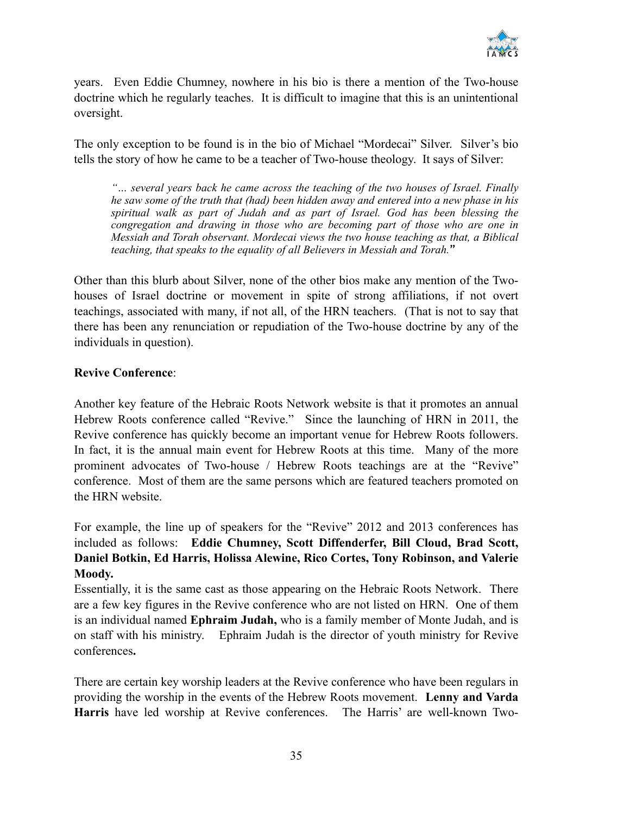

years. Even Eddie Chumney, nowhere in his bio is there a mention of the Two-house doctrine which he regularly teaches. It is difficult to imagine that this is an unintentional oversight.

The only exception to be found is in the bio of Michael "Mordecai" Silver. Silver's bio tells the story of how he came to be a teacher of Two-house theology. It says of Silver:

*"… several years back he came across the teaching of the two houses of Israel. Finally he saw some of the truth that (had) been hidden away and entered into a new phase in his spiritual walk as part of Judah and as part of Israel. God has been blessing the congregation and drawing in those who are becoming part of those who are one in Messiah and Torah observant. Mordecai views the two house teaching as that, a Biblical teaching, that speaks to the equality of all Believers in Messiah and Torah.*"

Other than this blurb about Silver, none of the other bios make any mention of the Twohouses of Israel doctrine or movement in spite of strong affiliations, if not overt teachings, associated with many, if not all, of the HRN teachers. (That is not to say that there has been any renunciation or repudiation of the Two-house doctrine by any of the individuals in question).

#### **Revive Conference**:

Another key feature of the Hebraic Roots Network website is that it promotes an annual Hebrew Roots conference called "Revive." Since the launching of HRN in 2011, the Revive conference has quickly become an important venue for Hebrew Roots followers. In fact, it is the annual main event for Hebrew Roots at this time. Many of the more prominent advocates of Two-house / Hebrew Roots teachings are at the "Revive" conference. Most of them are the same persons which are featured teachers promoted on the HRN website.

For example, the line up of speakers for the "Revive" 2012 and 2013 conferences has included as follows: **Eddie Chumney, Scott Diffenderfer, Bill Cloud, Brad Scott, Daniel Botkin, Ed Harris, Holissa Alewine, Rico Cortes, Tony Robinson, and Valerie Moody.** 

Essentially, it is the same cast as those appearing on the Hebraic Roots Network. There are a few key figures in the Revive conference who are not listed on HRN. One of them is an individual named **Ephraim Judah,** who is a family member of Monte Judah, and is on staff with his ministry. Ephraim Judah is the director of youth ministry for Revive conferences**.** 

There are certain key worship leaders at the Revive conference who have been regulars in providing the worship in the events of the Hebrew Roots movement. **Lenny and Varda Harris** have led worship at Revive conferences. The Harris' are well-known Two-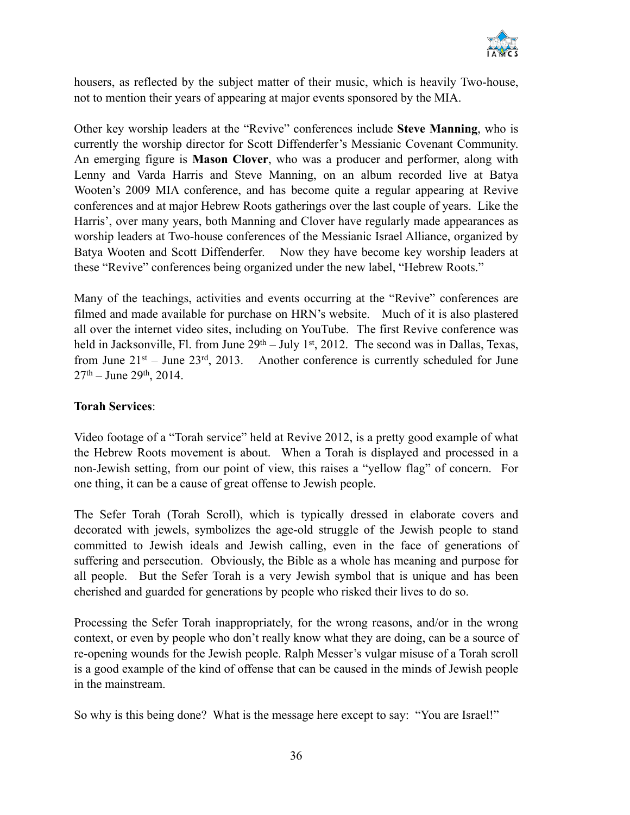

housers, as reflected by the subject matter of their music, which is heavily Two-house, not to mention their years of appearing at major events sponsored by the MIA.

Other key worship leaders at the "Revive" conferences include **Steve Manning**, who is currently the worship director for Scott Diffenderfer's Messianic Covenant Community. An emerging figure is **Mason Clover**, who was a producer and performer, along with Lenny and Varda Harris and Steve Manning, on an album recorded live at Batya Wooten's 2009 MIA conference, and has become quite a regular appearing at Revive conferences and at major Hebrew Roots gatherings over the last couple of years. Like the Harris', over many years, both Manning and Clover have regularly made appearances as worship leaders at Two-house conferences of the Messianic Israel Alliance, organized by Batya Wooten and Scott Diffenderfer. Now they have become key worship leaders at these "Revive" conferences being organized under the new label, "Hebrew Roots."

Many of the teachings, activities and events occurring at the "Revive" conferences are filmed and made available for purchase on HRN's website. Much of it is also plastered all over the internet video sites, including on YouTube. The first Revive conference was held in Jacksonville, Fl. from June  $29<sup>th</sup> - July 1<sup>st</sup>$ , 2012. The second was in Dallas, Texas, from June  $21^{st}$  – June  $23^{rd}$ ,  $2013$ . Another conference is currently scheduled for June  $27<sup>th</sup> - June 29<sup>th</sup>$ , 2014.

#### **Torah Services**:

Video footage of a "Torah service" held at Revive 2012, is a pretty good example of what the Hebrew Roots movement is about. When a Torah is displayed and processed in a non-Jewish setting, from our point of view, this raises a "yellow flag" of concern. For one thing, it can be a cause of great offense to Jewish people.

The Sefer Torah (Torah Scroll), which is typically dressed in elaborate covers and decorated with jewels, symbolizes the age-old struggle of the Jewish people to stand committed to Jewish ideals and Jewish calling, even in the face of generations of suffering and persecution. Obviously, the Bible as a whole has meaning and purpose for all people. But the Sefer Torah is a very Jewish symbol that is unique and has been cherished and guarded for generations by people who risked their lives to do so.

Processing the Sefer Torah inappropriately, for the wrong reasons, and/or in the wrong context, or even by people who don't really know what they are doing, can be a source of re-opening wounds for the Jewish people. Ralph Messer's vulgar misuse of a Torah scroll is a good example of the kind of offense that can be caused in the minds of Jewish people in the mainstream.

So why is this being done? What is the message here except to say: "You are Israel!"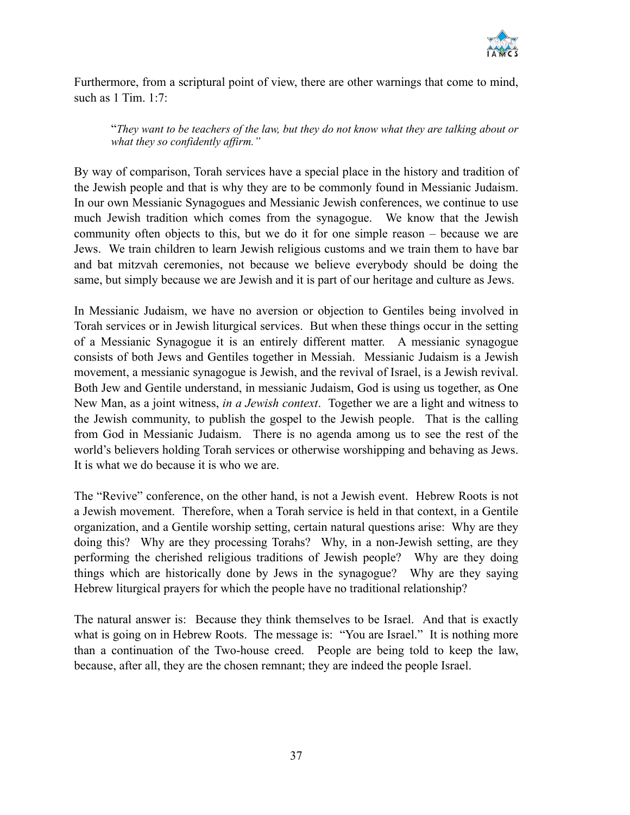

Furthermore, from a scriptural point of view, there are other warnings that come to mind, such as 1 Tim. 1:7:

"*They want to be teachers of the law, but they do not know what they are talking about or what they so confidently affirm."*

By way of comparison, Torah services have a special place in the history and tradition of the Jewish people and that is why they are to be commonly found in Messianic Judaism. In our own Messianic Synagogues and Messianic Jewish conferences, we continue to use much Jewish tradition which comes from the synagogue. We know that the Jewish community often objects to this, but we do it for one simple reason – because we are Jews. We train children to learn Jewish religious customs and we train them to have bar and bat mitzvah ceremonies, not because we believe everybody should be doing the same, but simply because we are Jewish and it is part of our heritage and culture as Jews.

In Messianic Judaism, we have no aversion or objection to Gentiles being involved in Torah services or in Jewish liturgical services. But when these things occur in the setting of a Messianic Synagogue it is an entirely different matter. A messianic synagogue consists of both Jews and Gentiles together in Messiah. Messianic Judaism is a Jewish movement, a messianic synagogue is Jewish, and the revival of Israel, is a Jewish revival. Both Jew and Gentile understand, in messianic Judaism, God is using us together, as One New Man, as a joint witness, *in a Jewish context*. Together we are a light and witness to the Jewish community, to publish the gospel to the Jewish people. That is the calling from God in Messianic Judaism. There is no agenda among us to see the rest of the world's believers holding Torah services or otherwise worshipping and behaving as Jews. It is what we do because it is who we are.

The "Revive" conference, on the other hand, is not a Jewish event. Hebrew Roots is not a Jewish movement. Therefore, when a Torah service is held in that context, in a Gentile organization, and a Gentile worship setting, certain natural questions arise: Why are they doing this? Why are they processing Torahs? Why, in a non-Jewish setting, are they performing the cherished religious traditions of Jewish people? Why are they doing things which are historically done by Jews in the synagogue? Why are they saying Hebrew liturgical prayers for which the people have no traditional relationship?

The natural answer is: Because they think themselves to be Israel. And that is exactly what is going on in Hebrew Roots. The message is: "You are Israel." It is nothing more than a continuation of the Two-house creed. People are being told to keep the law, because, after all, they are the chosen remnant; they are indeed the people Israel.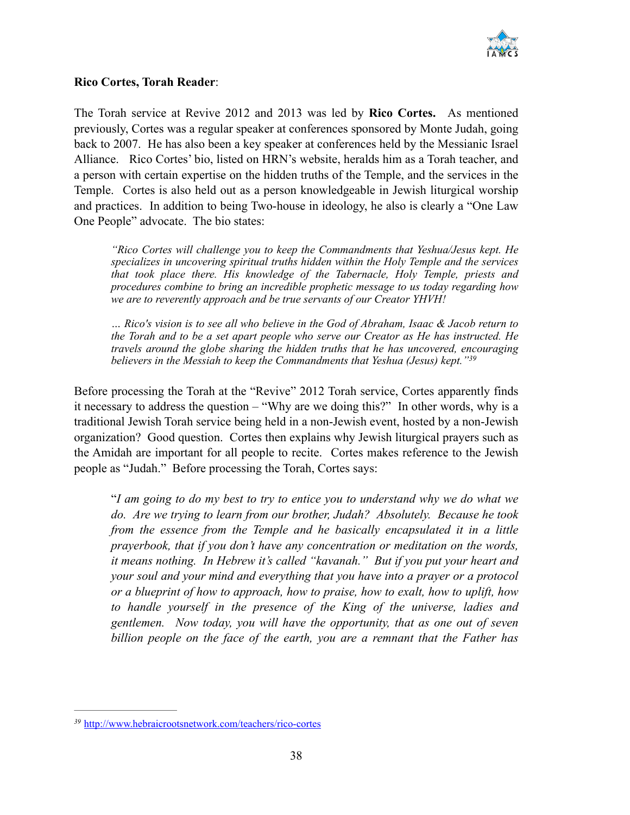

#### **Rico Cortes, Torah Reader**:

The Torah service at Revive 2012 and 2013 was led by **Rico Cortes.** As mentioned previously, Cortes was a regular speaker at conferences sponsored by Monte Judah, going back to 2007. He has also been a key speaker at conferences held by the Messianic Israel Alliance. Rico Cortes' bio, listed on HRN's website, heralds him as a Torah teacher, and a person with certain expertise on the hidden truths of the Temple, and the services in the Temple. Cortes is also held out as a person knowledgeable in Jewish liturgical worship and practices. In addition to being Two-house in ideology, he also is clearly a "One Law One People" advocate. The bio states:

*"Rico Cortes will challenge you to keep the Commandments that Yeshua/Jesus kept. He specializes in uncovering spiritual truths hidden within the Holy Temple and the services that took place there. His knowledge of the Tabernacle, Holy Temple, priests and procedures combine to bring an incredible prophetic message to us today regarding how we are to reverently approach and be true servants of our Creator YHVH!*

*… Rico's vision is to see all who believe in the God of Abraham, Isaac & Jacob return to the Torah and to be a set apart people who serve our Creator as He has instructed. He travels around the globe sharing the hidden truths that he has uncovered, encouraging believers in the Messiah to keep the Commandments that Yeshua (Jesus) kept."39*

Before processing the Torah at the "Revive" 2012 Torah service, Cortes apparently finds it necessary to address the question – "Why are we doing this?" In other words, why is a traditional Jewish Torah service being held in a non-Jewish event, hosted by a non-Jewish organization? Good question. Cortes then explains why Jewish liturgical prayers such as the Amidah are important for all people to recite. Cortes makes reference to the Jewish people as "Judah." Before processing the Torah, Cortes says:

"*I am going to do my best to try to entice you to understand why we do what we do. Are we trying to learn from our brother, Judah? Absolutely. Because he took from the essence from the Temple and he basically encapsulated it in a little prayerbook, that if you don't have any concentration or meditation on the words, it means nothing. In Hebrew it's called "kavanah." But if you put your heart and your soul and your mind and everything that you have into a prayer or a protocol or a blueprint of how to approach, how to praise, how to exalt, how to uplift, how to handle yourself in the presence of the King of the universe, ladies and gentlemen. Now today, you will have the opportunity, that as one out of seven billion people on the face of the earth, you are a remnant that the Father has* 

<http://www.hebraicrootsnetwork.com/teachers/rico-cortes> *<sup>39</sup>*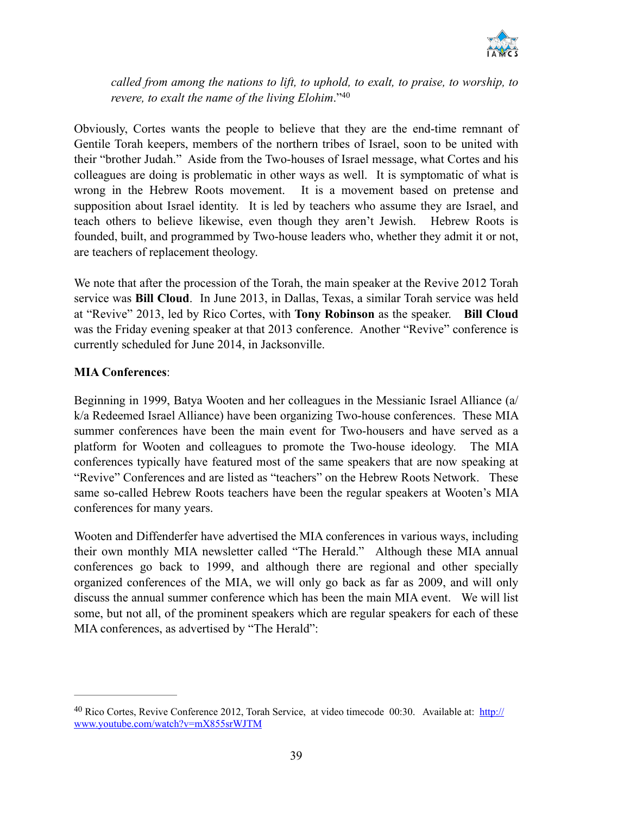

*called from among the nations to lift, to uphold, to exalt, to praise, to worship, to revere, to exalt the name of the living Elohim*."40

Obviously, Cortes wants the people to believe that they are the end-time remnant of Gentile Torah keepers, members of the northern tribes of Israel, soon to be united with their "brother Judah." Aside from the Two-houses of Israel message, what Cortes and his colleagues are doing is problematic in other ways as well. It is symptomatic of what is wrong in the Hebrew Roots movement. It is a movement based on pretense and supposition about Israel identity. It is led by teachers who assume they are Israel, and teach others to believe likewise, even though they aren't Jewish. Hebrew Roots is founded, built, and programmed by Two-house leaders who, whether they admit it or not, are teachers of replacement theology.

We note that after the procession of the Torah, the main speaker at the Revive 2012 Torah service was **Bill Cloud**. In June 2013, in Dallas, Texas, a similar Torah service was held at "Revive" 2013, led by Rico Cortes, with **Tony Robinson** as the speaker. **Bill Cloud** was the Friday evening speaker at that 2013 conference. Another "Revive" conference is currently scheduled for June 2014, in Jacksonville.

#### **MIA Conferences**:

Beginning in 1999, Batya Wooten and her colleagues in the Messianic Israel Alliance (a/ k/a Redeemed Israel Alliance) have been organizing Two-house conferences. These MIA summer conferences have been the main event for Two-housers and have served as a platform for Wooten and colleagues to promote the Two-house ideology. The MIA conferences typically have featured most of the same speakers that are now speaking at "Revive" Conferences and are listed as "teachers" on the Hebrew Roots Network. These same so-called Hebrew Roots teachers have been the regular speakers at Wooten's MIA conferences for many years.

Wooten and Diffenderfer have advertised the MIA conferences in various ways, including their own monthly MIA newsletter called "The Herald." Although these MIA annual conferences go back to 1999, and although there are regional and other specially organized conferences of the MIA, we will only go back as far as 2009, and will only discuss the annual summer conference which has been the main MIA event. We will list some, but not all, of the prominent speakers which are regular speakers for each of these MIA conferences, as advertised by "The Herald":

<sup>&</sup>lt;sup>40</sup> [Rico Cortes, Revive Conference 2012, Torah Service, at video timecode 00:30. Available at: http://](http://www.youtube.com/watch?v=mX855srWJTM) www.youtube.com/watch?v=mX855srWJTM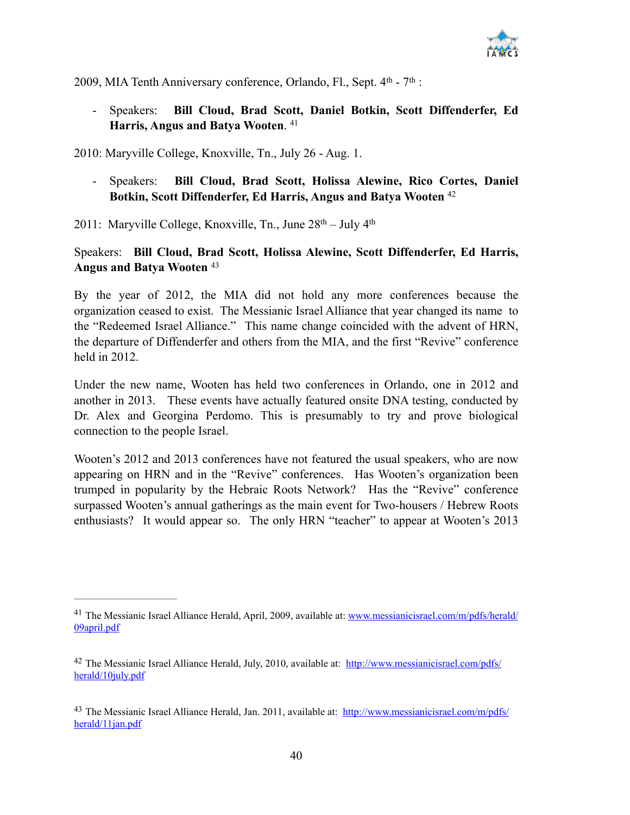

2009, MIA Tenth Anniversary conference, Orlando, Fl., Sept.  $4<sup>th</sup>$  -  $7<sup>th</sup>$ :

- Speakers: **Bill Cloud, Brad Scott, Daniel Botkin, Scott Diffenderfer, Ed Harris, Angus and Batya Wooten**. 41

2010: Maryville College, Knoxville, Tn., July 26 - Aug. 1.

- Speakers: **Bill Cloud, Brad Scott, Holissa Alewine, Rico Cortes, Daniel Botkin, Scott Diffenderfer, Ed Harris, Angus and Batya Wooten** <sup>42</sup>

2011: Maryville College, Knoxville, Tn., June  $28<sup>th</sup> - July 4<sup>th</sup>$ 

#### Speakers: **Bill Cloud, Brad Scott, Holissa Alewine, Scott Diffenderfer, Ed Harris, Angus and Batya Wooten** <sup>43</sup>

By the year of 2012, the MIA did not hold any more conferences because the organization ceased to exist. The Messianic Israel Alliance that year changed its name to the "Redeemed Israel Alliance." This name change coincided with the advent of HRN, the departure of Diffenderfer and others from the MIA, and the first "Revive" conference held in 2012.

Under the new name, Wooten has held two conferences in Orlando, one in 2012 and another in 2013. These events have actually featured onsite DNA testing, conducted by Dr. Alex and Georgina Perdomo. This is presumably to try and prove biological connection to the people Israel.

Wooten's 2012 and 2013 conferences have not featured the usual speakers, who are now appearing on HRN and in the "Revive" conferences. Has Wooten's organization been trumped in popularity by the Hebraic Roots Network? Has the "Revive" conference surpassed Wooten's annual gatherings as the main event for Two-housers / Hebrew Roots enthusiasts? It would appear so. The only HRN "teacher" to appear at Wooten's 2013

<sup>&</sup>lt;sup>41</sup> [The Messianic Israel Alliance Herald, April, 2009, available at: www.messianicisrael.com/m/pdfs/herald/](http://www.messianicisrael.com/m/pdfs/herald/09april.pdf) 09april.pdf

<sup>&</sup>lt;sup>42</sup> [The Messianic Israel Alliance Herald, July, 2010, available at: http://www.messianicisrael.com/pdfs/](http://www.messianicisrael.com/pdfs/herald/10july.pdf) herald/10july.pdf

<sup>&</sup>lt;sup>43</sup> [The Messianic Israel Alliance Herald, Jan. 2011, available at: http://www.messianicisrael.com/m/pdfs/](http://www.messianicisrael.com/m/pdfs/herald/11jan.pdf) herald/11jan.pdf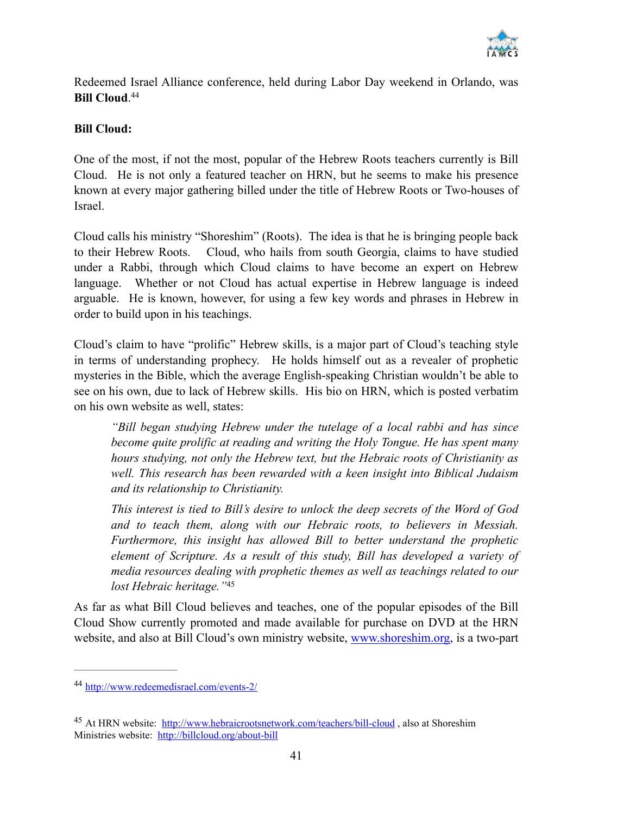

Redeemed Israel Alliance conference, held during Labor Day weekend in Orlando, was **Bill Cloud**. 44

#### **Bill Cloud:**

One of the most, if not the most, popular of the Hebrew Roots teachers currently is Bill Cloud. He is not only a featured teacher on HRN, but he seems to make his presence known at every major gathering billed under the title of Hebrew Roots or Two-houses of Israel.

Cloud calls his ministry "Shoreshim" (Roots). The idea is that he is bringing people back to their Hebrew Roots. Cloud, who hails from south Georgia, claims to have studied under a Rabbi, through which Cloud claims to have become an expert on Hebrew language. Whether or not Cloud has actual expertise in Hebrew language is indeed arguable. He is known, however, for using a few key words and phrases in Hebrew in order to build upon in his teachings.

Cloud's claim to have "prolific" Hebrew skills, is a major part of Cloud's teaching style in terms of understanding prophecy. He holds himself out as a revealer of prophetic mysteries in the Bible, which the average English-speaking Christian wouldn't be able to see on his own, due to lack of Hebrew skills. His bio on HRN, which is posted verbatim on his own website as well, states:

*"Bill began studying Hebrew under the tutelage of a local rabbi and has since become quite prolific at reading and writing the Holy Tongue. He has spent many hours studying, not only the Hebrew text, but the Hebraic roots of Christianity as well. This research has been rewarded with a keen insight into Biblical Judaism and its relationship to Christianity.*

*This interest is tied to Bill's desire to unlock the deep secrets of the Word of God and to teach them, along with our Hebraic roots, to believers in Messiah. Furthermore, this insight has allowed Bill to better understand the prophetic element of Scripture. As a result of this study, Bill has developed a variety of media resources dealing with prophetic themes as well as teachings related to our lost Hebraic heritage."*<sup>45</sup>

As far as what Bill Cloud believes and teaches, one of the popular episodes of the Bill Cloud Show currently promoted and made available for purchase on DVD at the HRN website, and also at Bill Cloud's own ministry website, [www.shoreshim.org,](http://www.shoreshim.org) is a two-part

<http://www.redeemedisrael.com/events-2/> <sup>44</sup>

<sup>&</sup>lt;sup>45</sup> At HRN website: http://www.hebraicrootsnetwork.com/teachers/bill-cloud, also at Shoreshim Ministries website: <http://billcloud.org/about-bill>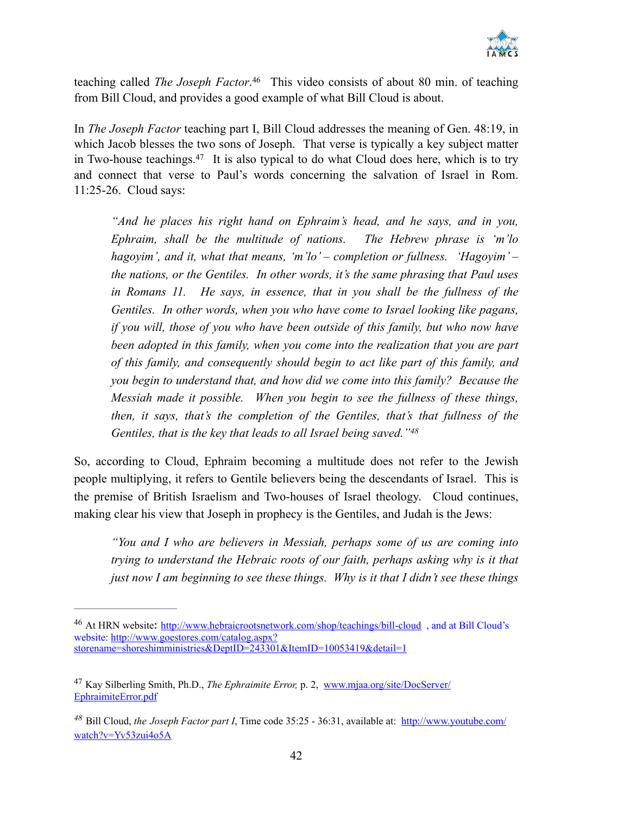

teaching called *The Joseph Factor*.<sup>46</sup> This video consists of about 80 min. of teaching from Bill Cloud, and provides a good example of what Bill Cloud is about.

In *The Joseph Factor* teaching part I, Bill Cloud addresses the meaning of Gen. 48:19, in which Jacob blesses the two sons of Joseph. That verse is typically a key subject matter in Two-house teachings.<sup>47</sup> It is also typical to do what Cloud does here, which is to try and connect that verse to Paul's words concerning the salvation of Israel in Rom. 11:25-26. Cloud says:

*"And he places his right hand on Ephraim's head, and he says, and in you, Ephraim, shall be the multitude of nations. The Hebrew phrase is 'm'lo hagoyim', and it, what that means, 'm'lo' – completion or fullness. 'Hagoyim' – the nations, or the Gentiles. In other words, it's the same phrasing that Paul uses*  in Romans 11. He says, in essence, that in you shall be the fullness of the *Gentiles. In other words, when you who have come to Israel looking like pagans, if you will, those of you who have been outside of this family, but who now have* been adopted in this family, when you come into the realization that you are part *of this family, and consequently should begin to act like part of this family, and you begin to understand that, and how did we come into this family? Because the Messiah made it possible. When you begin to see the fullness of these things, then, it says, that's the completion of the Gentiles, that's that fullness of the Gentiles, that is the key that leads to all Israel being saved."48*

So, according to Cloud, Ephraim becoming a multitude does not refer to the Jewish people multiplying, it refers to Gentile believers being the descendants of Israel. This is the premise of British Israelism and Two-houses of Israel theology. Cloud continues, making clear his view that Joseph in prophecy is the Gentiles, and Judah is the Jews:

*"You and I who are believers in Messiah, perhaps some of us are coming into trying to understand the Hebraic roots of our faith, perhaps asking why is it that just now I am beginning to see these things. Why is it that I didn't see these things* 

<sup>&</sup>lt;sup>46</sup> At HRN website: http://www.hebraicrootsnetwork.com/shop/teachings/bill-cloud, and at Bill Cloud's website: http://www.goestores.com/catalog.aspx? [storename=shoreshimministries&DeptID=243301&ItemID=10053419&detail=1](http://www.goestores.com/catalog.aspx?storename=shoreshimministries&DeptID=243301&ItemID=10053419&detail=1)

Kay Silberling Smith, Ph.D., *The Ephraimite Error,* p. 2,[www.mjaa.org/site/DocServer/](http://www.mjaa.org/site/DocServer/EphraimiteError.pdf) <sup>47</sup> EphraimiteError.pdf

Bill Cloud, *the Joseph Factor part I*[, Time code 35:25 - 36:31, available at: http://www.youtube.com/](http://www.youtube.com/watch?v=Yv53zui4o5A) *<sup>48</sup>* watch?v=Yv53zui4o5A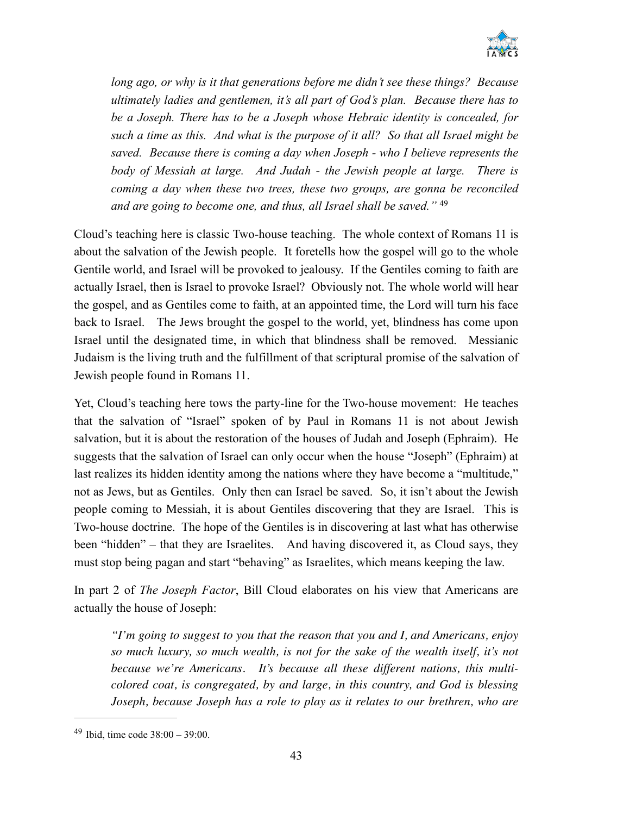

*long ago, or why is it that generations before me didn't see these things? Because ultimately ladies and gentlemen, it's all part of God's plan. Because there has to be a Joseph. There has to be a Joseph whose Hebraic identity is concealed, for such a time as this. And what is the purpose of it all? So that all Israel might be saved. Because there is coming a day when Joseph - who I believe represents the body of Messiah at large. And Judah - the Jewish people at large. There is coming a day when these two trees, these two groups, are gonna be reconciled and are going to become one, and thus, all Israel shall be saved."* <sup>49</sup>

Cloud's teaching here is classic Two-house teaching. The whole context of Romans 11 is about the salvation of the Jewish people. It foretells how the gospel will go to the whole Gentile world, and Israel will be provoked to jealousy. If the Gentiles coming to faith are actually Israel, then is Israel to provoke Israel? Obviously not. The whole world will hear the gospel, and as Gentiles come to faith, at an appointed time, the Lord will turn his face back to Israel. The Jews brought the gospel to the world, yet, blindness has come upon Israel until the designated time, in which that blindness shall be removed. Messianic Judaism is the living truth and the fulfillment of that scriptural promise of the salvation of Jewish people found in Romans 11.

Yet, Cloud's teaching here tows the party-line for the Two-house movement: He teaches that the salvation of "Israel" spoken of by Paul in Romans 11 is not about Jewish salvation, but it is about the restoration of the houses of Judah and Joseph (Ephraim). He suggests that the salvation of Israel can only occur when the house "Joseph" (Ephraim) at last realizes its hidden identity among the nations where they have become a "multitude," not as Jews, but as Gentiles. Only then can Israel be saved. So, it isn't about the Jewish people coming to Messiah, it is about Gentiles discovering that they are Israel. This is Two-house doctrine. The hope of the Gentiles is in discovering at last what has otherwise been "hidden" – that they are Israelites. And having discovered it, as Cloud says, they must stop being pagan and start "behaving" as Israelites, which means keeping the law.

In part 2 of *The Joseph Factor*, Bill Cloud elaborates on his view that Americans are actually the house of Joseph:

*"I'm going to suggest to you that the reason that you and I, and Americans, enjoy so much luxury, so much wealth, is not for the sake of the wealth itself, it's not because we're Americans. It's because all these different nations, this multicolored coat, is congregated, by and large, in this country, and God is blessing Joseph, because Joseph has a role to play as it relates to our brethren, who are* 

 $49$  Ibid, time code  $38:00 - 39:00$ .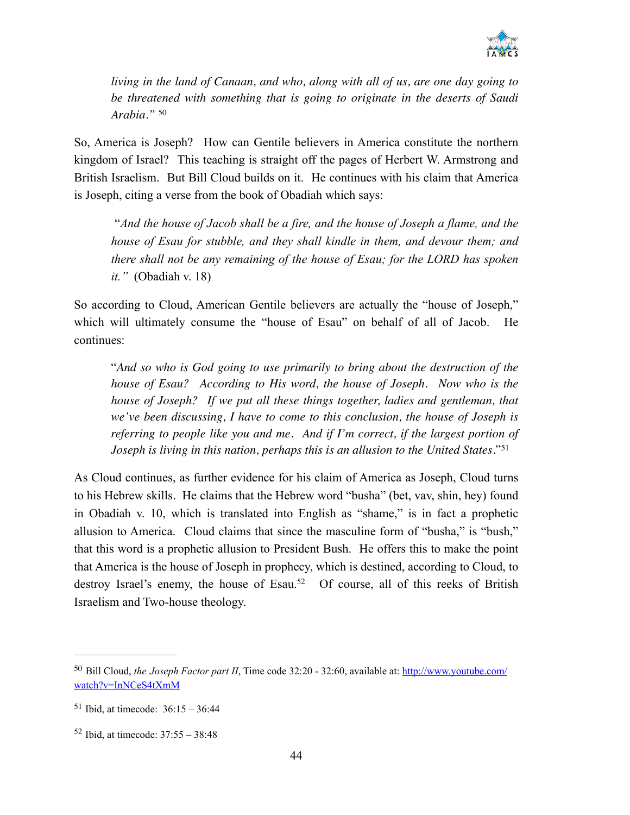

*living in the land of Canaan, and who, along with all of us, are one day going to be threatened with something that is going to originate in the deserts of Saudi Arabia."* <sup>50</sup>

So, America is Joseph? How can Gentile believers in America constitute the northern kingdom of Israel? This teaching is straight off the pages of Herbert W. Armstrong and British Israelism. But Bill Cloud builds on it. He continues with his claim that America is Joseph, citing a verse from the book of Obadiah which says:

 "*And the house of Jacob shall be a fire, and the house of Joseph a flame, and the house of Esau for stubble, and they shall kindle in them, and devour them; and there shall not be any remaining of the house of Esau; for the LORD has spoken it."* (Obadiah v. 18)

So according to Cloud, American Gentile believers are actually the "house of Joseph," which will ultimately consume the "house of Esau" on behalf of all of Jacob. He continues:

"*And so who is God going to use primarily to bring about the destruction of the house of Esau? According to His word, the house of Joseph. Now who is the house of Joseph? If we put all these things together, ladies and gentleman, that we've been discussing, I have to come to this conclusion, the house of Joseph is referring to people like you and me. And if I'm correct, if the largest portion of Joseph is living in this nation, perhaps this is an allusion to the United States.*"51

As Cloud continues, as further evidence for his claim of America as Joseph, Cloud turns to his Hebrew skills. He claims that the Hebrew word "busha" (bet, vav, shin, hey) found in Obadiah v. 10, which is translated into English as "shame," is in fact a prophetic allusion to America. Cloud claims that since the masculine form of "busha," is "bush," that this word is a prophetic allusion to President Bush. He offers this to make the point that America is the house of Joseph in prophecy, which is destined, according to Cloud, to destroy Israel's enemy, the house of Esau.<sup>52</sup> Of course, all of this reeks of British Israelism and Two-house theology.

Bill Cloud, *the Joseph Factor part II*[, Time code 32:20 - 32:60, available at: http://www.youtube.com/](http://www.youtube.com/watch?v=InNCeS4tXmM) 50 watch?v=InNCeS4tXmM

 $51$  Ibid, at timecode:  $36:15 - 36:44$ 

 $52$  Ibid, at timecode:  $37:55 - 38:48$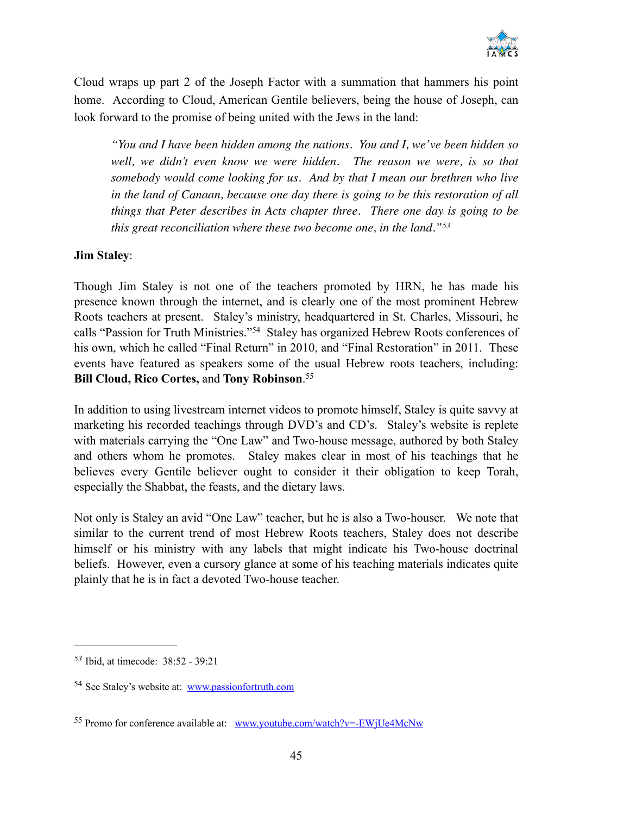

Cloud wraps up part 2 of the Joseph Factor with a summation that hammers his point home. According to Cloud, American Gentile believers, being the house of Joseph, can look forward to the promise of being united with the Jews in the land:

*"You and I have been hidden among the nations. You and I, we've been hidden so*  well, we didn't even know we were hidden. The reason we were, is so that *somebody would come looking for us. And by that I mean our brethren who live in the land of Canaan, because one day there is going to be this restoration of all things that Peter describes in Acts chapter three. There one day is going to be this great reconciliation where these two become one, in the land."53*

#### **Jim Staley**:

Though Jim Staley is not one of the teachers promoted by HRN, he has made his presence known through the internet, and is clearly one of the most prominent Hebrew Roots teachers at present. Staley's ministry, headquartered in St. Charles, Missouri, he calls "Passion for Truth Ministries."<sup>54</sup> Staley has organized Hebrew Roots conferences of his own, which he called "Final Return" in 2010, and "Final Restoration" in 2011. These events have featured as speakers some of the usual Hebrew roots teachers, including: **Bill Cloud, Rico Cortes,** and **Tony Robinson**. 55

In addition to using livestream internet videos to promote himself, Staley is quite savvy at marketing his recorded teachings through DVD's and CD's. Staley's website is replete with materials carrying the "One Law" and Two-house message, authored by both Staley and others whom he promotes. Staley makes clear in most of his teachings that he believes every Gentile believer ought to consider it their obligation to keep Torah, especially the Shabbat, the feasts, and the dietary laws.

Not only is Staley an avid "One Law" teacher, but he is also a Two-houser. We note that similar to the current trend of most Hebrew Roots teachers, Staley does not describe himself or his ministry with any labels that might indicate his Two-house doctrinal beliefs. However, even a cursory glance at some of his teaching materials indicates quite plainly that he is in fact a devoted Two-house teacher.

Ibid, at timecode: 38:52 - 39:21 *53*

<sup>54</sup> See Staley's website at: [www.passionfortruth.com](http://www.passionfortruth.com)

<sup>55</sup> Promo for conference available at: [www.youtube.com/watch?v=-EWjUe4McNw](http://www.youtube.com/watch?v=-EWjUe4McNw)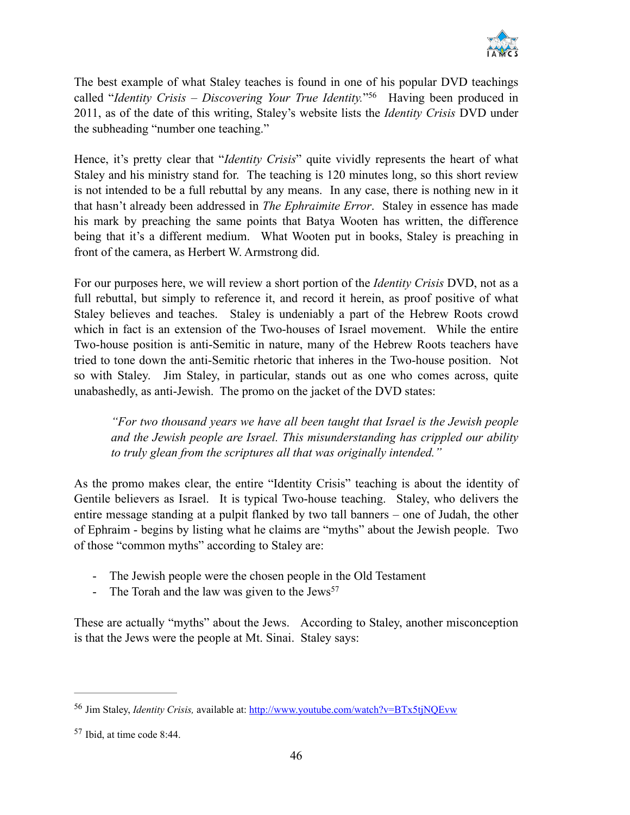

The best example of what Staley teaches is found in one of his popular DVD teachings called "*Identity Crisis – Discovering Your True Identity.*"<sup>56</sup> Having been produced in 2011, as of the date of this writing, Staley's website lists the *Identity Crisis* DVD under the subheading "number one teaching."

Hence, it's pretty clear that "*Identity Crisis*" quite vividly represents the heart of what Staley and his ministry stand for. The teaching is 120 minutes long, so this short review is not intended to be a full rebuttal by any means. In any case, there is nothing new in it that hasn't already been addressed in *The Ephraimite Error*. Staley in essence has made his mark by preaching the same points that Batya Wooten has written, the difference being that it's a different medium. What Wooten put in books, Staley is preaching in front of the camera, as Herbert W. Armstrong did.

For our purposes here, we will review a short portion of the *Identity Crisis* DVD, not as a full rebuttal, but simply to reference it, and record it herein, as proof positive of what Staley believes and teaches. Staley is undeniably a part of the Hebrew Roots crowd which in fact is an extension of the Two-houses of Israel movement. While the entire Two-house position is anti-Semitic in nature, many of the Hebrew Roots teachers have tried to tone down the anti-Semitic rhetoric that inheres in the Two-house position. Not so with Staley. Jim Staley, in particular, stands out as one who comes across, quite unabashedly, as anti-Jewish. The promo on the jacket of the DVD states:

*"For two thousand years we have all been taught that Israel is the Jewish people and the Jewish people are Israel. This misunderstanding has crippled our ability to truly glean from the scriptures all that was originally intended."* 

As the promo makes clear, the entire "Identity Crisis" teaching is about the identity of Gentile believers as Israel. It is typical Two-house teaching. Staley, who delivers the entire message standing at a pulpit flanked by two tall banners – one of Judah, the other of Ephraim - begins by listing what he claims are "myths" about the Jewish people. Two of those "common myths" according to Staley are:

- The Jewish people were the chosen people in the Old Testament
- The Torah and the law was given to the  $Jews^{57}$

These are actually "myths" about the Jews. According to Staley, another misconception is that the Jews were the people at Mt. Sinai. Staley says:

<sup>56</sup> Jim Staley, *Identity Crisis,* available at:<http://www.youtube.com/watch?v=BTx5tjNQEvw>

 $57$  Ibid, at time code 8:44.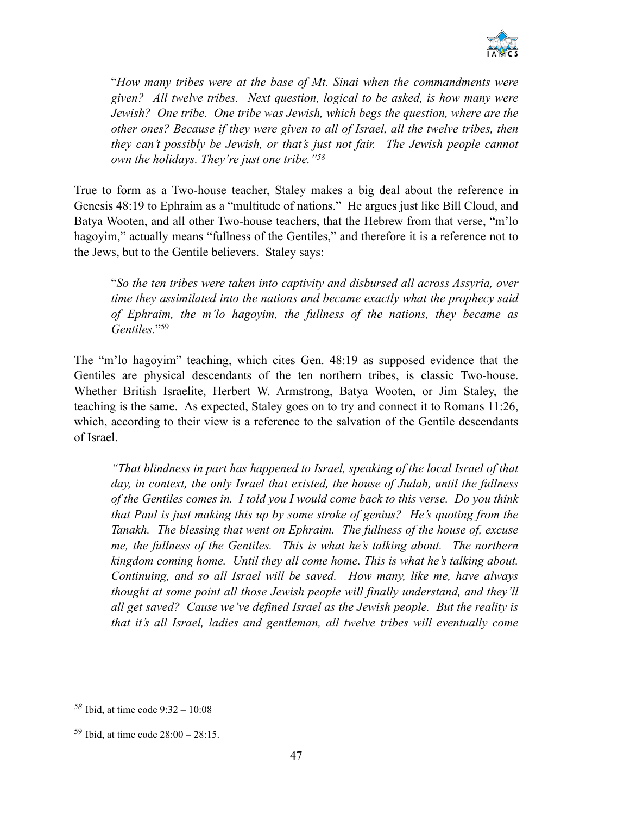

"*How many tribes were at the base of Mt. Sinai when the commandments were given? All twelve tribes. Next question, logical to be asked, is how many were Jewish? One tribe. One tribe was Jewish, which begs the question, where are the other ones? Because if they were given to all of Israel, all the twelve tribes, then they can't possibly be Jewish, or that's just not fair. The Jewish people cannot own the holidays. They're just one tribe."58*

True to form as a Two-house teacher, Staley makes a big deal about the reference in Genesis 48:19 to Ephraim as a "multitude of nations." He argues just like Bill Cloud, and Batya Wooten, and all other Two-house teachers, that the Hebrew from that verse, "m'lo hagoyim," actually means "fullness of the Gentiles," and therefore it is a reference not to the Jews, but to the Gentile believers. Staley says:

"*So the ten tribes were taken into captivity and disbursed all across Assyria, over time they assimilated into the nations and became exactly what the prophecy said of Ephraim, the m'lo hagoyim, the fullness of the nations, they became as Gentiles.*"59

The "m'lo hagoyim" teaching, which cites Gen. 48:19 as supposed evidence that the Gentiles are physical descendants of the ten northern tribes, is classic Two-house. Whether British Israelite, Herbert W. Armstrong, Batya Wooten, or Jim Staley, the teaching is the same. As expected, Staley goes on to try and connect it to Romans 11:26, which, according to their view is a reference to the salvation of the Gentile descendants of Israel.

*"That blindness in part has happened to Israel, speaking of the local Israel of that day, in context, the only Israel that existed, the house of Judah, until the fullness of the Gentiles comes in. I told you I would come back to this verse. Do you think that Paul is just making this up by some stroke of genius? He's quoting from the Tanakh. The blessing that went on Ephraim. The fullness of the house of, excuse me, the fullness of the Gentiles. This is what he's talking about. The northern kingdom coming home. Until they all come home. This is what he's talking about. Continuing, and so all Israel will be saved. How many, like me, have always thought at some point all those Jewish people will finally understand, and they'll all get saved? Cause we've defined Israel as the Jewish people. But the reality is that it's all Israel, ladies and gentleman, all twelve tribes will eventually come* 

 $58$  Ibid, at time code  $9:32 - 10:08$ 

 $59$  Ibid, at time code  $28:00 - 28:15$ .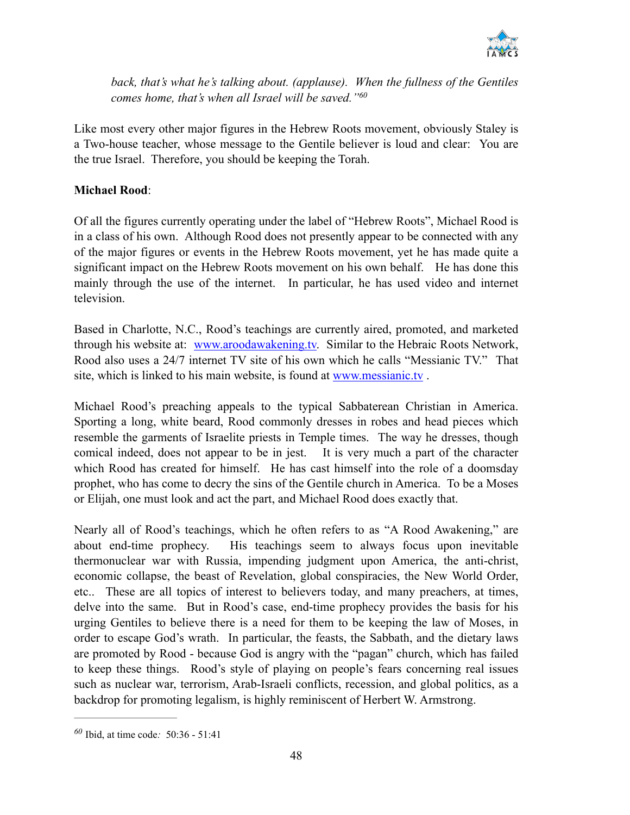

back, that's what he's talking about. (applause). When the fullness of the Gentiles *comes home, that's when all Israel will be saved." 60*

Like most every other major figures in the Hebrew Roots movement, obviously Staley is a Two-house teacher, whose message to the Gentile believer is loud and clear: You are the true Israel. Therefore, you should be keeping the Torah.

#### **Michael Rood**:

Of all the figures currently operating under the label of "Hebrew Roots", Michael Rood is in a class of his own. Although Rood does not presently appear to be connected with any of the major figures or events in the Hebrew Roots movement, yet he has made quite a significant impact on the Hebrew Roots movement on his own behalf. He has done this mainly through the use of the internet. In particular, he has used video and internet television.

Based in Charlotte, N.C., Rood's teachings are currently aired, promoted, and marketed through his website at: [www.aroodawakening.tv.](http://www.aroodawakening.tv) Similar to the Hebraic Roots Network, Rood also uses a 24/7 internet TV site of his own which he calls "Messianic TV." That site, which is linked to his main website, is found at [www.messianic.tv](http://www.messianic.tv) .

Michael Rood's preaching appeals to the typical Sabbaterean Christian in America. Sporting a long, white beard, Rood commonly dresses in robes and head pieces which resemble the garments of Israelite priests in Temple times. The way he dresses, though comical indeed, does not appear to be in jest. It is very much a part of the character which Rood has created for himself. He has cast himself into the role of a doomsday prophet, who has come to decry the sins of the Gentile church in America. To be a Moses or Elijah, one must look and act the part, and Michael Rood does exactly that.

Nearly all of Rood's teachings, which he often refers to as "A Rood Awakening," are about end-time prophecy. His teachings seem to always focus upon inevitable thermonuclear war with Russia, impending judgment upon America, the anti-christ, economic collapse, the beast of Revelation, global conspiracies, the New World Order, etc.. These are all topics of interest to believers today, and many preachers, at times, delve into the same. But in Rood's case, end-time prophecy provides the basis for his urging Gentiles to believe there is a need for them to be keeping the law of Moses, in order to escape God's wrath. In particular, the feasts, the Sabbath, and the dietary laws are promoted by Rood - because God is angry with the "pagan" church, which has failed to keep these things. Rood's style of playing on people's fears concerning real issues such as nuclear war, terrorism, Arab-Israeli conflicts, recession, and global politics, as a backdrop for promoting legalism, is highly reminiscent of Herbert W. Armstrong.

Ibid, at time code*:* 50:36 - 51:41 *<sup>60</sup>*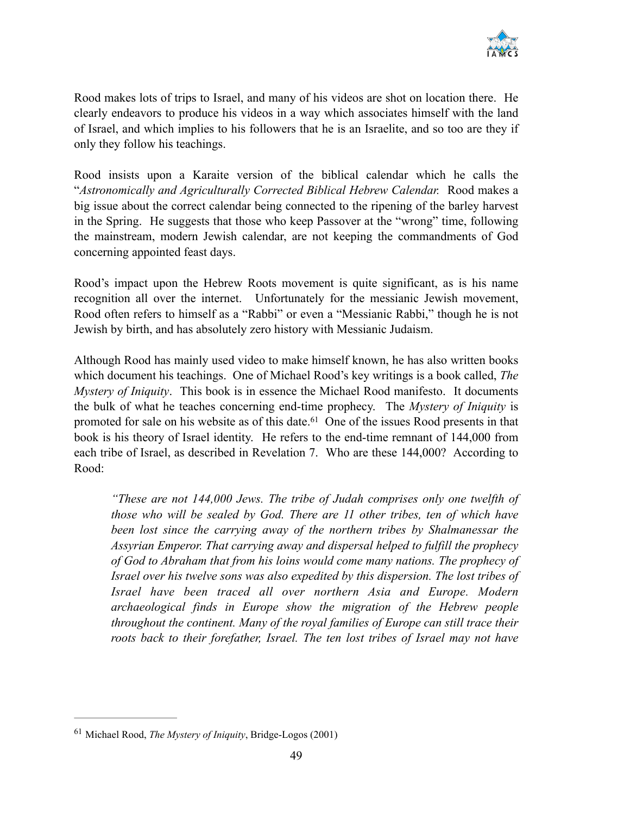

Rood makes lots of trips to Israel, and many of his videos are shot on location there. He clearly endeavors to produce his videos in a way which associates himself with the land of Israel, and which implies to his followers that he is an Israelite, and so too are they if only they follow his teachings.

Rood insists upon a Karaite version of the biblical calendar which he calls the "*Astronomically and Agriculturally Corrected Biblical Hebrew Calendar.* Rood makes a big issue about the correct calendar being connected to the ripening of the barley harvest in the Spring. He suggests that those who keep Passover at the "wrong" time, following the mainstream, modern Jewish calendar, are not keeping the commandments of God concerning appointed feast days.

Rood's impact upon the Hebrew Roots movement is quite significant, as is his name recognition all over the internet. Unfortunately for the messianic Jewish movement, Rood often refers to himself as a "Rabbi" or even a "Messianic Rabbi," though he is not Jewish by birth, and has absolutely zero history with Messianic Judaism.

Although Rood has mainly used video to make himself known, he has also written books which document his teachings. One of Michael Rood's key writings is a book called, *The Mystery of Iniquity*. This book is in essence the Michael Rood manifesto. It documents the bulk of what he teaches concerning end-time prophecy. The *Mystery of Iniquity* is promoted for sale on his website as of this date. <sup> $61$ </sup> One of the issues Rood presents in that book is his theory of Israel identity. He refers to the end-time remnant of 144,000 from each tribe of Israel, as described in Revelation 7. Who are these 144,000? According to Rood:

*"These are not 144,000 Jews. The tribe of Judah comprises only one twelfth of those who will be sealed by God. There are 11 other tribes, ten of which have been lost since the carrying away of the northern tribes by Shalmanessar the Assyrian Emperor. That carrying away and dispersal helped to fulfill the prophecy of God to Abraham that from his loins would come many nations. The prophecy of Israel over his twelve sons was also expedited by this dispersion. The lost tribes of Israel have been traced all over northern Asia and Europe. Modern archaeological finds in Europe show the migration of the Hebrew people throughout the continent. Many of the royal families of Europe can still trace their roots back to their forefather, Israel. The ten lost tribes of Israel may not have* 

<sup>&</sup>lt;sup>61</sup> Michael Rood, *The Mystery of Iniquity*, Bridge-Logos (2001)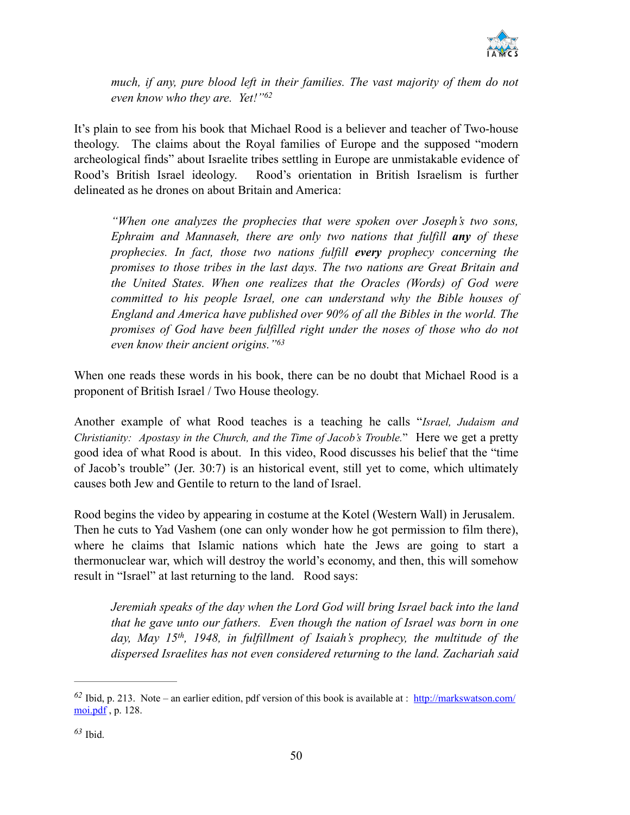

much, if any, pure blood left in their families. The vast majority of them do not *even know who they are. Yet!"62*

It's plain to see from his book that Michael Rood is a believer and teacher of Two-house theology. The claims about the Royal families of Europe and the supposed "modern archeological finds" about Israelite tribes settling in Europe are unmistakable evidence of Rood's British Israel ideology. Rood's orientation in British Israelism is further delineated as he drones on about Britain and America:

*"When one analyzes the prophecies that were spoken over Joseph's two sons, Ephraim and Mannaseh, there are only two nations that fulfill any of these prophecies. In fact, those two nations fulfill every prophecy concerning the promises to those tribes in the last days. The two nations are Great Britain and the United States. When one realizes that the Oracles (Words) of God were committed to his people Israel, one can understand why the Bible houses of England and America have published over 90% of all the Bibles in the world. The promises of God have been fulfilled right under the noses of those who do not even know their ancient origins."63*

When one reads these words in his book, there can be no doubt that Michael Rood is a proponent of British Israel / Two House theology.

Another example of what Rood teaches is a teaching he calls "*Israel, Judaism and Christianity: Apostasy in the Church, and the Time of Jacob's Trouble.*" Here we get a pretty good idea of what Rood is about. In this video, Rood discusses his belief that the "time of Jacob's trouble" (Jer. 30:7) is an historical event, still yet to come, which ultimately causes both Jew and Gentile to return to the land of Israel.

Rood begins the video by appearing in costume at the Kotel (Western Wall) in Jerusalem. Then he cuts to Yad Vashem (one can only wonder how he got permission to film there), where he claims that Islamic nations which hate the Jews are going to start a thermonuclear war, which will destroy the world's economy, and then, this will somehow result in "Israel" at last returning to the land. Rood says:

*Jeremiah speaks of the day when the Lord God will bring Israel back into the land that he gave unto our fathers. Even though the nation of Israel was born in one*  day, May 15<sup>th</sup>, 1948, in fulfillment of Isaiah's prophecy, the multitude of the *dispersed Israelites has not even considered returning to the land. Zachariah said* 

 $\frac{62 \text{ Ibid, p. 213. Note - an earlier edition, pdf version of this book is available at : <http://markswatson.com/>$ moi.pdf, p. 128.

Ibid. *<sup>63</sup>*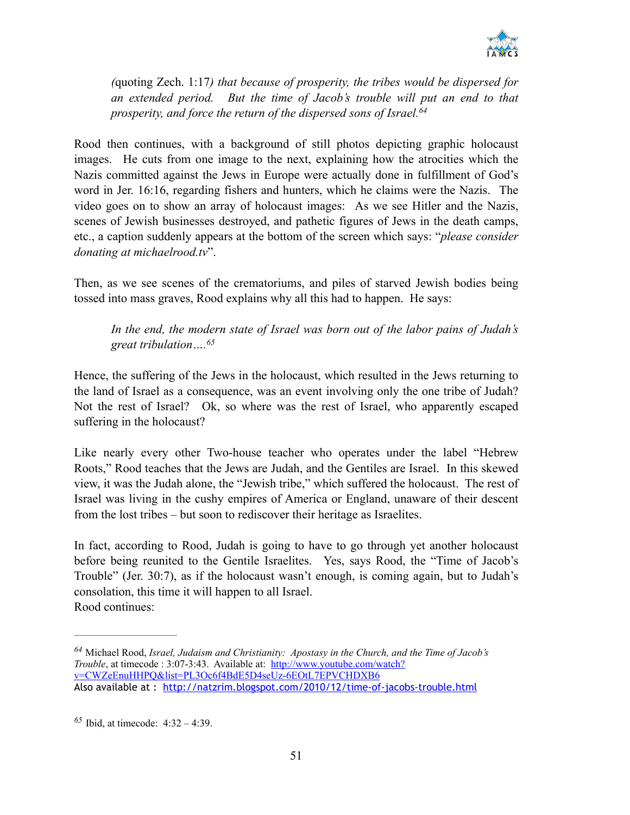

*(*quoting Zech. 1:17*) that because of prosperity, the tribes would be dispersed for an extended period. But the time of Jacob's trouble will put an end to that prosperity, and force the return of the dispersed sons of Israel. 64*

Rood then continues, with a background of still photos depicting graphic holocaust images. He cuts from one image to the next, explaining how the atrocities which the Nazis committed against the Jews in Europe were actually done in fulfillment of God's word in Jer. 16:16, regarding fishers and hunters, which he claims were the Nazis. The video goes on to show an array of holocaust images: As we see Hitler and the Nazis, scenes of Jewish businesses destroyed, and pathetic figures of Jews in the death camps, etc., a caption suddenly appears at the bottom of the screen which says: "*please consider donating at michaelrood.tv*".

Then, as we see scenes of the crematoriums, and piles of starved Jewish bodies being tossed into mass graves, Rood explains why all this had to happen. He says:

*In the end, the modern state of Israel was born out of the labor pains of Judah's great tribulation….65*

Hence, the suffering of the Jews in the holocaust, which resulted in the Jews returning to the land of Israel as a consequence, was an event involving only the one tribe of Judah? Not the rest of Israel? Ok, so where was the rest of Israel, who apparently escaped suffering in the holocaust?

Like nearly every other Two-house teacher who operates under the label "Hebrew Roots," Rood teaches that the Jews are Judah, and the Gentiles are Israel. In this skewed view, it was the Judah alone, the "Jewish tribe," which suffered the holocaust. The rest of Israel was living in the cushy empires of America or England, unaware of their descent from the lost tribes – but soon to rediscover their heritage as Israelites.

In fact, according to Rood, Judah is going to have to go through yet another holocaust before being reunited to the Gentile Israelites. Yes, says Rood, the "Time of Jacob's Trouble" (Jer. 30:7), as if the holocaust wasn't enough, is coming again, but to Judah's consolation, this time it will happen to all Israel. Rood continues:

<sup>&</sup>lt;sup>64</sup> Michael Rood, *Israel, Judaism and Christianity: Apostasy in the Church, and the Time of Jacob's Trouble*, at timecode : 3:07-3:43. Available at: http://www.youtube.com/watch? [v=CWZeEnuHHPQ&list=PL3Oc6f4BdE5D4seUz-6EOtL7EPVCHDXB6](http://www.youtube.com/watch?v=CWZeEnuHHPQ&list=PL3Oc6f4BdE5D4seUz-6EOtL7EPVCHDXB6) Also available at : <http://natzrim.blogspot.com/2010/12/time-of-jacobs-trouble.html>

 $^{65}$  Ibid, at timecode:  $4:32 - 4:39$ .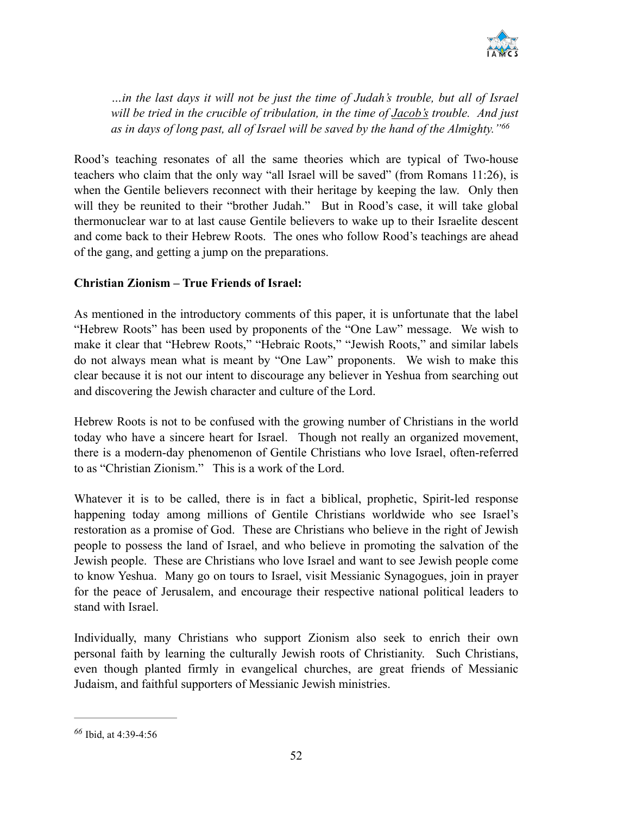

*…in the last days it will not be just the time of Judah's trouble, but all of Israel will be tried in the crucible of tribulation, in the time of Jacob's trouble. And just as in days of long past, all of Israel will be saved by the hand of the Almighty."66*

Rood's teaching resonates of all the same theories which are typical of Two-house teachers who claim that the only way "all Israel will be saved" (from Romans 11:26), is when the Gentile believers reconnect with their heritage by keeping the law. Only then will they be reunited to their "brother Judah." But in Rood's case, it will take global thermonuclear war to at last cause Gentile believers to wake up to their Israelite descent and come back to their Hebrew Roots. The ones who follow Rood's teachings are ahead of the gang, and getting a jump on the preparations.

#### **Christian Zionism – True Friends of Israel:**

As mentioned in the introductory comments of this paper, it is unfortunate that the label "Hebrew Roots" has been used by proponents of the "One Law" message. We wish to make it clear that "Hebrew Roots," "Hebraic Roots," "Jewish Roots," and similar labels do not always mean what is meant by "One Law" proponents. We wish to make this clear because it is not our intent to discourage any believer in Yeshua from searching out and discovering the Jewish character and culture of the Lord.

Hebrew Roots is not to be confused with the growing number of Christians in the world today who have a sincere heart for Israel. Though not really an organized movement, there is a modern-day phenomenon of Gentile Christians who love Israel, often-referred to as "Christian Zionism." This is a work of the Lord.

Whatever it is to be called, there is in fact a biblical, prophetic, Spirit-led response happening today among millions of Gentile Christians worldwide who see Israel's restoration as a promise of God. These are Christians who believe in the right of Jewish people to possess the land of Israel, and who believe in promoting the salvation of the Jewish people. These are Christians who love Israel and want to see Jewish people come to know Yeshua. Many go on tours to Israel, visit Messianic Synagogues, join in prayer for the peace of Jerusalem, and encourage their respective national political leaders to stand with Israel.

Individually, many Christians who support Zionism also seek to enrich their own personal faith by learning the culturally Jewish roots of Christianity. Such Christians, even though planted firmly in evangelical churches, are great friends of Messianic Judaism, and faithful supporters of Messianic Jewish ministries.

Ibid, at 4:39-4:56 *<sup>66</sup>*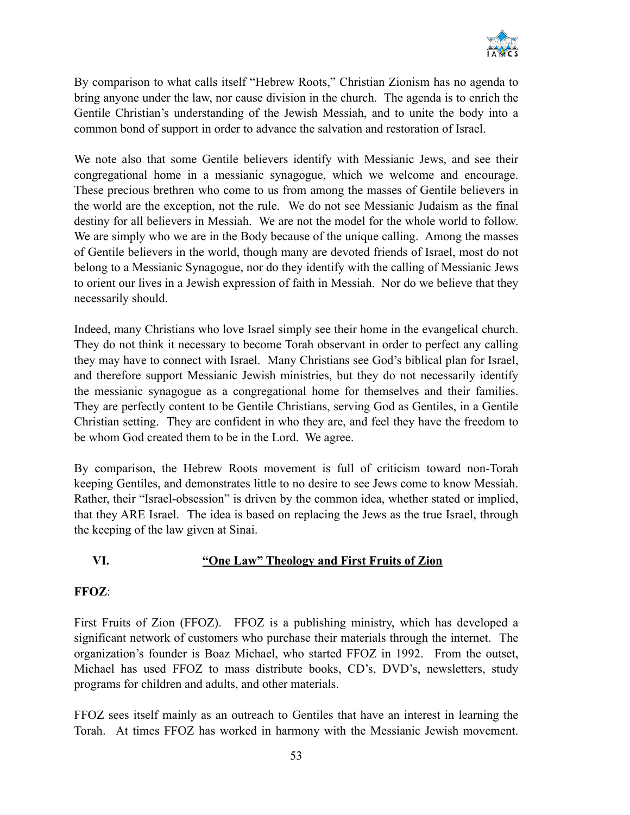

By comparison to what calls itself "Hebrew Roots," Christian Zionism has no agenda to bring anyone under the law, nor cause division in the church. The agenda is to enrich the Gentile Christian's understanding of the Jewish Messiah, and to unite the body into a common bond of support in order to advance the salvation and restoration of Israel.

We note also that some Gentile believers identify with Messianic Jews, and see their congregational home in a messianic synagogue, which we welcome and encourage. These precious brethren who come to us from among the masses of Gentile believers in the world are the exception, not the rule. We do not see Messianic Judaism as the final destiny for all believers in Messiah. We are not the model for the whole world to follow. We are simply who we are in the Body because of the unique calling. Among the masses of Gentile believers in the world, though many are devoted friends of Israel, most do not belong to a Messianic Synagogue, nor do they identify with the calling of Messianic Jews to orient our lives in a Jewish expression of faith in Messiah. Nor do we believe that they necessarily should.

Indeed, many Christians who love Israel simply see their home in the evangelical church. They do not think it necessary to become Torah observant in order to perfect any calling they may have to connect with Israel. Many Christians see God's biblical plan for Israel, and therefore support Messianic Jewish ministries, but they do not necessarily identify the messianic synagogue as a congregational home for themselves and their families. They are perfectly content to be Gentile Christians, serving God as Gentiles, in a Gentile Christian setting. They are confident in who they are, and feel they have the freedom to be whom God created them to be in the Lord. We agree.

By comparison, the Hebrew Roots movement is full of criticism toward non-Torah keeping Gentiles, and demonstrates little to no desire to see Jews come to know Messiah. Rather, their "Israel-obsession" is driven by the common idea, whether stated or implied, that they ARE Israel. The idea is based on replacing the Jews as the true Israel, through the keeping of the law given at Sinai.

#### **VI. "One Law" Theology and First Fruits of Zion**

#### **FFOZ**:

First Fruits of Zion (FFOZ). FFOZ is a publishing ministry, which has developed a significant network of customers who purchase their materials through the internet. The organization's founder is Boaz Michael, who started FFOZ in 1992. From the outset, Michael has used FFOZ to mass distribute books, CD's, DVD's, newsletters, study programs for children and adults, and other materials.

FFOZ sees itself mainly as an outreach to Gentiles that have an interest in learning the Torah. At times FFOZ has worked in harmony with the Messianic Jewish movement.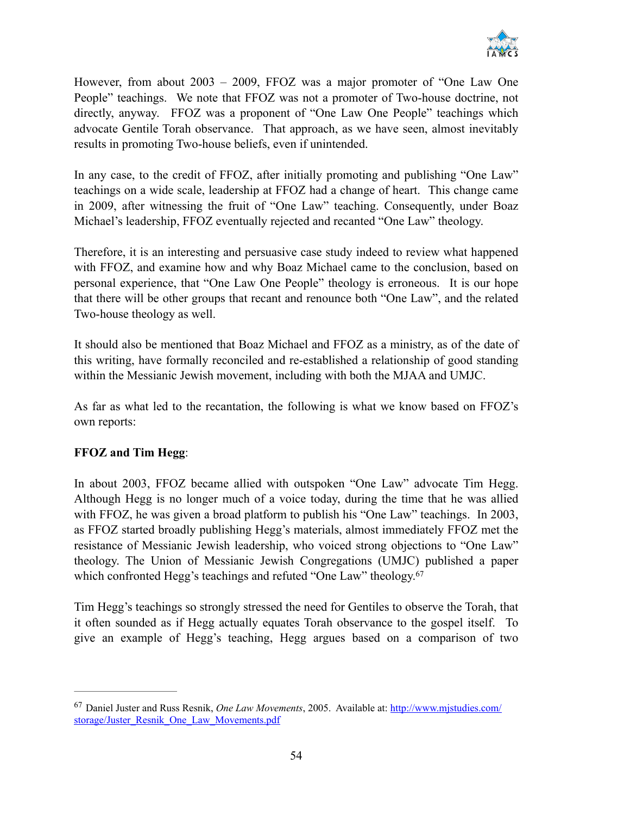

However, from about 2003 – 2009, FFOZ was a major promoter of "One Law One People" teachings. We note that FFOZ was not a promoter of Two-house doctrine, not directly, anyway. FFOZ was a proponent of "One Law One People" teachings which advocate Gentile Torah observance. That approach, as we have seen, almost inevitably results in promoting Two-house beliefs, even if unintended.

In any case, to the credit of FFOZ, after initially promoting and publishing "One Law" teachings on a wide scale, leadership at FFOZ had a change of heart. This change came in 2009, after witnessing the fruit of "One Law" teaching. Consequently, under Boaz Michael's leadership, FFOZ eventually rejected and recanted "One Law" theology.

Therefore, it is an interesting and persuasive case study indeed to review what happened with FFOZ, and examine how and why Boaz Michael came to the conclusion, based on personal experience, that "One Law One People" theology is erroneous. It is our hope that there will be other groups that recant and renounce both "One Law", and the related Two-house theology as well.

It should also be mentioned that Boaz Michael and FFOZ as a ministry, as of the date of this writing, have formally reconciled and re-established a relationship of good standing within the Messianic Jewish movement, including with both the MJAA and UMJC.

As far as what led to the recantation, the following is what we know based on FFOZ's own reports:

#### **FFOZ and Tim Hegg**:

In about 2003, FFOZ became allied with outspoken "One Law" advocate Tim Hegg. Although Hegg is no longer much of a voice today, during the time that he was allied with FFOZ, he was given a broad platform to publish his "One Law" teachings. In 2003, as FFOZ started broadly publishing Hegg's materials, almost immediately FFOZ met the resistance of Messianic Jewish leadership, who voiced strong objections to "One Law" theology. The Union of Messianic Jewish Congregations (UMJC) published a paper which confronted Hegg's teachings and refuted "One Law" theology.<sup>67</sup>

Tim Hegg's teachings so strongly stressed the need for Gentiles to observe the Torah, that it often sounded as if Hegg actually equates Torah observance to the gospel itself. To give an example of Hegg's teaching, Hegg argues based on a comparison of two

Daniel Juster and Russ Resnik, *One Law Movements*, 2005. Available at: http://www.mjstudies.com/ <sup>67</sup> [storage/Juster\\_Resnik\\_One\\_Law\\_Movements.pdf](http://www.mjstudies.com/storage/Juster_Resnik_One_Law_Movements.pdf)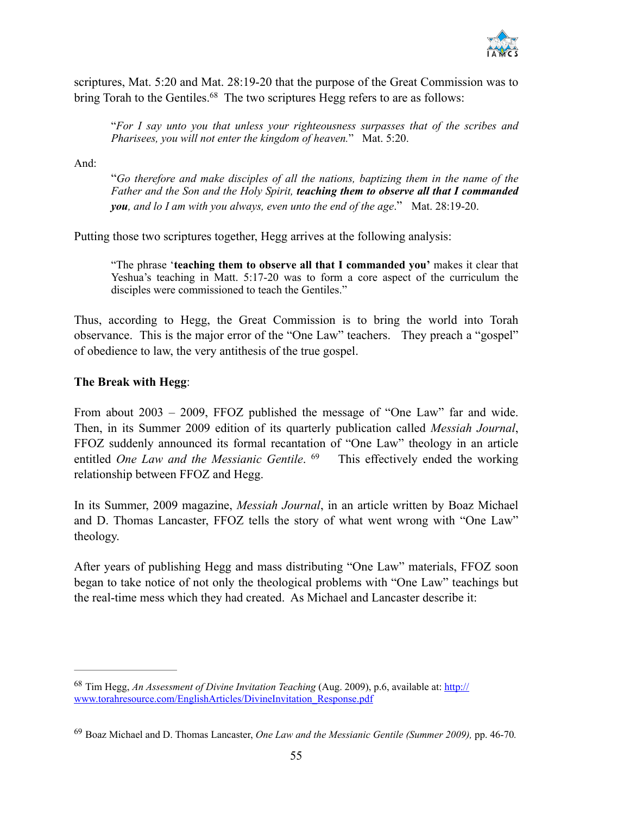

scriptures, Mat. 5:20 and Mat. 28:19-20 that the purpose of the Great Commission was to bring Torah to the Gentiles.<sup>68</sup> The two scriptures Hegg refers to are as follows:

"*For I say unto you that unless your righteousness surpasses that of the scribes and Pharisees, you will not enter the kingdom of heaven.*" Mat. 5:20.

And:

"*Go therefore and make disciples of all the nations, baptizing them in the name of the Father and the Son and the Holy Spirit, teaching them to observe all that I commanded you, and lo I am with you always, even unto the end of the age*." Mat. 28:19-20.

Putting those two scriptures together, Hegg arrives at the following analysis:

"The phrase '**teaching them to observe all that I commanded you'** makes it clear that Yeshua's teaching in Matt. 5:17-20 was to form a core aspect of the curriculum the disciples were commissioned to teach the Gentiles."

Thus, according to Hegg, the Great Commission is to bring the world into Torah observance. This is the major error of the "One Law" teachers. They preach a "gospel" of obedience to law, the very antithesis of the true gospel.

#### **The Break with Hegg**:

From about 2003 – 2009, FFOZ published the message of "One Law" far and wide. Then, in its Summer 2009 edition of its quarterly publication called *Messiah Journal*, FFOZ suddenly announced its formal recantation of "One Law" theology in an article entitled *One Law and the Messianic Gentile*. <sup>69</sup> This effectively ended the working relationship between FFOZ and Hegg.

In its Summer, 2009 magazine, *Messiah Journal*, in an article written by Boaz Michael and D. Thomas Lancaster, FFOZ tells the story of what went wrong with "One Law" theology.

After years of publishing Hegg and mass distributing "One Law" materials, FFOZ soon began to take notice of not only the theological problems with "One Law" teachings but the real-time mess which they had created. As Michael and Lancaster describe it:

<sup>&</sup>lt;sup>68</sup> Tim Hegg, *An Assessment of Divine Invitation Teaching* (Aug. 2009), p.6, available at: http:// [www.torahresource.com/EnglishArticles/DivineInvitation\\_Response.pdf](http://www.torahresource.com/EnglishArticles/DivineInvitation_Response.pdf)

Boaz Michael and D. Thomas Lancaster, *One Law and the Messianic Gentile (Summer 2009),* pp. 46-70*.* <sup>69</sup>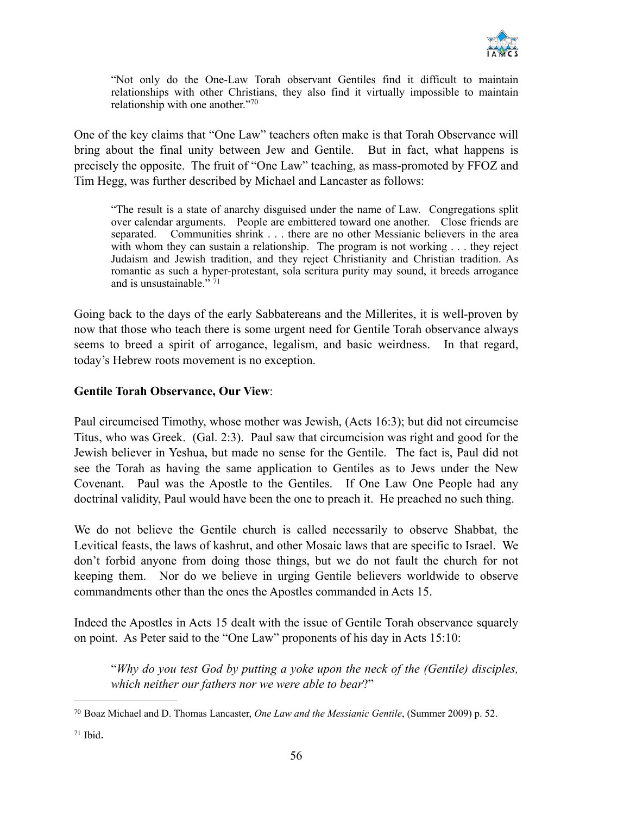

"Not only do the One-Law Torah observant Gentiles find it difficult to maintain relationships with other Christians, they also find it virtually impossible to maintain relationship with one another."70

One of the key claims that "One Law" teachers often make is that Torah Observance will bring about the final unity between Jew and Gentile. But in fact, what happens is precisely the opposite. The fruit of "One Law" teaching, as mass-promoted by FFOZ and Tim Hegg, was further described by Michael and Lancaster as follows:

"The result is a state of anarchy disguised under the name of Law. Congregations split over calendar arguments. People are embittered toward one another. Close friends are separated. Communities shrink . . . there are no other Messianic believers in the area with whom they can sustain a relationship. The program is not working . . . they reject Judaism and Jewish tradition, and they reject Christianity and Christian tradition. As romantic as such a hyper-protestant, sola scritura purity may sound, it breeds arrogance and is unsustainable." $71$ 

Going back to the days of the early Sabbatereans and the Millerites, it is well-proven by now that those who teach there is some urgent need for Gentile Torah observance always seems to breed a spirit of arrogance, legalism, and basic weirdness. In that regard, today's Hebrew roots movement is no exception.

#### **Gentile Torah Observance, Our View**:

Paul circumcised Timothy, whose mother was Jewish, (Acts 16:3); but did not circumcise Titus, who was Greek. (Gal. 2:3). Paul saw that circumcision was right and good for the Jewish believer in Yeshua, but made no sense for the Gentile. The fact is, Paul did not see the Torah as having the same application to Gentiles as to Jews under the New Covenant. Paul was the Apostle to the Gentiles. If One Law One People had any doctrinal validity, Paul would have been the one to preach it. He preached no such thing.

We do not believe the Gentile church is called necessarily to observe Shabbat, the Levitical feasts, the laws of kashrut, and other Mosaic laws that are specific to Israel. We don't forbid anyone from doing those things, but we do not fault the church for not keeping them. Nor do we believe in urging Gentile believers worldwide to observe commandments other than the ones the Apostles commanded in Acts 15.

Indeed the Apostles in Acts 15 dealt with the issue of Gentile Torah observance squarely on point. As Peter said to the "One Law" proponents of his day in Acts 15:10:

"*Why do you test God by putting a yoke upon the neck of the (Gentile) disciples, which neither our fathers nor we were able to bear*?"

<sup>&</sup>lt;sup>70</sup> Boaz Michael and D. Thomas Lancaster, *One Law and the Messianic Gentile*, (Summer 2009) p. 52.

 $71$  Ibid.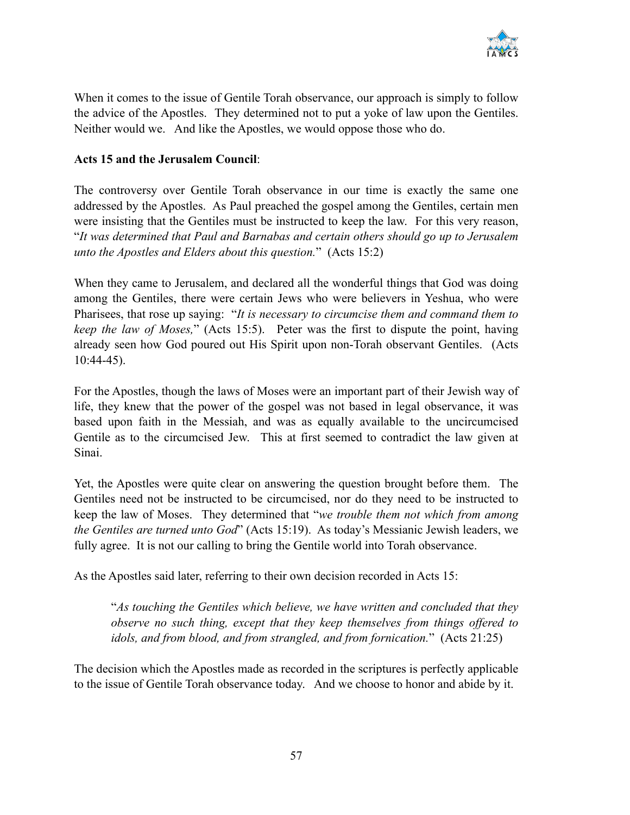

When it comes to the issue of Gentile Torah observance, our approach is simply to follow the advice of the Apostles. They determined not to put a yoke of law upon the Gentiles. Neither would we. And like the Apostles, we would oppose those who do.

#### **Acts 15 and the Jerusalem Council**:

The controversy over Gentile Torah observance in our time is exactly the same one addressed by the Apostles. As Paul preached the gospel among the Gentiles, certain men were insisting that the Gentiles must be instructed to keep the law. For this very reason, "*It was determined that Paul and Barnabas and certain others should go up to Jerusalem unto the Apostles and Elders about this question.*" (Acts 15:2)

When they came to Jerusalem, and declared all the wonderful things that God was doing among the Gentiles, there were certain Jews who were believers in Yeshua, who were Pharisees, that rose up saying: "*It is necessary to circumcise them and command them to keep the law of Moses,*" (Acts 15:5). Peter was the first to dispute the point, having already seen how God poured out His Spirit upon non-Torah observant Gentiles. (Acts 10:44-45).

For the Apostles, though the laws of Moses were an important part of their Jewish way of life, they knew that the power of the gospel was not based in legal observance, it was based upon faith in the Messiah, and was as equally available to the uncircumcised Gentile as to the circumcised Jew. This at first seemed to contradict the law given at Sinai.

Yet, the Apostles were quite clear on answering the question brought before them. The Gentiles need not be instructed to be circumcised, nor do they need to be instructed to keep the law of Moses. They determined that "*we trouble them not which from among the Gentiles are turned unto God*" (Acts 15:19). As today's Messianic Jewish leaders, we fully agree. It is not our calling to bring the Gentile world into Torah observance.

As the Apostles said later, referring to their own decision recorded in Acts 15:

"*As touching the Gentiles which believe, we have written and concluded that they observe no such thing, except that they keep themselves from things offered to idols, and from blood, and from strangled, and from fornication.*" (Acts 21:25)

The decision which the Apostles made as recorded in the scriptures is perfectly applicable to the issue of Gentile Torah observance today. And we choose to honor and abide by it.